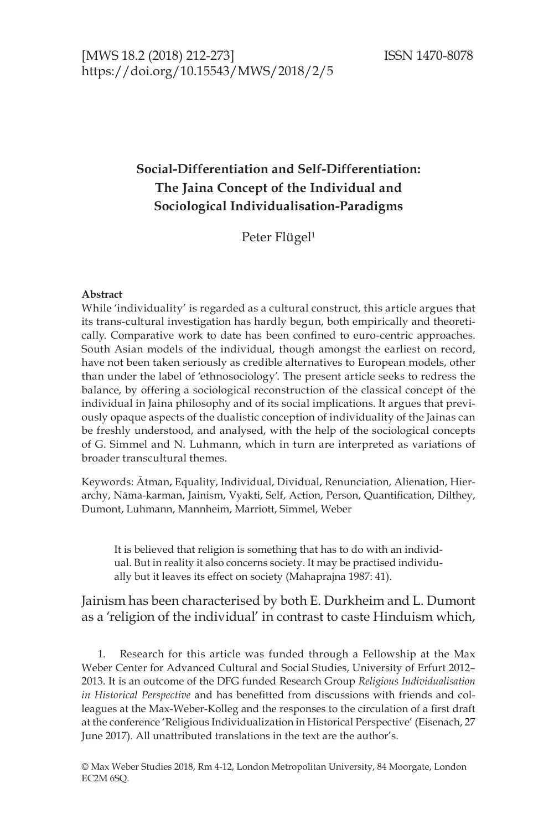# **Social-Differentiation and Self-Differentiation: The Jaina Concept of the Individual and Sociological Individualisation-Paradigms**

Peter Flügel<sup>1</sup>

#### **Abstract**

While 'individuality' is regarded as a cultural construct, this article argues that its trans-cultural investigation has hardly begun, both empirically and theoretically. Comparative work to date has been confined to euro-centric approaches. South Asian models of the individual, though amongst the earliest on record, have not been taken seriously as credible alternatives to European models, other than under the label of 'ethnosociology'. The present article seeks to redress the balance, by offering a sociological reconstruction of the classical concept of the individual in Jaina philosophy and of its social implications. It argues that previously opaque aspects of the dualistic conception of individuality of the Jainas can be freshly understood, and analysed, with the help of the sociological concepts of G. Simmel and N. Luhmann, which in turn are interpreted as variations of broader transcultural themes.

Keywords: Ātman, Equality, Individual, Dividual, Renunciation, Alienation, Hierarchy, Nāma-karman, Jainism, Vyakti, Self, Action, Person, Quantification, Dilthey, Dumont, Luhmann, Mannheim, Marriott, Simmel, Weber

It is believed that religion is something that has to do with an individual. But in reality it also concerns society. It may be practised individually but it leaves its effect on society (Mahaprajna 1987: 41).

Jainism has been characterised by both E. Durkheim and L. Dumont as a 'religion of the individual' in contrast to caste Hinduism which,

1. Research for this article was funded through a Fellowship at the Max Weber Center for Advanced Cultural and Social Studies, University of Erfurt 2012– 2013. It is an outcome of the DFG funded Research Group *Religious Individualisation in Historical Perspective* and has benefitted from discussions with friends and colleagues at the Max-Weber-Kolleg and the responses to the circulation of a first draft at the conference 'Religious Individualization in Historical Perspective' (Eisenach, 27 June 2017). All unattributed translations in the text are the author's.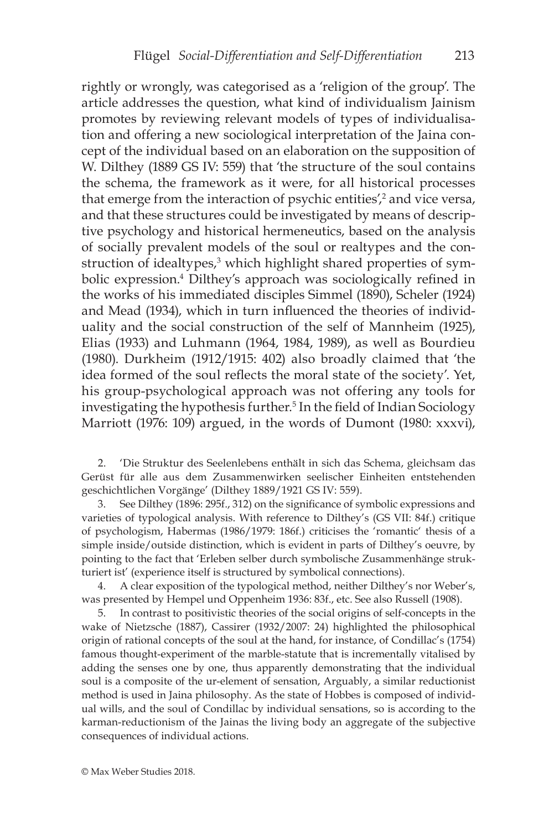rightly or wrongly, was categorised as a 'religion of the group'. The article addresses the question, what kind of individualism Jainism promotes by reviewing relevant models of types of individualisation and offering a new sociological interpretation of the Jaina concept of the individual based on an elaboration on the supposition of W. Dilthey (1889 GS IV: 559) that 'the structure of the soul contains the schema, the framework as it were, for all historical processes that emerge from the interaction of psychic entities',<sup>2</sup> and vice versa, and that these structures could be investigated by means of descriptive psychology and historical hermeneutics, based on the analysis of socially prevalent models of the soul or realtypes and the construction of idealtypes,<sup>3</sup> which highlight shared properties of symbolic expression.<sup>4</sup> Dilthey's approach was sociologically refined in the works of his immediated disciples Simmel (1890), Scheler (1924) and Mead (1934), which in turn influenced the theories of individuality and the social construction of the self of Mannheim (1925), Elias (1933) and Luhmann (1964, 1984, 1989), as well as Bourdieu (1980). Durkheim (1912/1915: 402) also broadly claimed that 'the idea formed of the soul reflects the moral state of the society'. Yet, his group-psychological approach was not offering any tools for investigating the hypothesis further.5 In the field of Indian Sociology Marriott (1976: 109) argued, in the words of Dumont (1980: xxxvi),

2. 'Die Struktur des Seelenlebens enthält in sich das Schema, gleichsam das Gerüst für alle aus dem Zusammenwirken seelischer Einheiten entstehenden geschichtlichen Vorgänge' (Dilthey 1889/1921 GS IV: 559).

3. See Dilthey (1896: 295f., 312) on the significance of symbolic expressions and varieties of typological analysis. With reference to Dilthey's (GS VII: 84f.) critique of psychologism, Habermas (1986/1979: 186f.) criticises the 'romantic' thesis of a simple inside/outside distinction, which is evident in parts of Dilthey's oeuvre, by pointing to the fact that 'Erleben selber durch symbolische Zusammenhänge strukturiert ist' (experience itself is structured by symbolical connections).

4. A clear exposition of the typological method, neither Dilthey's nor Weber's, was presented by Hempel und Oppenheim 1936: 83f., etc. See also Russell (1908).

5. In contrast to positivistic theories of the social origins of self-concepts in the wake of Nietzsche (1887), Cassirer (1932/2007: 24) highlighted the philosophical origin of rational concepts of the soul at the hand, for instance, of Condillac's (1754) famous thought-experiment of the marble-statute that is incrementally vitalised by adding the senses one by one, thus apparently demonstrating that the individual soul is a composite of the ur-element of sensation, Arguably, a similar reductionist method is used in Jaina philosophy. As the state of Hobbes is composed of individual wills, and the soul of Condillac by individual sensations, so is according to the karman-reductionism of the Jainas the living body an aggregate of the subjective consequences of individual actions.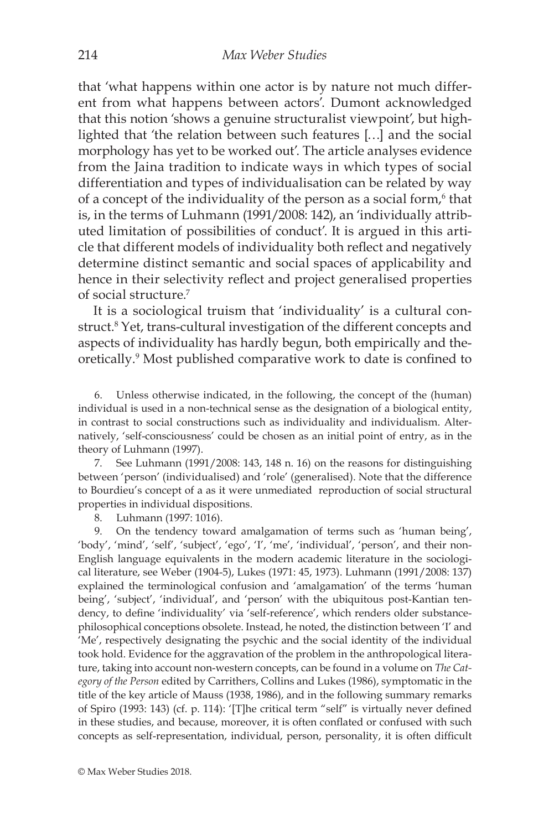that 'what happens within one actor is by nature not much different from what happens between actors'. Dumont acknowledged that this notion 'shows a genuine structuralist viewpoint', but highlighted that 'the relation between such features […] and the social morphology has yet to be worked out'. The article analyses evidence from the Jaina tradition to indicate ways in which types of social differentiation and types of individualisation can be related by way of a concept of the individuality of the person as a social form, $6$  that is, in the terms of Luhmann (1991/2008: 142), an 'individually attributed limitation of possibilities of conduct'. It is argued in this article that different models of individuality both reflect and negatively determine distinct semantic and social spaces of applicability and hence in their selectivity reflect and project generalised properties of social structure.7

It is a sociological truism that 'individuality' is a cultural construct.8 Yet, trans-cultural investigation of the different concepts and aspects of individuality has hardly begun, both empirically and theoretically.9 Most published comparative work to date is confined to

6. Unless otherwise indicated, in the following, the concept of the (human) individual is used in a non-technical sense as the designation of a biological entity, in contrast to social constructions such as individuality and individualism. Alternatively, 'self-consciousness' could be chosen as an initial point of entry, as in the theory of Luhmann (1997).

7. See Luhmann (1991/2008: 143, 148 n. 16) on the reasons for distinguishing between 'person' (individualised) and 'role' (generalised). Note that the difference to Bourdieu's concept of a as it were unmediated reproduction of social structural properties in individual dispositions.

8. Luhmann (1997: 1016).

9. On the tendency toward amalgamation of terms such as 'human being', 'body', 'mind', 'self', 'subject', 'ego', 'I', 'me', 'individual', 'person', and their non-English language equivalents in the modern academic literature in the sociological literature, see Weber (1904-5), Lukes (1971: 45, 1973). Luhmann (1991/2008: 137) explained the terminological confusion and 'amalgamation' of the terms 'human being', 'subject', 'individual', and 'person' with the ubiquitous post-Kantian tendency, to define 'individuality' via 'self-reference', which renders older substancephilosophical conceptions obsolete. Instead, he noted, the distinction between 'I' and 'Me', respectively designating the psychic and the social identity of the individual took hold. Evidence for the aggravation of the problem in the anthropological literature, taking into account non-western concepts, can be found in a volume on *The Category of the Person* edited by Carrithers, Collins and Lukes (1986), symptomatic in the title of the key article of Mauss (1938, 1986), and in the following summary remarks of Spiro (1993: 143) (cf. p. 114): '[T]he critical term "self" is virtually never defined in these studies, and because, moreover, it is often conflated or confused with such concepts as self-representation, individual, person, personality, it is often difficult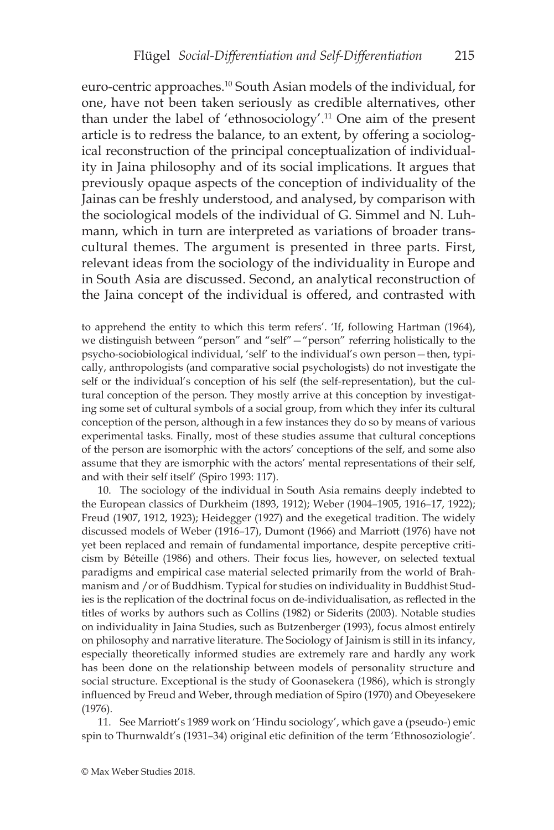euro-centric approaches.10 South Asian models of the individual, for one, have not been taken seriously as credible alternatives, other than under the label of 'ethnosociology'.11 One aim of the present article is to redress the balance, to an extent, by offering a sociological reconstruction of the principal conceptualization of individuality in Jaina philosophy and of its social implications. It argues that previously opaque aspects of the conception of individuality of the Jainas can be freshly understood, and analysed, by comparison with the sociological models of the individual of G. Simmel and N. Luhmann, which in turn are interpreted as variations of broader transcultural themes. The argument is presented in three parts. First, relevant ideas from the sociology of the individuality in Europe and in South Asia are discussed. Second, an analytical reconstruction of the Jaina concept of the individual is offered, and contrasted with

to apprehend the entity to which this term refers'. 'If, following Hartman (1964), we distinguish between "person" and "self"—"person" referring holistically to the psycho-sociobiological individual, 'self' to the individual's own person—then, typically, anthropologists (and comparative social psychologists) do not investigate the self or the individual's conception of his self (the self-representation), but the cultural conception of the person. They mostly arrive at this conception by investigating some set of cultural symbols of a social group, from which they infer its cultural conception of the person, although in a few instances they do so by means of various experimental tasks. Finally, most of these studies assume that cultural conceptions of the person are isomorphic with the actors' conceptions of the self, and some also assume that they are ismorphic with the actors' mental representations of their self, and with their self itself' (Spiro 1993: 117).

10. The sociology of the individual in South Asia remains deeply indebted to the European classics of Durkheim (1893, 1912); Weber (1904–1905, 1916–17, 1922); Freud (1907, 1912, 1923); Heidegger (1927) and the exegetical tradition. The widely discussed models of Weber (1916–17), Dumont (1966) and Marriott (1976) have not yet been replaced and remain of fundamental importance, despite perceptive criticism by Béteille (1986) and others. Their focus lies, however, on selected textual paradigms and empirical case material selected primarily from the world of Brahmanism and /or of Buddhism. Typical for studies on individuality in Buddhist Studies is the replication of the doctrinal focus on de-individualisation, as reflected in the titles of works by authors such as Collins (1982) or Siderits (2003). Notable studies on individuality in Jaina Studies, such as Butzenberger (1993), focus almost entirely on philosophy and narrative literature. The Sociology of Jainism is still in its infancy, especially theoretically informed studies are extremely rare and hardly any work has been done on the relationship between models of personality structure and social structure. Exceptional is the study of Goonasekera (1986), which is strongly influenced by Freud and Weber, through mediation of Spiro (1970) and Obeyesekere (1976).

11. See Marriott's 1989 work on 'Hindu sociology', which gave a (pseudo-) emic spin to Thurnwaldt's (1931–34) original etic definition of the term 'Ethnosoziologie'.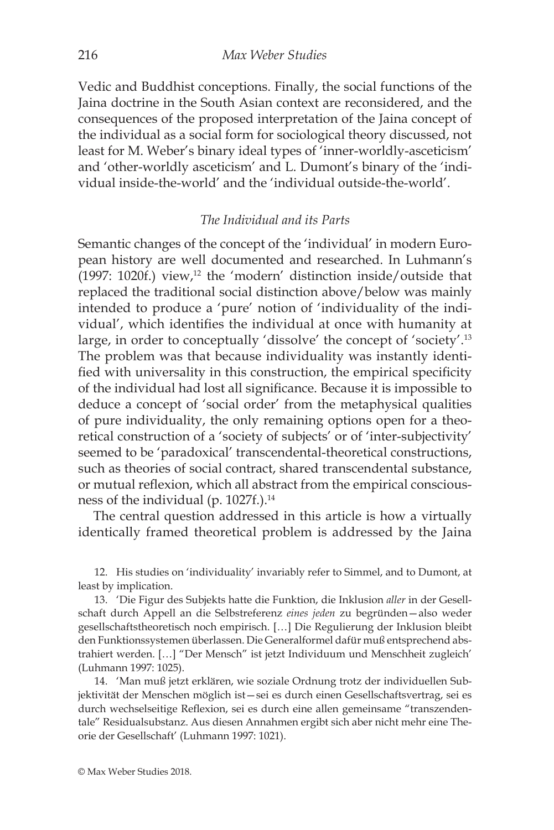Vedic and Buddhist conceptions. Finally, the social functions of the Jaina doctrine in the South Asian context are reconsidered, and the consequences of the proposed interpretation of the Jaina concept of the individual as a social form for sociological theory discussed, not least for M. Weber's binary ideal types of 'inner-worldly-asceticism' and 'other-worldly asceticism' and L. Dumont's binary of the 'individual inside-the-world' and the 'individual outside-the-world'.

### *The Individual and its Parts*

Semantic changes of the concept of the 'individual' in modern European history are well documented and researched. In Luhmann's  $(1997: 1020f.)$  view,<sup>12</sup> the 'modern' distinction inside/outside that replaced the traditional social distinction above/below was mainly intended to produce a 'pure' notion of 'individuality of the individual', which identifies the individual at once with humanity at large, in order to conceptually 'dissolve' the concept of 'society'.<sup>13</sup> The problem was that because individuality was instantly identified with universality in this construction, the empirical specificity of the individual had lost all significance. Because it is impossible to deduce a concept of 'social order' from the metaphysical qualities of pure individuality, the only remaining options open for a theoretical construction of a 'society of subjects' or of 'inter-subjectivity' seemed to be 'paradoxical' transcendental-theoretical constructions, such as theories of social contract, shared transcendental substance, or mutual reflexion, which all abstract from the empirical consciousness of the individual (p.  $1027f$ .).<sup>14</sup>

The central question addressed in this article is how a virtually identically framed theoretical problem is addressed by the Jaina

12. His studies on 'individuality' invariably refer to Simmel, and to Dumont, at least by implication.

13. 'Die Figur des Subjekts hatte die Funktion, die Inklusion *aller* in der Gesellschaft durch Appell an die Selbstreferenz *eines jeden* zu begründen—also weder gesellschaftstheoretisch noch empirisch. […] Die Regulierung der Inklusion bleibt den Funktionssystemen überlassen. Die Generalformel dafür muß entsprechend abstrahiert werden. […] "Der Mensch" ist jetzt Individuum und Menschheit zugleich' (Luhmann 1997: 1025).

14. 'Man muß jetzt erklären, wie soziale Ordnung trotz der individuellen Subjektivität der Menschen möglich ist—sei es durch einen Gesellschaftsvertrag, sei es durch wechselseitige Reflexion, sei es durch eine allen gemeinsame "transzendentale" Residualsubstanz. Aus diesen Annahmen ergibt sich aber nicht mehr eine Theorie der Gesellschaft' (Luhmann 1997: 1021).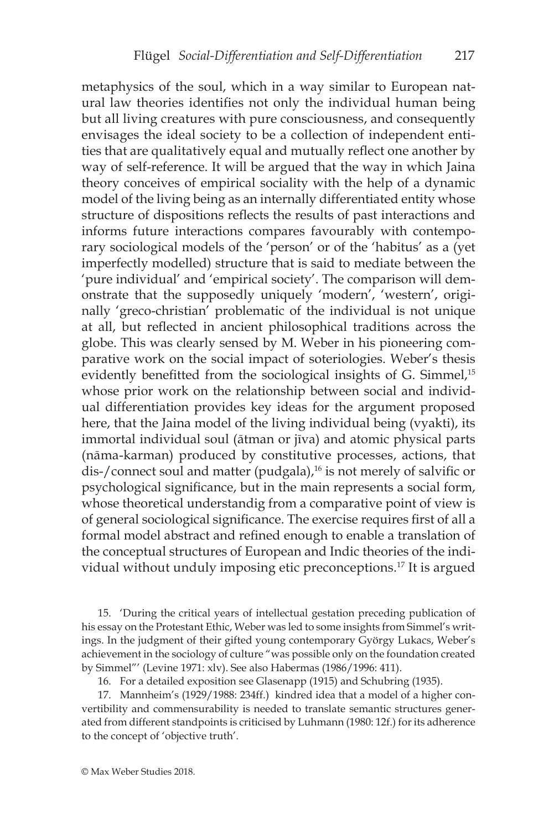metaphysics of the soul, which in a way similar to European natural law theories identifies not only the individual human being but all living creatures with pure consciousness, and consequently envisages the ideal society to be a collection of independent entities that are qualitatively equal and mutually reflect one another by way of self-reference. It will be argued that the way in which Jaina theory conceives of empirical sociality with the help of a dynamic model of the living being as an internally differentiated entity whose structure of dispositions reflects the results of past interactions and informs future interactions compares favourably with contemporary sociological models of the 'person' or of the 'habitus' as a (yet imperfectly modelled) structure that is said to mediate between the 'pure individual' and 'empirical society'. The comparison will demonstrate that the supposedly uniquely 'modern', 'western', originally 'greco-christian' problematic of the individual is not unique at all, but reflected in ancient philosophical traditions across the globe. This was clearly sensed by M. Weber in his pioneering comparative work on the social impact of soteriologies. Weber's thesis evidently benefitted from the sociological insights of G. Simmel,<sup>15</sup> whose prior work on the relationship between social and individual differentiation provides key ideas for the argument proposed here, that the Jaina model of the living individual being (vyakti), its immortal individual soul (ātman or jīva) and atomic physical parts (nāma-karman) produced by constitutive processes, actions, that dis-/connect soul and matter (pudgala),<sup>16</sup> is not merely of salvific or psychological significance, but in the main represents a social form, whose theoretical understandig from a comparative point of view is of general sociological significance. The exercise requires first of all a formal model abstract and refined enough to enable a translation of the conceptual structures of European and Indic theories of the individual without unduly imposing etic preconceptions.17 It is argued

15. 'During the critical years of intellectual gestation preceding publication of his essay on the Protestant Ethic, Weber was led to some insights from Simmel's writings. In the judgment of their gifted young contemporary György Lukacs, Weber's achievement in the sociology of culture "was possible only on the foundation created by Simmel"' (Levine 1971: xlv). See also Habermas (1986/1996: 411).

16. For a detailed exposition see Glasenapp (1915) and Schubring (1935).

17. Mannheim's (1929/1988: 234ff.) kindred idea that a model of a higher convertibility and commensurability is needed to translate semantic structures generated from different standpoints is criticised by Luhmann (1980: 12f.) for its adherence to the concept of 'objective truth'.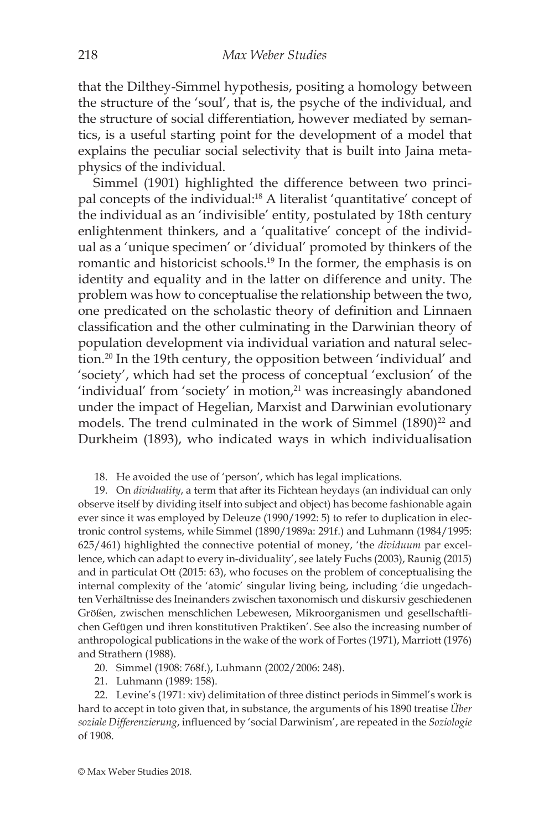that the Dilthey-Simmel hypothesis, positing a homology between the structure of the 'soul', that is, the psyche of the individual, and the structure of social differentiation, however mediated by semantics, is a useful starting point for the development of a model that explains the peculiar social selectivity that is built into Jaina metaphysics of the individual.

Simmel (1901) highlighted the difference between two principal concepts of the individual:18 A literalist 'quantitative' concept of the individual as an 'indivisible' entity, postulated by 18th century enlightenment thinkers, and a 'qualitative' concept of the individual as a 'unique specimen' or 'dividual' promoted by thinkers of the romantic and historicist schools.19 In the former, the emphasis is on identity and equality and in the latter on difference and unity. The problem was how to conceptualise the relationship between the two, one predicated on the scholastic theory of definition and Linnaen classification and the other culminating in the Darwinian theory of population development via individual variation and natural selection.<sup>20</sup> In the 19th century, the opposition between 'individual' and 'society', which had set the process of conceptual 'exclusion' of the 'individual' from 'society' in motion, $21$  was increasingly abandoned under the impact of Hegelian, Marxist and Darwinian evolutionary models. The trend culminated in the work of Simmel (1890)<sup>22</sup> and Durkheim (1893), who indicated ways in which individualisation

18. He avoided the use of 'person', which has legal implications.

19. On *dividuality*, a term that after its Fichtean heydays (an individual can only observe itself by dividing itself into subject and object) has become fashionable again ever since it was employed by Deleuze (1990/1992: 5) to refer to duplication in electronic control systems, while Simmel (1890/1989a: 291f.) and Luhmann (1984/1995: 625/461) highlighted the connective potential of money, 'the *dividuum* par excellence, which can adapt to every in-dividuality', see lately Fuchs (2003), Raunig (2015) and in particulat Ott (2015: 63), who focuses on the problem of conceptualising the internal complexity of the 'atomic' singular living being, including 'die ungedachten Verhältnisse des Ineinanders zwischen taxonomisch und diskursiv geschiedenen Größen, zwischen menschlichen Lebewesen, Mikroorganismen und gesellschaftlichen Gefügen und ihren konstitutiven Praktiken'. See also the increasing number of anthropological publications in the wake of the work of Fortes (1971), Marriott (1976) and Strathern (1988).

20. Simmel (1908: 768f.), Luhmann (2002/2006: 248).

21. Luhmann (1989: 158).

22. Levine's (1971: xiv) delimitation of three distinct periods in Simmel's work is hard to accept in toto given that, in substance, the arguments of his 1890 treatise *Über soziale Differenzierung*, influenced by 'social Darwinism', are repeated in the *Soziologie* of 1908.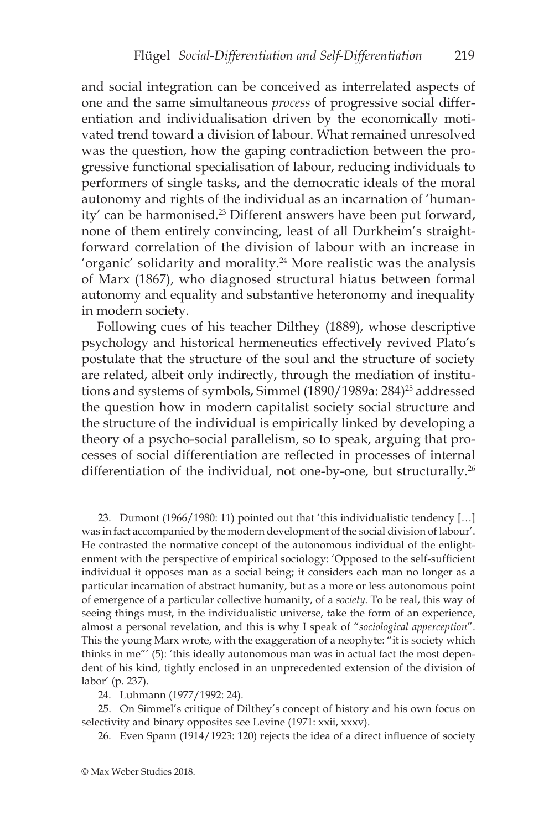and social integration can be conceived as interrelated aspects of one and the same simultaneous *process* of progressive social differentiation and individualisation driven by the economically motivated trend toward a division of labour. What remained unresolved was the question, how the gaping contradiction between the progressive functional specialisation of labour, reducing individuals to performers of single tasks, and the democratic ideals of the moral autonomy and rights of the individual as an incarnation of 'humanity' can be harmonised.<sup>23</sup> Different answers have been put forward, none of them entirely convincing, least of all Durkheim's straightforward correlation of the division of labour with an increase in 'organic' solidarity and morality.24 More realistic was the analysis of Marx (1867), who diagnosed structural hiatus between formal autonomy and equality and substantive heteronomy and inequality in modern society.

Following cues of his teacher Dilthey (1889), whose descriptive psychology and historical hermeneutics effectively revived Plato's postulate that the structure of the soul and the structure of society are related, albeit only indirectly, through the mediation of institutions and systems of symbols, Simmel (1890/1989a: 284)<sup>25</sup> addressed the question how in modern capitalist society social structure and the structure of the individual is empirically linked by developing a theory of a psycho-social parallelism, so to speak, arguing that processes of social differentiation are reflected in processes of internal differentiation of the individual, not one-by-one, but structurally.<sup>26</sup>

23. Dumont (1966/1980: 11) pointed out that 'this individualistic tendency […] was in fact accompanied by the modern development of the social division of labour'. He contrasted the normative concept of the autonomous individual of the enlightenment with the perspective of empirical sociology: 'Opposed to the self-sufficient individual it opposes man as a social being; it considers each man no longer as a particular incarnation of abstract humanity, but as a more or less autonomous point of emergence of a particular collective humanity, of a *society*. To be real, this way of seeing things must, in the individualistic universe, take the form of an experience, almost a personal revelation, and this is why I speak of "*sociological apperception*". This the young Marx wrote, with the exaggeration of a neophyte: "it is society which thinks in me"' (5): 'this ideally autonomous man was in actual fact the most dependent of his kind, tightly enclosed in an unprecedented extension of the division of labor' (p. 237).

24. Luhmann (1977/1992: 24).

25. On Simmel's critique of Dilthey's concept of history and his own focus on selectivity and binary opposites see Levine (1971: xxii, xxxv).

26. Even Spann (1914/1923: 120) rejects the idea of a direct influence of society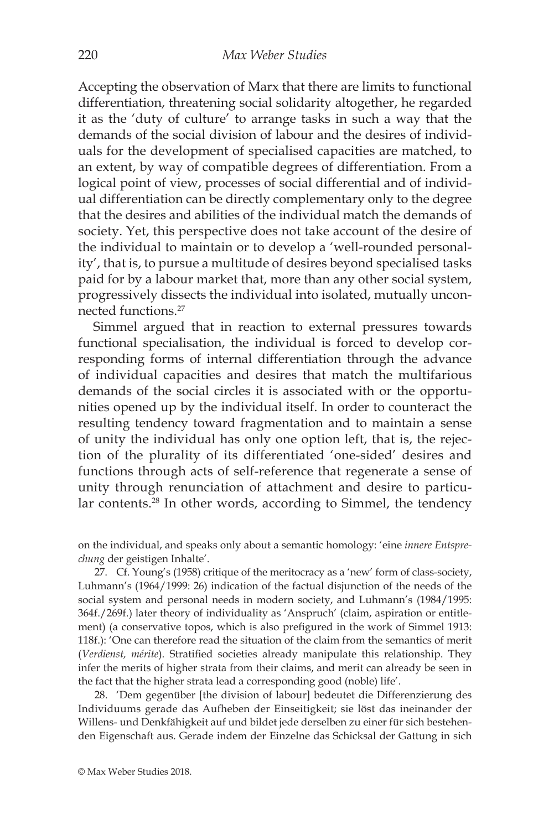Accepting the observation of Marx that there are limits to functional differentiation, threatening social solidarity altogether, he regarded it as the 'duty of culture' to arrange tasks in such a way that the demands of the social division of labour and the desires of individuals for the development of specialised capacities are matched, to an extent, by way of compatible degrees of differentiation. From a logical point of view, processes of social differential and of individual differentiation can be directly complementary only to the degree that the desires and abilities of the individual match the demands of society. Yet, this perspective does not take account of the desire of the individual to maintain or to develop a 'well-rounded personality', that is, to pursue a multitude of desires beyond specialised tasks paid for by a labour market that, more than any other social system, progressively dissects the individual into isolated, mutually unconnected functions.27

Simmel argued that in reaction to external pressures towards functional specialisation, the individual is forced to develop corresponding forms of internal differentiation through the advance of individual capacities and desires that match the multifarious demands of the social circles it is associated with or the opportunities opened up by the individual itself. In order to counteract the resulting tendency toward fragmentation and to maintain a sense of unity the individual has only one option left, that is, the rejection of the plurality of its differentiated 'one-sided' desires and functions through acts of self-reference that regenerate a sense of unity through renunciation of attachment and desire to particular contents.<sup>28</sup> In other words, according to Simmel, the tendency

on the individual, and speaks only about a semantic homology: 'eine *innere Entsprechung* der geistigen Inhalte'.

27. Cf. Young's (1958) critique of the meritocracy as a 'new' form of class-society, Luhmann's (1964/1999: 26) indication of the factual disjunction of the needs of the social system and personal needs in modern society, and Luhmann's (1984/1995: 364f./269f.) later theory of individuality as 'Anspruch' (claim, aspiration or entitlement) (a conservative topos, which is also prefigured in the work of Simmel 1913: 118f.): 'One can therefore read the situation of the claim from the semantics of merit (*Verdienst, mérite*). Stratified societies already manipulate this relationship. They infer the merits of higher strata from their claims, and merit can already be seen in the fact that the higher strata lead a corresponding good (noble) life'.

28. 'Dem gegenüber [the division of labour] bedeutet die Differenzierung des Individuums gerade das Aufheben der Einseitigkeit; sie löst das ineinander der Willens- und Denkfähigkeit auf und bildet jede derselben zu einer für sich bestehenden Eigenschaft aus. Gerade indem der Einzelne das Schicksal der Gattung in sich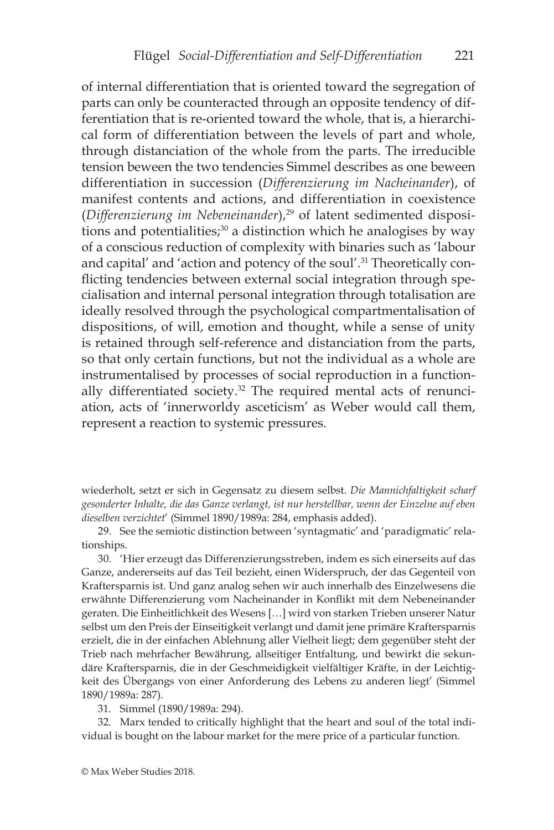of internal differentiation that is oriented toward the segregation of parts can only be counteracted through an opposite tendency of differentiation that is re-oriented toward the whole, that is, a hierarchical form of differentiation between the levels of part and whole, through distanciation of the whole from the parts. The irreducible tension beween the two tendencies Simmel describes as one beween differentiation in succession (*Differenzierung im Nacheinander*), of manifest contents and actions, and differentiation in coexistence (Differenzierung im Nebeneinander),<sup>29</sup> of latent sedimented dispositions and potentialities;<sup>30</sup> a distinction which he analogises by way of a conscious reduction of complexity with binaries such as 'labour and capital' and 'action and potency of the soul'.<sup>31</sup> Theoretically conflicting tendencies between external social integration through specialisation and internal personal integration through totalisation are ideally resolved through the psychological compartmentalisation of dispositions, of will, emotion and thought, while a sense of unity is retained through self-reference and distanciation from the parts, so that only certain functions, but not the individual as a whole are instrumentalised by processes of social reproduction in a functionally differentiated society.32 The required mental acts of renunciation, acts of 'innerworldy asceticism' as Weber would call them, represent a reaction to systemic pressures.

wiederholt, setzt er sich in Gegensatz zu diesem selbst. *Die Mannichfaltigkeit scharf gesonderter Inhalte, die das Ganze verlangt, ist nur herstellbar, wenn der Einzelne auf eben dieselben verzichtet*' (Simmel 1890/1989a: 284, emphasis added).

29. See the semiotic distinction between 'syntagmatic' and 'paradigmatic' relationships.

30. 'Hier erzeugt das Differenzierungsstreben, indem es sich einerseits auf das Ganze, andererseits auf das Teil bezieht, einen Widerspruch, der das Gegenteil von Kraftersparnis ist. Und ganz analog sehen wir auch innerhalb des Einzelwesens die erwähnte Differenzierung vom Nacheinander in Konflikt mit dem Nebeneinander geraten. Die Einheitlichkeit des Wesens […] wird von starken Trieben unserer Natur selbst um den Preis der Einseitigkeit verlangt und damit jene primäre Kraftersparnis erzielt, die in der einfachen Ablehnung aller Vielheit liegt; dem gegenüber steht der Trieb nach mehrfacher Bewährung, allseitiger Entfaltung, und bewirkt die sekundäre Kraftersparnis, die in der Geschmeidigkeit vielfältiger Kräfte, in der Leichtigkeit des Übergangs von einer Anforderung des Lebens zu anderen liegt' (Simmel 1890/1989a: 287).

31. Simmel (1890/1989a: 294).

32. Marx tended to critically highlight that the heart and soul of the total individual is bought on the labour market for the mere price of a particular function.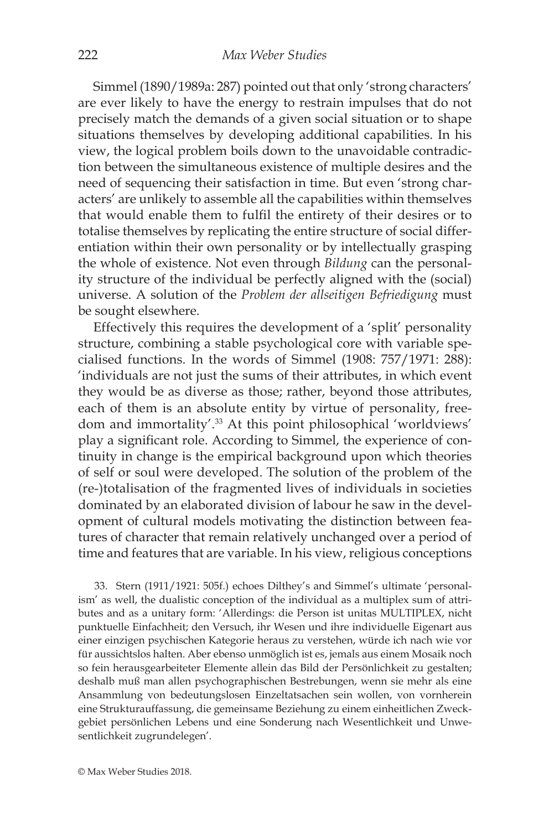Simmel (1890/1989a: 287) pointed out that only 'strong characters' are ever likely to have the energy to restrain impulses that do not precisely match the demands of a given social situation or to shape situations themselves by developing additional capabilities. In his view, the logical problem boils down to the unavoidable contradiction between the simultaneous existence of multiple desires and the need of sequencing their satisfaction in time. But even 'strong characters' are unlikely to assemble all the capabilities within themselves that would enable them to fulfil the entirety of their desires or to totalise themselves by replicating the entire structure of social differentiation within their own personality or by intellectually grasping the whole of existence. Not even through *Bildung* can the personality structure of the individual be perfectly aligned with the (social) universe. A solution of the *Problem der allseitigen Befriedigung* must be sought elsewhere.

Effectively this requires the development of a 'split' personality structure, combining a stable psychological core with variable specialised functions. In the words of Simmel (1908: 757/1971: 288): 'individuals are not just the sums of their attributes, in which event they would be as diverse as those; rather, beyond those attributes, each of them is an absolute entity by virtue of personality, freedom and immortality'.33 At this point philosophical 'worldviews' play a significant role. According to Simmel, the experience of continuity in change is the empirical background upon which theories of self or soul were developed. The solution of the problem of the (re-)totalisation of the fragmented lives of individuals in societies dominated by an elaborated division of labour he saw in the development of cultural models motivating the distinction between features of character that remain relatively unchanged over a period of time and features that are variable. In his view, religious conceptions

33. Stern (1911/1921: 505f.) echoes Dilthey's and Simmel's ultimate 'personalism' as well, the dualistic conception of the individual as a multiplex sum of attributes and as a unitary form: 'Allerdings: die Person ist unitas MULTIPLEX, nicht punktuelle Einfachheit; den Versuch, ihr Wesen und ihre individuelle Eigenart aus einer einzigen psychischen Kategorie heraus zu verstehen, würde ich nach wie vor für aussichtslos halten. Aber ebenso unmöglich ist es, jemals aus einem Mosaik noch so fein herausgearbeiteter Elemente allein das Bild der Persönlichkeit zu gestalten; deshalb muß man allen psychographischen Bestrebungen, wenn sie mehr als eine Ansammlung von bedeutungslosen Einzeltatsachen sein wollen, von vornherein eine Strukturauffassung, die gemeinsame Beziehung zu einem einheitlichen Zweckgebiet persönlichen Lebens und eine Sonderung nach Wesentlichkeit und Unwesentlichkeit zugrundelegen'.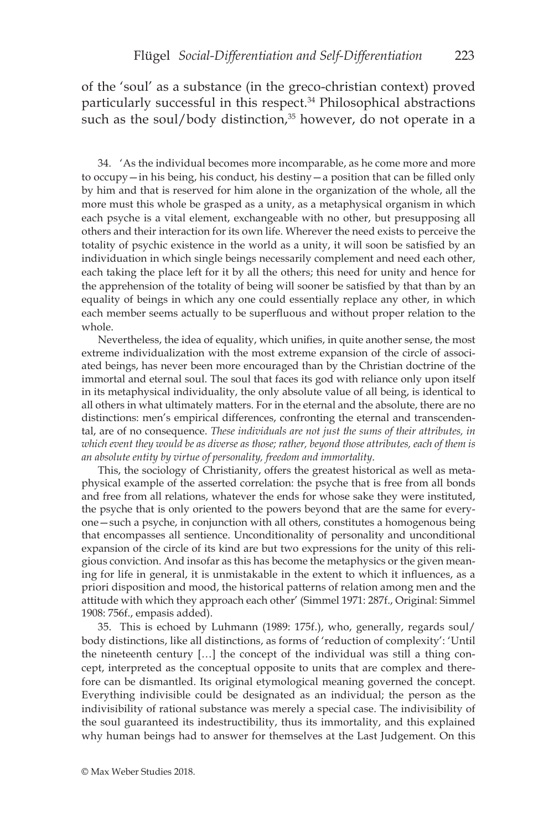of the 'soul' as a substance (in the greco-christian context) proved particularly successful in this respect.<sup>34</sup> Philosophical abstractions such as the soul/body distinction, $35$  however, do not operate in a

34. 'As the individual becomes more incomparable, as he come more and more to occupy—in his being, his conduct, his destiny—a position that can be filled only by him and that is reserved for him alone in the organization of the whole, all the more must this whole be grasped as a unity, as a metaphysical organism in which each psyche is a vital element, exchangeable with no other, but presupposing all others and their interaction for its own life. Wherever the need exists to perceive the totality of psychic existence in the world as a unity, it will soon be satisfied by an individuation in which single beings necessarily complement and need each other, each taking the place left for it by all the others; this need for unity and hence for the apprehension of the totality of being will sooner be satisfied by that than by an equality of beings in which any one could essentially replace any other, in which each member seems actually to be superfluous and without proper relation to the whole.

Nevertheless, the idea of equality, which unifies, in quite another sense, the most extreme individualization with the most extreme expansion of the circle of associated beings, has never been more encouraged than by the Christian doctrine of the immortal and eternal soul. The soul that faces its god with reliance only upon itself in its metaphysical individuality, the only absolute value of all being, is identical to all others in what ultimately matters. For in the eternal and the absolute, there are no distinctions: men's empirical differences, confronting the eternal and transcendental, are of no consequence. *These individuals are not just the sums of their attributes, in which event they would be as diverse as those; rather, beyond those attributes, each of them is an absolute entity by virtue of personality, freedom and immortality*.

This, the sociology of Christianity, offers the greatest historical as well as metaphysical example of the asserted correlation: the psyche that is free from all bonds and free from all relations, whatever the ends for whose sake they were instituted, the psyche that is only oriented to the powers beyond that are the same for everyone—such a psyche, in conjunction with all others, constitutes a homogenous being that encompasses all sentience. Unconditionality of personality and unconditional expansion of the circle of its kind are but two expressions for the unity of this religious conviction. And insofar as this has become the metaphysics or the given meaning for life in general, it is unmistakable in the extent to which it influences, as a priori disposition and mood, the historical patterns of relation among men and the attitude with which they approach each other' (Simmel 1971: 287f., Original: Simmel 1908: 756f., empasis added).

35. This is echoed by Luhmann (1989: 175f.), who, generally, regards soul/ body distinctions, like all distinctions, as forms of 'reduction of complexity': 'Until the nineteenth century […] the concept of the individual was still a thing concept, interpreted as the conceptual opposite to units that are complex and therefore can be dismantled. Its original etymological meaning governed the concept. Everything indivisible could be designated as an individual; the person as the indivisibility of rational substance was merely a special case. The indivisibility of the soul guaranteed its indestructibility, thus its immortality, and this explained why human beings had to answer for themselves at the Last Judgement. On this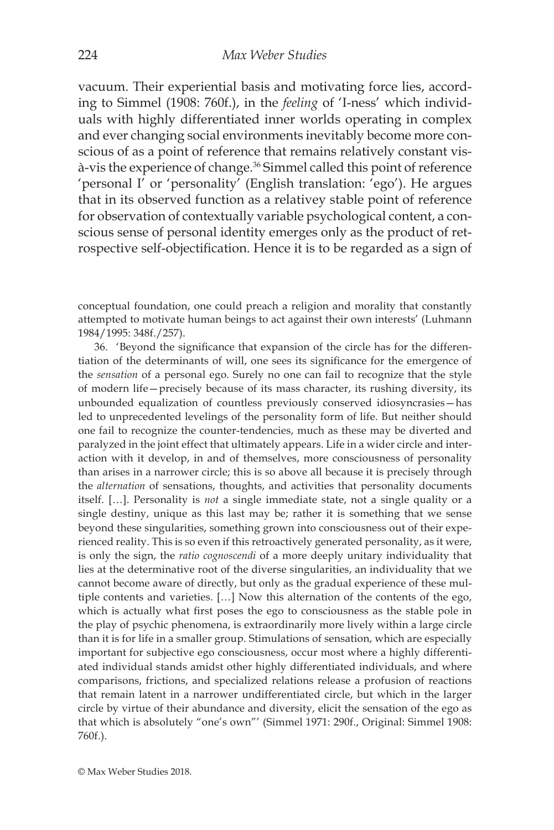vacuum. Their experiential basis and motivating force lies, according to Simmel (1908: 760f.), in the *feeling* of 'I-ness' which individuals with highly differentiated inner worlds operating in complex and ever changing social environments inevitably become more conscious of as a point of reference that remains relatively constant visà-vis the experience of change.36 Simmel called this point of reference 'personal I' or 'personality' (English translation: 'ego'). He argues that in its observed function as a relativey stable point of reference for observation of contextually variable psychological content, a conscious sense of personal identity emerges only as the product of retrospective self-objectification. Hence it is to be regarded as a sign of

conceptual foundation, one could preach a religion and morality that constantly attempted to motivate human beings to act against their own interests' (Luhmann 1984/1995: 348f./257).

36. 'Beyond the significance that expansion of the circle has for the differentiation of the determinants of will, one sees its significance for the emergence of the *sensation* of a personal ego. Surely no one can fail to recognize that the style of modern life—precisely because of its mass character, its rushing diversity, its unbounded equalization of countless previously conserved idiosyncrasies—has led to unprecedented levelings of the personality form of life. But neither should one fail to recognize the counter-tendencies, much as these may be diverted and paralyzed in the joint effect that ultimately appears. Life in a wider circle and interaction with it develop, in and of themselves, more consciousness of personality than arises in a narrower circle; this is so above all because it is precisely through the *alternation* of sensations, thoughts, and activities that personality documents itself. […]. Personality is *not* a single immediate state, not a single quality or a single destiny, unique as this last may be; rather it is something that we sense beyond these singularities, something grown into consciousness out of their experienced reality. This is so even if this retroactively generated personality, as it were, is only the sign, the *ratio cognoscendi* of a more deeply unitary individuality that lies at the determinative root of the diverse singularities, an individuality that we cannot become aware of directly, but only as the gradual experience of these multiple contents and varieties. […] Now this alternation of the contents of the ego, which is actually what first poses the ego to consciousness as the stable pole in the play of psychic phenomena, is extraordinarily more lively within a large circle than it is for life in a smaller group. Stimulations of sensation, which are especially important for subjective ego consciousness, occur most where a highly differentiated individual stands amidst other highly differentiated individuals, and where comparisons, frictions, and specialized relations release a profusion of reactions that remain latent in a narrower undifferentiated circle, but which in the larger circle by virtue of their abundance and diversity, elicit the sensation of the ego as that which is absolutely "one's own"' (Simmel 1971: 290f., Original: Simmel 1908: 760f.).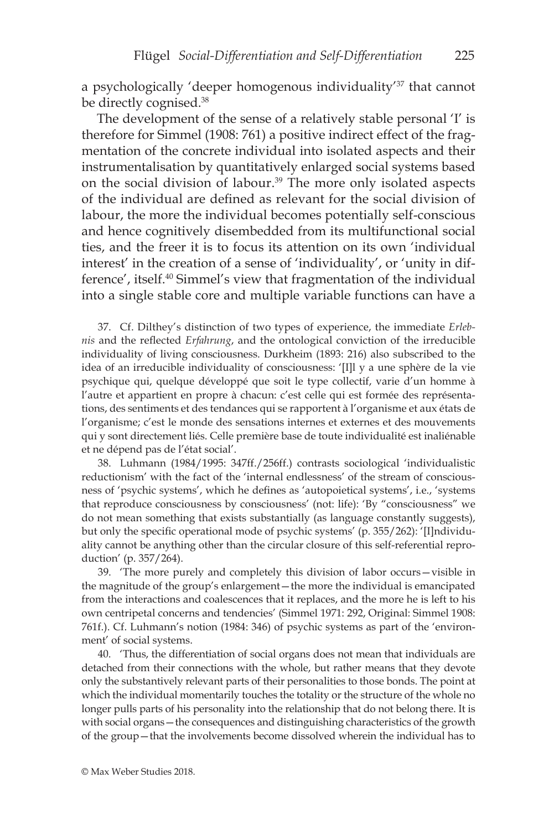a psychologically 'deeper homogenous individuality'37 that cannot be directly cognised.<sup>38</sup>

The development of the sense of a relatively stable personal 'I' is therefore for Simmel (1908: 761) a positive indirect effect of the fragmentation of the concrete individual into isolated aspects and their instrumentalisation by quantitatively enlarged social systems based on the social division of labour.<sup>39</sup> The more only isolated aspects of the individual are defined as relevant for the social division of labour, the more the individual becomes potentially self-conscious and hence cognitively disembedded from its multifunctional social ties, and the freer it is to focus its attention on its own 'individual interest' in the creation of a sense of 'individuality', or 'unity in difference', itself.40 Simmel's view that fragmentation of the individual into a single stable core and multiple variable functions can have a

37. Cf. Dilthey's distinction of two types of experience, the immediate *Erlebnis* and the reflected *Erfahrung*, and the ontological conviction of the irreducible individuality of living consciousness. Durkheim (1893: 216) also subscribed to the idea of an irreducible individuality of consciousness: '[I]l y a une sphère de la vie psychique qui, quelque développé que soit le type collectif, varie d'un homme à l'autre et appartient en propre à chacun: c'est celle qui est formée des représentations, des sentiments et des tendances qui se rapportent à l'organisme et aux états de l'organisme; c'est le monde des sensations internes et externes et des mouvements qui y sont directement liés. Celle première base de toute individualité est inaliénable et ne dépend pas de l'état social'.

38. Luhmann (1984/1995: 347ff./256ff.) contrasts sociological 'individualistic reductionism' with the fact of the 'internal endlessness' of the stream of consciousness of 'psychic systems', which he defines as 'autopoietical systems', i.e., 'systems that reproduce consciousness by consciousness' (not: life): 'By "consciousness" we do not mean something that exists substantially (as language constantly suggests), but only the specific operational mode of psychic systems' (p. 355/262): '[I]ndividuality cannot be anything other than the circular closure of this self-referential reproduction' (p. 357/264).

39. 'The more purely and completely this division of labor occurs—visible in the magnitude of the group's enlargement—the more the individual is emancipated from the interactions and coalescences that it replaces, and the more he is left to his own centripetal concerns and tendencies' (Simmel 1971: 292, Original: Simmel 1908: 761f.). Cf. Luhmann's notion (1984: 346) of psychic systems as part of the 'environment' of social systems.

40. 'Thus, the differentiation of social organs does not mean that individuals are detached from their connections with the whole, but rather means that they devote only the substantively relevant parts of their personalities to those bonds. The point at which the individual momentarily touches the totality or the structure of the whole no longer pulls parts of his personality into the relationship that do not belong there. It is with social organs—the consequences and distinguishing characteristics of the growth of the group—that the involvements become dissolved wherein the individual has to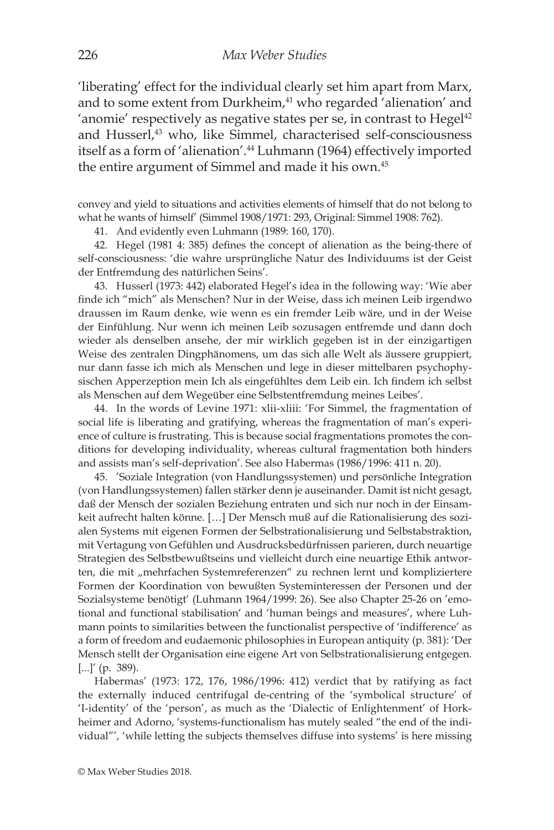'liberating' effect for the individual clearly set him apart from Marx, and to some extent from Durkheim,<sup>41</sup> who regarded 'alienation' and 'anomie' respectively as negative states per se, in contrast to  $Hegel<sup>42</sup>$ and Husserl,<sup>43</sup> who, like Simmel, characterised self-consciousness itself as a form of 'alienation'.<sup>44</sup> Luhmann (1964) effectively imported the entire argument of Simmel and made it his own.<sup>45</sup>

convey and yield to situations and activities elements of himself that do not belong to what he wants of himself' (Simmel 1908/1971: 293, Original: Simmel 1908: 762).

41. And evidently even Luhmann (1989: 160, 170).

42. Hegel (1981 4: 385) defines the concept of alienation as the being-there of self-consciousness: 'die wahre ursprüngliche Natur des Individuums ist der Geist der Entfremdung des natürlichen Seins'.

43. Husserl (1973: 442) elaborated Hegel's idea in the following way: 'Wie aber finde ich "mich" als Menschen? Nur in der Weise, dass ich meinen Leib irgendwo draussen im Raum denke, wie wenn es ein fremder Leib wäre, und in der Weise der Einfühlung. Nur wenn ich meinen Leib sozusagen entfremde und dann doch wieder als denselben ansehe, der mir wirklich gegeben ist in der einzigartigen Weise des zentralen Dingphänomens, um das sich alle Welt als äussere gruppiert, nur dann fasse ich mich als Menschen und lege in dieser mittelbaren psychophysischen Apperzeption mein Ich als eingefühltes dem Leib ein. Ich findem ich selbst als Menschen auf dem Wegeüber eine Selbstentfremdung meines Leibes'.

44. In the words of Levine 1971: xlii-xliii: 'For Simmel, the fragmentation of social life is liberating and gratifying, whereas the fragmentation of man's experience of culture is frustrating. This is because social fragmentations promotes the conditions for developing individuality, whereas cultural fragmentation both hinders and assists man's self-deprivation'. See also Habermas (1986/1996: 411 n. 20).

45. 'Soziale Integration (von Handlungssystemen) und persönliche Integration (von Handlungssystemen) fallen stärker denn je auseinander. Damit ist nicht gesagt, daß der Mensch der sozialen Beziehung entraten und sich nur noch in der Einsamkeit aufrecht halten könne. […] Der Mensch muß auf die Rationalisierung des sozialen Systems mit eigenen Formen der Selbstrationalisierung und Selbstabstraktion, mit Vertagung von Gefühlen und Ausdrucksbedürfnissen parieren, durch neuartige Strategien des Selbstbewußtseins und vielleicht durch eine neuartige Ethik antworten, die mit "mehrfachen Systemreferenzen" zu rechnen lernt und kompliziertere Formen der Koordination von bewußten Systeminteressen der Personen und der Sozialsysteme benötigt' (Luhmann 1964/1999: 26). See also Chapter 25-26 on 'emotional and functional stabilisation' and 'human beings and measures', where Luhmann points to similarities between the functionalist perspective of 'indifference' as a form of freedom and eudaemonic philosophies in European antiquity (p. 381): 'Der Mensch stellt der Organisation eine eigene Art von Selbstrationalisierung entgegen. [...]' (p. 389).

Habermas' (1973: 172, 176, 1986/1996: 412) verdict that by ratifying as fact the externally induced centrifugal de-centring of the 'symbolical structure' of 'I-identity' of the 'person', as much as the 'Dialectic of Enlightenment' of Horkheimer and Adorno, 'systems-functionalism has mutely sealed "the end of the individual"', 'while letting the subjects themselves diffuse into systems' is here missing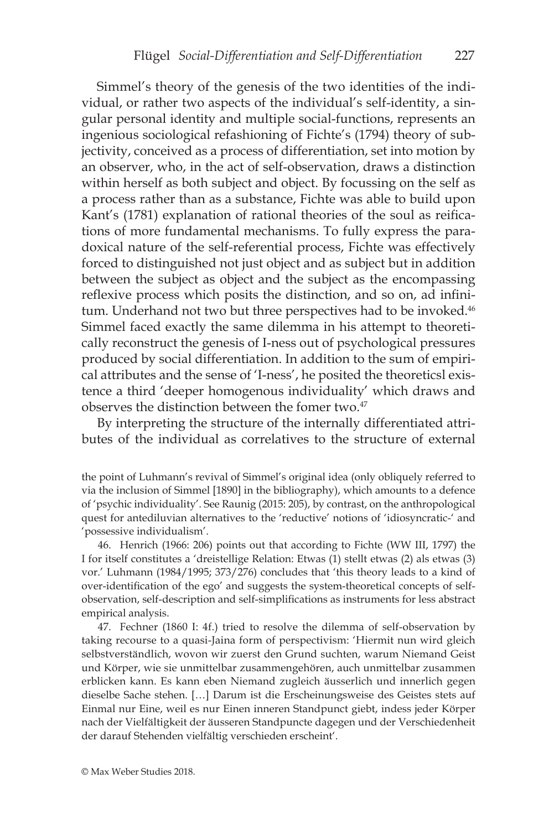Simmel's theory of the genesis of the two identities of the individual, or rather two aspects of the individual's self-identity, a singular personal identity and multiple social-functions, represents an ingenious sociological refashioning of Fichte's (1794) theory of subjectivity, conceived as a process of differentiation, set into motion by an observer, who, in the act of self-observation, draws a distinction within herself as both subject and object. By focussing on the self as a process rather than as a substance, Fichte was able to build upon Kant's (1781) explanation of rational theories of the soul as reifications of more fundamental mechanisms. To fully express the paradoxical nature of the self-referential process, Fichte was effectively forced to distinguished not just object and as subject but in addition between the subject as object and the subject as the encompassing reflexive process which posits the distinction, and so on, ad infinitum. Underhand not two but three perspectives had to be invoked.<sup>46</sup> Simmel faced exactly the same dilemma in his attempt to theoretically reconstruct the genesis of I-ness out of psychological pressures produced by social differentiation. In addition to the sum of empirical attributes and the sense of 'I-ness', he posited the theoreticsl existence a third 'deeper homogenous individuality' which draws and observes the distinction between the fomer two.<sup>47</sup>

By interpreting the structure of the internally differentiated attributes of the individual as correlatives to the structure of external

the point of Luhmann's revival of Simmel's original idea (only obliquely referred to via the inclusion of Simmel [1890] in the bibliography), which amounts to a defence of 'psychic individuality'. See Raunig (2015: 205), by contrast, on the anthropological quest for antediluvian alternatives to the 'reductive' notions of 'idiosyncratic-' and 'possessive individualism'.

46. Henrich (1966: 206) points out that according to Fichte (WW III, 1797) the I for itself constitutes a 'dreistellige Relation: Etwas (1) stellt etwas (2) als etwas (3) vor.' Luhmann (1984/1995; 373/276) concludes that 'this theory leads to a kind of over-identification of the ego' and suggests the system-theoretical concepts of selfobservation, self-description and self-simplifications as instruments for less abstract empirical analysis.

47. Fechner (1860 I: 4f.) tried to resolve the dilemma of self-observation by taking recourse to a quasi-Jaina form of perspectivism: 'Hiermit nun wird gleich selbstverständlich, wovon wir zuerst den Grund suchten, warum Niemand Geist und Körper, wie sie unmittelbar zusammengehören, auch unmittelbar zusammen erblicken kann. Es kann eben Niemand zugleich äusserlich und innerlich gegen dieselbe Sache stehen. […] Darum ist die Erscheinungsweise des Geistes stets auf Einmal nur Eine, weil es nur Einen inneren Standpunct giebt, indess jeder Körper nach der Vielfältigkeit der äusseren Standpuncte dagegen und der Verschiedenheit der darauf Stehenden vielfältig verschieden erscheint'.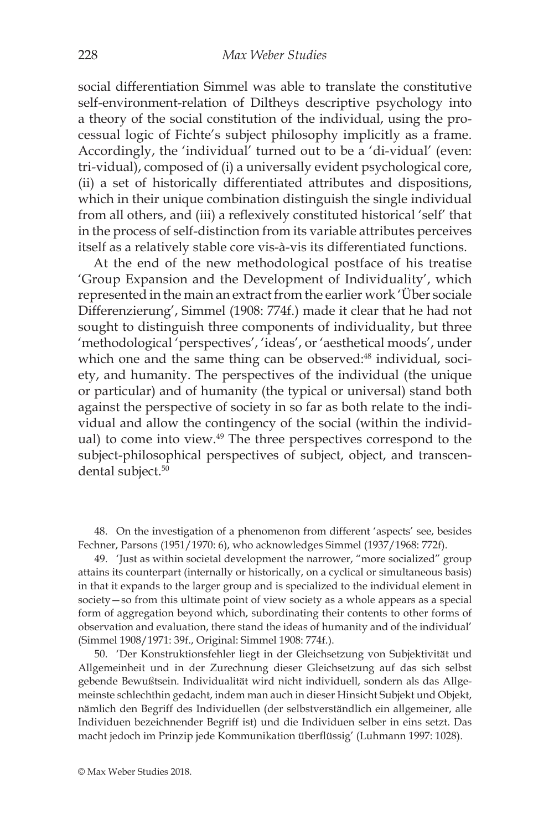social differentiation Simmel was able to translate the constitutive self-environment-relation of Diltheys descriptive psychology into a theory of the social constitution of the individual, using the processual logic of Fichte's subject philosophy implicitly as a frame. Accordingly, the 'individual' turned out to be a 'di-vidual' (even: tri-vidual), composed of (i) a universally evident psychological core, (ii) a set of historically differentiated attributes and dispositions, which in their unique combination distinguish the single individual from all others, and (iii) a reflexively constituted historical 'self' that in the process of self-distinction from its variable attributes perceives itself as a relatively stable core vis-à-vis its differentiated functions.

At the end of the new methodological postface of his treatise 'Group Expansion and the Development of Individuality', which represented in the main an extract from the earlier work 'Über sociale Differenzierung', Simmel (1908: 774f.) made it clear that he had not sought to distinguish three components of individuality, but three 'methodological 'perspectives', 'ideas', or 'aesthetical moods', under which one and the same thing can be observed:<sup>48</sup> individual, society, and humanity. The perspectives of the individual (the unique or particular) and of humanity (the typical or universal) stand both against the perspective of society in so far as both relate to the individual and allow the contingency of the social (within the individual) to come into view.49 The three perspectives correspond to the subject-philosophical perspectives of subject, object, and transcendental subject.<sup>50</sup>

48. On the investigation of a phenomenon from different 'aspects' see, besides Fechner, Parsons (1951/1970: 6), who acknowledges Simmel (1937/1968: 772f).

49. 'Just as within societal development the narrower, "more socialized" group attains its counterpart (internally or historically, on a cyclical or simultaneous basis) in that it expands to the larger group and is specialized to the individual element in society—so from this ultimate point of view society as a whole appears as a special form of aggregation beyond which, subordinating their contents to other forms of observation and evaluation, there stand the ideas of humanity and of the individual' (Simmel 1908/1971: 39f., Original: Simmel 1908: 774f.).

50. 'Der Konstruktionsfehler liegt in der Gleichsetzung von Subjektivität und Allgemeinheit und in der Zurechnung dieser Gleichsetzung auf das sich selbst gebende Bewußtsein. Individualität wird nicht individuell, sondern als das Allgemeinste schlechthin gedacht, indem man auch in dieser Hinsicht Subjekt und Objekt, nämlich den Begriff des Individuellen (der selbstverständlich ein allgemeiner, alle Individuen bezeichnender Begriff ist) und die Individuen selber in eins setzt. Das macht jedoch im Prinzip jede Kommunikation überflüssig' (Luhmann 1997: 1028).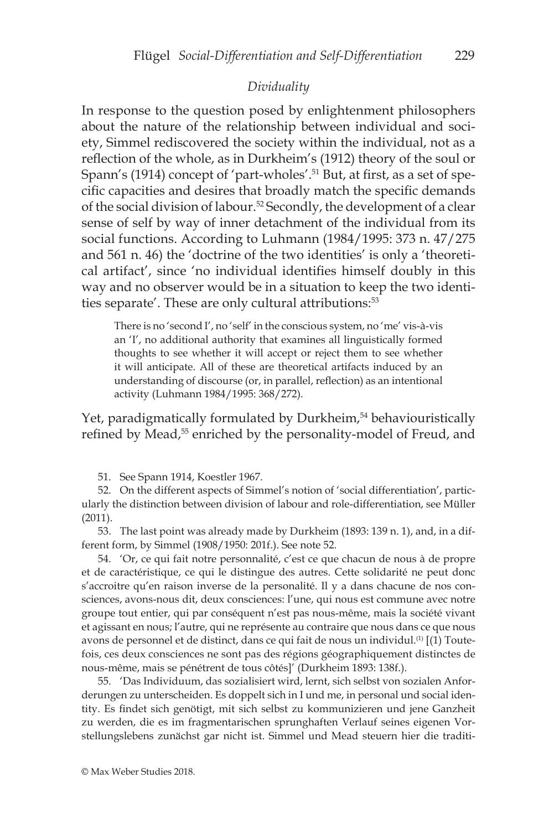#### *Dividuality*

In response to the question posed by enlightenment philosophers about the nature of the relationship between individual and society, Simmel rediscovered the society within the individual, not as a reflection of the whole, as in Durkheim's (1912) theory of the soul or Spann's (1914) concept of 'part-wholes'.<sup>51</sup> But, at first, as a set of specific capacities and desires that broadly match the specific demands of the social division of labour.52 Secondly, the development of a clear sense of self by way of inner detachment of the individual from its social functions. According to Luhmann (1984/1995: 373 n. 47/275 and 561 n. 46) the 'doctrine of the two identities' is only a 'theoretical artifact', since 'no individual identifies himself doubly in this way and no observer would be in a situation to keep the two identities separate'. These are only cultural attributions:<sup>53</sup>

There is no 'second I', no 'self' in the conscious system, no 'me' vis-à-vis an 'I', no additional authority that examines all linguistically formed thoughts to see whether it will accept or reject them to see whether it will anticipate. All of these are theoretical artifacts induced by an understanding of discourse (or, in parallel, reflection) as an intentional activity (Luhmann 1984/1995: 368/272).

Yet, paradigmatically formulated by Durkheim,<sup>54</sup> behaviouristically refined by Mead,<sup>55</sup> enriched by the personality-model of Freud, and

51. See Spann 1914, Koestler 1967.

52. On the different aspects of Simmel's notion of 'social differentiation', particularly the distinction between division of labour and role-differentiation, see Müller (2011).

53. The last point was already made by Durkheim (1893: 139 n. 1), and, in a different form, by Simmel (1908/1950: 201f.). See note 52.

54. 'Or, ce qui fait notre personnalité, c'est ce que chacun de nous à de propre et de caractéristique, ce qui le distingue des autres. Cette solidarité ne peut donc s'accroitre qu'en raison inverse de la personalité. Il y a dans chacune de nos consciences, avons-nous dit, deux consciences: l'une, qui nous est commune avec notre groupe tout entier, qui par conséquent n'est pas nous-même, mais la société vivant et agissant en nous; l'autre, qui ne représente au contraire que nous dans ce que nous avons de personnel et de distinct, dans ce qui fait de nous un individul.<sup>(1)</sup> [(1) Toutefois, ces deux consciences ne sont pas des régions géographiquement distinctes de nous-même, mais se pénétrent de tous côtés]' (Durkheim 1893: 138f.).

55. 'Das Individuum, das sozialisiert wird, lernt, sich selbst von sozialen Anforderungen zu unterscheiden. Es doppelt sich in I und me, in personal und social identity. Es findet sich genötigt, mit sich selbst zu kommunizieren und jene Ganzheit zu werden, die es im fragmentarischen sprunghaften Verlauf seines eigenen Vorstellungslebens zunächst gar nicht ist. Simmel und Mead steuern hier die traditi-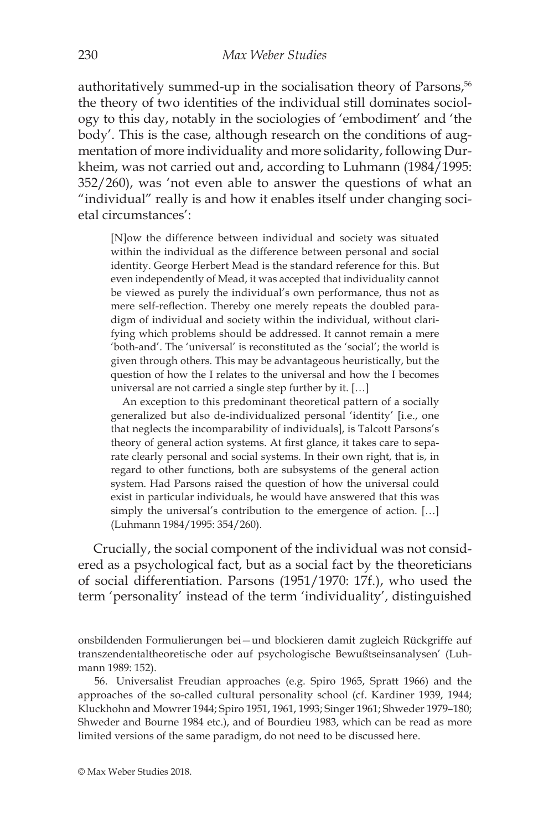authoritatively summed-up in the socialisation theory of Parsons,<sup>56</sup> the theory of two identities of the individual still dominates sociology to this day, notably in the sociologies of 'embodiment' and 'the body'. This is the case, although research on the conditions of augmentation of more individuality and more solidarity, following Durkheim, was not carried out and, according to Luhmann (1984/1995: 352/260), was 'not even able to answer the questions of what an "individual" really is and how it enables itself under changing societal circumstances':

[N]ow the difference between individual and society was situated within the individual as the difference between personal and social identity. George Herbert Mead is the standard reference for this. But even independently of Mead, it was accepted that individuality cannot be viewed as purely the individual's own performance, thus not as mere self-reflection. Thereby one merely repeats the doubled paradigm of individual and society within the individual, without clarifying which problems should be addressed. It cannot remain a mere 'both-and'. The 'universal' is reconstituted as the 'social'; the world is given through others. This may be advantageous heuristically, but the question of how the I relates to the universal and how the I becomes universal are not carried a single step further by it. […]

An exception to this predominant theoretical pattern of a socially generalized but also de-individualized personal 'identity' [i.e., one that neglects the incomparability of individuals], is Talcott Parsons's theory of general action systems. At first glance, it takes care to separate clearly personal and social systems. In their own right, that is, in regard to other functions, both are subsystems of the general action system. Had Parsons raised the question of how the universal could exist in particular individuals, he would have answered that this was simply the universal's contribution to the emergence of action. […] (Luhmann 1984/1995: 354/260).

Crucially, the social component of the individual was not considered as a psychological fact, but as a social fact by the theoreticians of social differentiation. Parsons (1951/1970: 17f.), who used the term 'personality' instead of the term 'individuality', distinguished

onsbildenden Formulierungen bei—und blockieren damit zugleich Rückgriffe auf transzendentaltheoretische oder auf psychologische Bewußtseinsanalysen' (Luhmann 1989: 152).

56. Universalist Freudian approaches (e.g. Spiro 1965, Spratt 1966) and the approaches of the so-called cultural personality school (cf. Kardiner 1939, 1944; Kluckhohn and Mowrer 1944; Spiro 1951, 1961, 1993; Singer 1961; Shweder 1979–180; Shweder and Bourne 1984 etc.), and of Bourdieu 1983, which can be read as more limited versions of the same paradigm, do not need to be discussed here.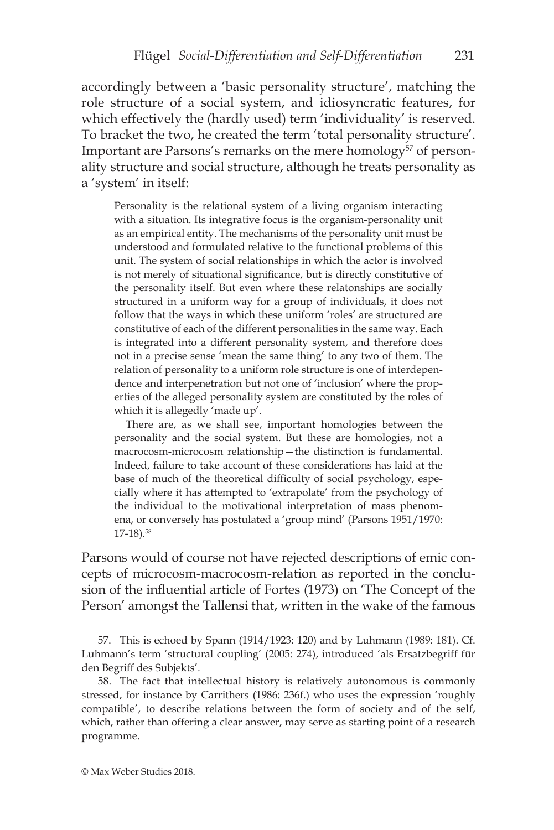accordingly between a 'basic personality structure', matching the role structure of a social system, and idiosyncratic features, for which effectively the (hardly used) term 'individuality' is reserved. To bracket the two, he created the term 'total personality structure'. Important are Parsons's remarks on the mere homology<sup>57</sup> of personality structure and social structure, although he treats personality as a 'system' in itself:

Personality is the relational system of a living organism interacting with a situation. Its integrative focus is the organism-personality unit as an empirical entity. The mechanisms of the personality unit must be understood and formulated relative to the functional problems of this unit. The system of social relationships in which the actor is involved is not merely of situational significance, but is directly constitutive of the personality itself. But even where these relatonships are socially structured in a uniform way for a group of individuals, it does not follow that the ways in which these uniform 'roles' are structured are constitutive of each of the different personalities in the same way. Each is integrated into a different personality system, and therefore does not in a precise sense 'mean the same thing' to any two of them. The relation of personality to a uniform role structure is one of interdependence and interpenetration but not one of 'inclusion' where the properties of the alleged personality system are constituted by the roles of which it is allegedly 'made up'.

There are, as we shall see, important homologies between the personality and the social system. But these are homologies, not a macrocosm-microcosm relationship—the distinction is fundamental. Indeed, failure to take account of these considerations has laid at the base of much of the theoretical difficulty of social psychology, especially where it has attempted to 'extrapolate' from the psychology of the individual to the motivational interpretation of mass phenomena, or conversely has postulated a 'group mind' (Parsons 1951/1970: 17-18).58

Parsons would of course not have rejected descriptions of emic concepts of microcosm-macrocosm-relation as reported in the conclusion of the influential article of Fortes (1973) on 'The Concept of the Person' amongst the Tallensi that, written in the wake of the famous

57. This is echoed by Spann (1914/1923: 120) and by Luhmann (1989: 181). Cf. Luhmann's term 'structural coupling' (2005: 274), introduced 'als Ersatzbegriff für den Begriff des Subjekts'.

58. The fact that intellectual history is relatively autonomous is commonly stressed, for instance by Carrithers (1986: 236f.) who uses the expression 'roughly compatible', to describe relations between the form of society and of the self, which, rather than offering a clear answer, may serve as starting point of a research programme.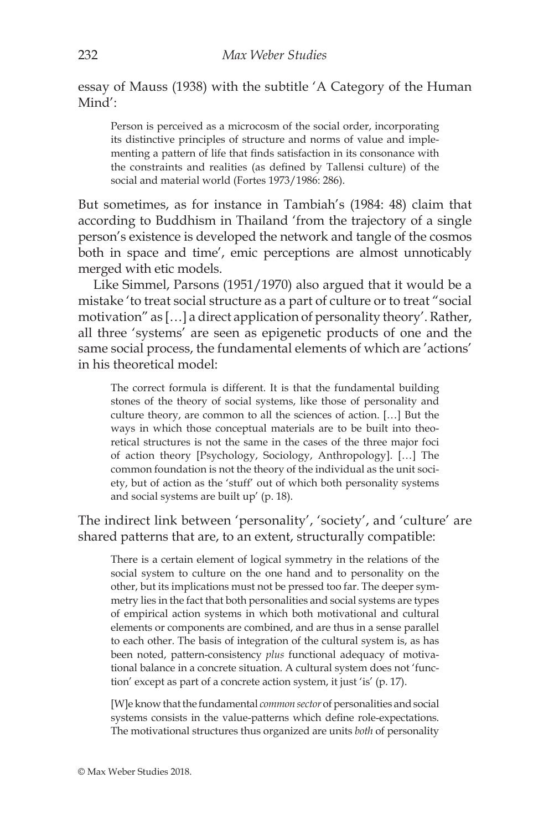essay of Mauss (1938) with the subtitle 'A Category of the Human Mind':

Person is perceived as a microcosm of the social order, incorporating its distinctive principles of structure and norms of value and implementing a pattern of life that finds satisfaction in its consonance with the constraints and realities (as defined by Tallensi culture) of the social and material world (Fortes 1973/1986: 286).

But sometimes, as for instance in Tambiah's (1984: 48) claim that according to Buddhism in Thailand 'from the trajectory of a single person's existence is developed the network and tangle of the cosmos both in space and time', emic perceptions are almost unnoticably merged with etic models.

Like Simmel, Parsons (1951/1970) also argued that it would be a mistake 'to treat social structure as a part of culture or to treat "social motivation" as […] a direct application of personality theory'. Rather, all three 'systems' are seen as epigenetic products of one and the same social process, the fundamental elements of which are 'actions' in his theoretical model:

The correct formula is different. It is that the fundamental building stones of the theory of social systems, like those of personality and culture theory, are common to all the sciences of action. […] But the ways in which those conceptual materials are to be built into theoretical structures is not the same in the cases of the three major foci of action theory [Psychology, Sociology, Anthropology]. […] The common foundation is not the theory of the individual as the unit society, but of action as the 'stuff' out of which both personality systems and social systems are built up' (p. 18).

The indirect link between 'personality', 'society', and 'culture' are shared patterns that are, to an extent, structurally compatible:

There is a certain element of logical symmetry in the relations of the social system to culture on the one hand and to personality on the other, but its implications must not be pressed too far. The deeper symmetry lies in the fact that both personalities and social systems are types of empirical action systems in which both motivational and cultural elements or components are combined, and are thus in a sense parallel to each other. The basis of integration of the cultural system is, as has been noted, pattern-consistency *plus* functional adequacy of motivational balance in a concrete situation. A cultural system does not 'function' except as part of a concrete action system, it just 'is' (p. 17).

[W]e know that the fundamental *common sector* of personalities and social systems consists in the value-patterns which define role-expectations. The motivational structures thus organized are units *both* of personality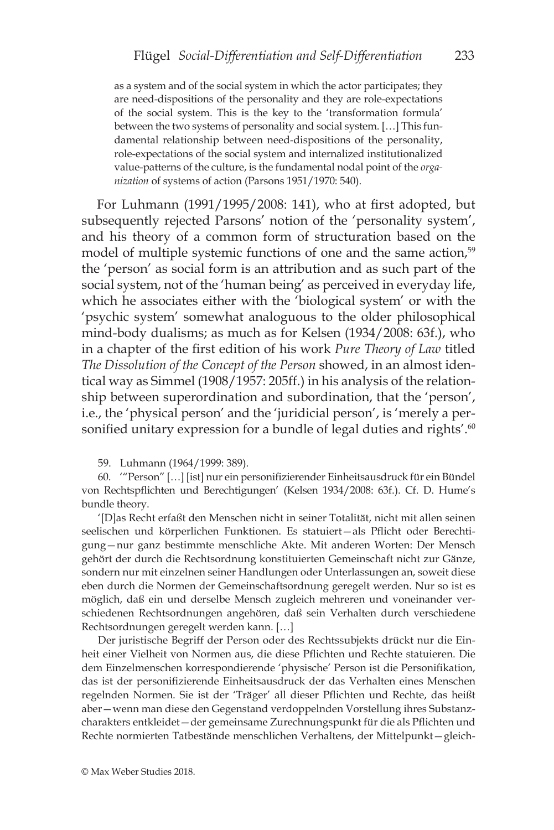as a system and of the social system in which the actor participates; they are need-dispositions of the personality and they are role-expectations of the social system. This is the key to the 'transformation formula' between the two systems of personality and social system. […] This fundamental relationship between need-dispositions of the personality, role-expectations of the social system and internalized institutionalized value-patterns of the culture, is the fundamental nodal point of the *organization* of systems of action (Parsons 1951/1970: 540).

For Luhmann (1991/1995/2008: 141), who at first adopted, but subsequently rejected Parsons' notion of the 'personality system', and his theory of a common form of structuration based on the model of multiple systemic functions of one and the same action,<sup>59</sup> the 'person' as social form is an attribution and as such part of the social system, not of the 'human being' as perceived in everyday life, which he associates either with the 'biological system' or with the 'psychic system' somewhat analoguous to the older philosophical mind-body dualisms; as much as for Kelsen (1934/2008: 63f.), who in a chapter of the first edition of his work *Pure Theory of Law* titled *The Dissolution of the Concept of the Person* showed, in an almost identical way as Simmel (1908/1957: 205ff.) in his analysis of the relationship between superordination and subordination, that the 'person', i.e., the 'physical person' and the 'juridicial person', is 'merely a personified unitary expression for a bundle of legal duties and rights'.<sup>60</sup>

59. Luhmann (1964/1999: 389).

60. '"Person" […] [ist] nur ein personifizierender Einheitsausdruck für ein Bündel von Rechtspflichten und Berechtigungen' (Kelsen 1934/2008: 63f.). Cf. D. Hume's bundle theory.

'[D]as Recht erfaßt den Menschen nicht in seiner Totalität, nicht mit allen seinen seelischen und körperlichen Funktionen. Es statuiert—als Pflicht oder Berechtigung—nur ganz bestimmte menschliche Akte. Mit anderen Worten: Der Mensch gehört der durch die Rechtsordnung konstituierten Gemeinschaft nicht zur Gänze, sondern nur mit einzelnen seiner Handlungen oder Unterlassungen an, soweit diese eben durch die Normen der Gemeinschaftsordnung geregelt werden. Nur so ist es möglich, daß ein und derselbe Mensch zugleich mehreren und voneinander verschiedenen Rechtsordnungen angehören, daß sein Verhalten durch verschiedene Rechtsordnungen geregelt werden kann. […]

Der juristische Begriff der Person oder des Rechtssubjekts drückt nur die Einheit einer Vielheit von Normen aus, die diese Pflichten und Rechte statuieren. Die dem Einzelmenschen korrespondierende 'physische' Person ist die Personifikation, das ist der personifizierende Einheitsausdruck der das Verhalten eines Menschen regelnden Normen. Sie ist der 'Träger' all dieser Pflichten und Rechte, das heißt aber—wenn man diese den Gegenstand verdoppelnden Vorstellung ihres Substanzcharakters entkleidet—der gemeinsame Zurechnungspunkt für die als Pflichten und Rechte normierten Tatbestände menschlichen Verhaltens, der Mittelpunkt—gleich-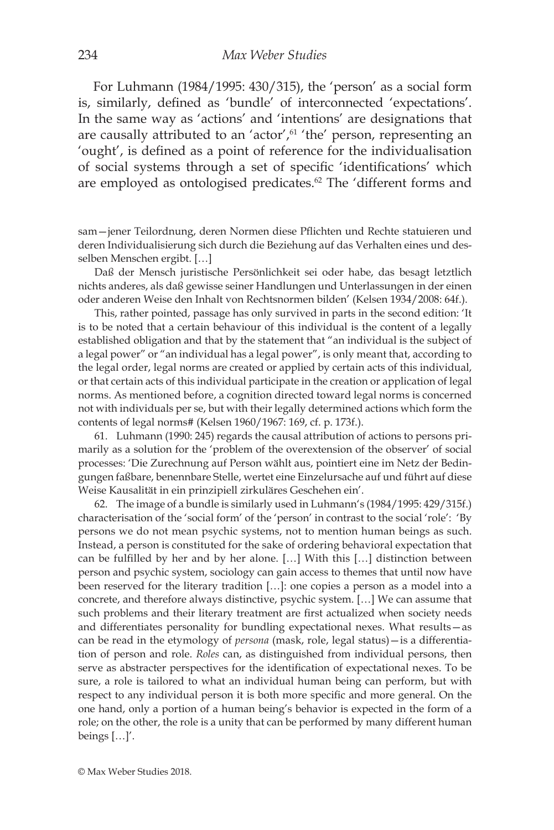For Luhmann (1984/1995: 430/315), the 'person' as a social form is, similarly, defined as 'bundle' of interconnected 'expectations'. In the same way as 'actions' and 'intentions' are designations that are causally attributed to an 'actor', $61$ ' the' person, representing an 'ought', is defined as a point of reference for the individualisation of social systems through a set of specific 'identifications' which are employed as ontologised predicates.<sup>62</sup> The 'different forms and

sam—jener Teilordnung, deren Normen diese Pflichten und Rechte statuieren und deren Individualisierung sich durch die Beziehung auf das Verhalten eines und desselben Menschen ergibt. […]

Daß der Mensch juristische Persönlichkeit sei oder habe, das besagt letztlich nichts anderes, als daß gewisse seiner Handlungen und Unterlassungen in der einen oder anderen Weise den Inhalt von Rechtsnormen bilden' (Kelsen 1934/2008: 64f.).

This, rather pointed, passage has only survived in parts in the second edition: 'It is to be noted that a certain behaviour of this individual is the content of a legally established obligation and that by the statement that "an individual is the subject of a legal power" or "an individual has a legal power", is only meant that, according to the legal order, legal norms are created or applied by certain acts of this individual, or that certain acts of this individual participate in the creation or application of legal norms. As mentioned before, a cognition directed toward legal norms is concerned not with individuals per se, but with their legally determined actions which form the contents of legal norms# (Kelsen 1960/1967: 169, cf. p. 173f.).

61. Luhmann (1990: 245) regards the causal attribution of actions to persons primarily as a solution for the 'problem of the overextension of the observer' of social processes: 'Die Zurechnung auf Person wählt aus, pointiert eine im Netz der Bedingungen faßbare, benennbare Stelle, wertet eine Einzelursache auf und führt auf diese Weise Kausalität in ein prinzipiell zirkuläres Geschehen ein'.

62. The image of a bundle is similarly used in Luhmann's (1984/1995: 429/315f.) characterisation of the 'social form' of the 'person' in contrast to the social 'role': 'By persons we do not mean psychic systems, not to mention human beings as such. Instead, a person is constituted for the sake of ordering behavioral expectation that can be fulfilled by her and by her alone. […] With this […] distinction between person and psychic system, sociology can gain access to themes that until now have been reserved for the literary tradition […]: one copies a person as a model into a concrete, and therefore always distinctive, psychic system. […] We can assume that such problems and their literary treatment are first actualized when society needs and differentiates personality for bundling expectational nexes. What results—as can be read in the etymology of *persona* (mask, role, legal status)—is a differentiation of person and role. *Roles* can, as distinguished from individual persons, then serve as abstracter perspectives for the identification of expectational nexes. To be sure, a role is tailored to what an individual human being can perform, but with respect to any individual person it is both more specific and more general. On the one hand, only a portion of a human being's behavior is expected in the form of a role; on the other, the role is a unity that can be performed by many different human beings […]'.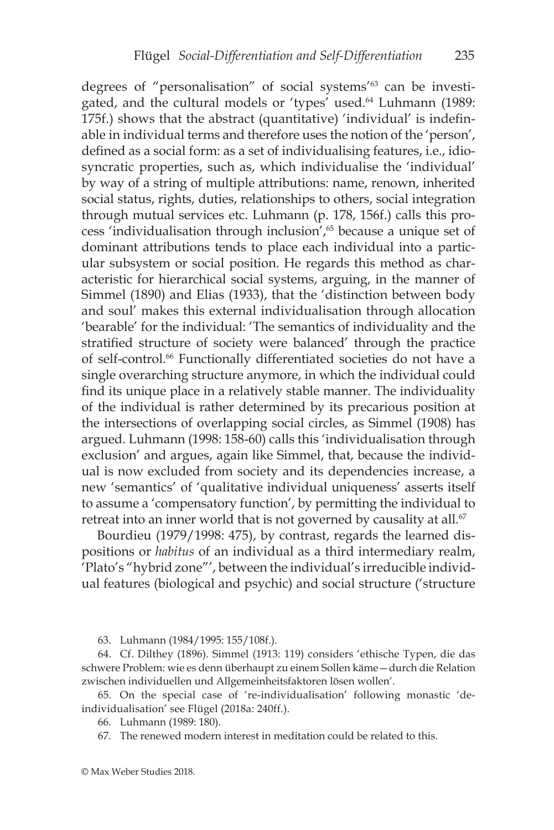degrees of "personalisation" of social systems<sup>'63</sup> can be investigated, and the cultural models or 'types' used.<sup>64</sup> Luhmann (1989: 175f.) shows that the abstract (quantitative) 'individual' is indefinable in individual terms and therefore uses the notion of the 'person', defined as a social form: as a set of individualising features, i.e., idiosyncratic properties, such as, which individualise the 'individual' by way of a string of multiple attributions: name, renown, inherited social status, rights, duties, relationships to others, social integration through mutual services etc. Luhmann (p. 178, 156f.) calls this process 'individualisation through inclusion',<sup>65</sup> because a unique set of dominant attributions tends to place each individual into a particular subsystem or social position. He regards this method as characteristic for hierarchical social systems, arguing, in the manner of Simmel (1890) and Elias (1933), that the 'distinction between body and soul' makes this external individualisation through allocation 'bearable' for the individual: 'The semantics of individuality and the stratified structure of society were balanced' through the practice of self-control.<sup>66</sup> Functionally differentiated societies do not have a single overarching structure anymore, in which the individual could find its unique place in a relatively stable manner. The individuality of the individual is rather determined by its precarious position at the intersections of overlapping social circles, as Simmel (1908) has argued. Luhmann (1998: 158-60) calls this 'individualisation through exclusion' and argues, again like Simmel, that, because the individual is now excluded from society and its dependencies increase, a new 'semantics' of 'qualitative individual uniqueness' asserts itself to assume a 'compensatory function', by permitting the individual to retreat into an inner world that is not governed by causality at all.<sup>67</sup>

Bourdieu (1979/1998: 475), by contrast, regards the learned dispositions or *habitus* of an individual as a third intermediary realm, 'Plato's "hybrid zone"', between the individual's irreducible individual features (biological and psychic) and social structure ('structure

63. Luhmann (1984/1995: 155/108f.).

64. Cf. Dilthey (1896). Simmel (1913: 119) considers 'ethische Typen, die das schwere Problem: wie es denn überhaupt zu einem Sollen käme—durch die Relation zwischen individuellen und Allgemeinheitsfaktoren lösen wollen'.

65. On the special case of 're-individualisation' following monastic 'deindividualisation' see Flügel (2018a: 240ff.).

66. Luhmann (1989: 180).

67. The renewed modern interest in meditation could be related to this.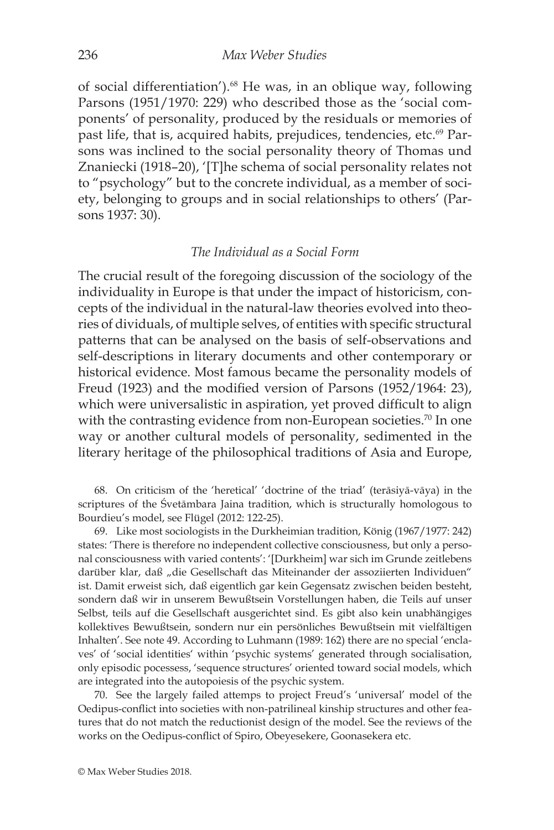of social differentiation').68 He was, in an oblique way, following Parsons (1951/1970: 229) who described those as the 'social components' of personality, produced by the residuals or memories of past life, that is, acquired habits, prejudices, tendencies, etc.<sup>69</sup> Parsons was inclined to the social personality theory of Thomas und Znaniecki (1918–20), '[T]he schema of social personality relates not to "psychology" but to the concrete individual, as a member of society, belonging to groups and in social relationships to others' (Parsons 1937: 30).

### *The Individual as a Social Form*

The crucial result of the foregoing discussion of the sociology of the individuality in Europe is that under the impact of historicism, concepts of the individual in the natural-law theories evolved into theories of dividuals, of multiple selves, of entities with specific structural patterns that can be analysed on the basis of self-observations and self-descriptions in literary documents and other contemporary or historical evidence. Most famous became the personality models of Freud (1923) and the modified version of Parsons (1952/1964: 23), which were universalistic in aspiration, yet proved difficult to align with the contrasting evidence from non-European societies.<sup>70</sup> In one way or another cultural models of personality, sedimented in the literary heritage of the philosophical traditions of Asia and Europe,

68. On criticism of the 'heretical' 'doctrine of the triad' (terāsiyā-vāya) in the scriptures of the Śvetāmbara Jaina tradition, which is structurally homologous to Bourdieu's model, see Flügel (2012: 122-25).

69. Like most sociologists in the Durkheimian tradition, König (1967/1977: 242) states: 'There is therefore no independent collective consciousness, but only a personal consciousness with varied contents': '[Durkheim] war sich im Grunde zeitlebens darüber klar, daß "die Gesellschaft das Miteinander der assoziierten Individuen" ist. Damit erweist sich, daß eigentlich gar kein Gegensatz zwischen beiden besteht, sondern daß wir in unserem Bewußtsein Vorstellungen haben, die Teils auf unser Selbst, teils auf die Gesellschaft ausgerichtet sind. Es gibt also kein unabhängiges kollektives Bewußtsein, sondern nur ein persönliches Bewußtsein mit vielfältigen Inhalten'. See note 49. According to Luhmann (1989: 162) there are no special 'enclaves' of 'social identities' within 'psychic systems' generated through socialisation, only episodic pocessess, 'sequence structures' oriented toward social models, which are integrated into the autopoiesis of the psychic system.

70. See the largely failed attemps to project Freud's 'universal' model of the Oedipus-conflict into societies with non-patrilineal kinship structures and other features that do not match the reductionist design of the model. See the reviews of the works on the Oedipus-conflict of Spiro, Obeyesekere, Goonasekera etc.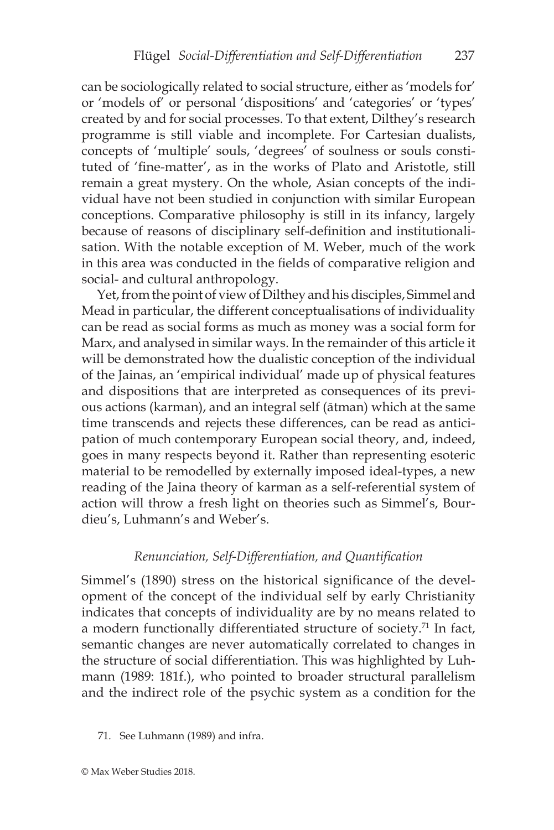can be sociologically related to social structure, either as 'models for' or 'models of' or personal 'dispositions' and 'categories' or 'types' created by and for social processes. To that extent, Dilthey's research programme is still viable and incomplete. For Cartesian dualists, concepts of 'multiple' souls, 'degrees' of soulness or souls constituted of 'fine-matter', as in the works of Plato and Aristotle, still remain a great mystery. On the whole, Asian concepts of the individual have not been studied in conjunction with similar European conceptions. Comparative philosophy is still in its infancy, largely because of reasons of disciplinary self-definition and institutionalisation. With the notable exception of M. Weber, much of the work in this area was conducted in the fields of comparative religion and social- and cultural anthropology.

Yet, from the point of view of Dilthey and his disciples, Simmel and Mead in particular, the different conceptualisations of individuality can be read as social forms as much as money was a social form for Marx, and analysed in similar ways. In the remainder of this article it will be demonstrated how the dualistic conception of the individual of the Jainas, an 'empirical individual' made up of physical features and dispositions that are interpreted as consequences of its previous actions (karman), and an integral self (ātman) which at the same time transcends and rejects these differences, can be read as anticipation of much contemporary European social theory, and, indeed, goes in many respects beyond it. Rather than representing esoteric material to be remodelled by externally imposed ideal-types, a new reading of the Jaina theory of karman as a self-referential system of action will throw a fresh light on theories such as Simmel's, Bourdieu's, Luhmann's and Weber's.

# *Renunciation, Self-Differentiation, and Quantification*

Simmel's (1890) stress on the historical significance of the development of the concept of the individual self by early Christianity indicates that concepts of individuality are by no means related to a modern functionally differentiated structure of society.<sup>71</sup> In fact, semantic changes are never automatically correlated to changes in the structure of social differentiation. This was highlighted by Luhmann (1989: 181f.), who pointed to broader structural parallelism and the indirect role of the psychic system as a condition for the

<sup>71.</sup> See Luhmann (1989) and infra.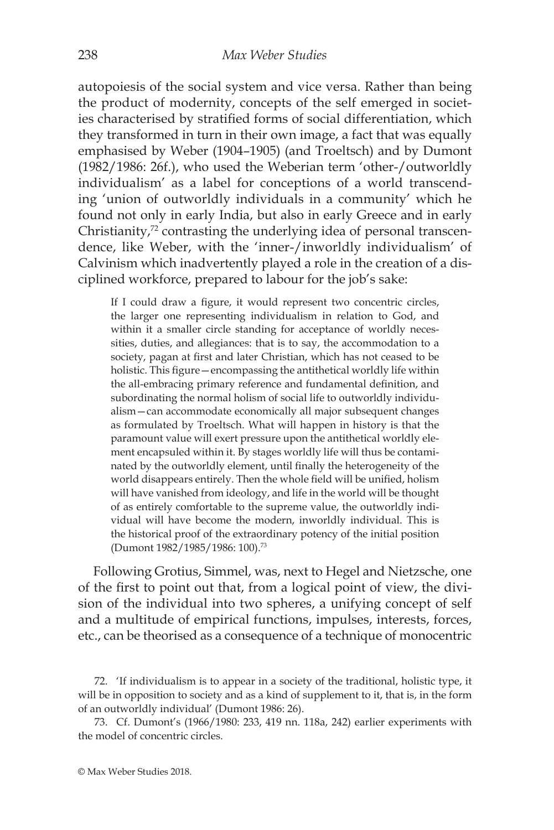autopoiesis of the social system and vice versa. Rather than being the product of modernity, concepts of the self emerged in societies characterised by stratified forms of social differentiation, which they transformed in turn in their own image, a fact that was equally emphasised by Weber (1904–1905) (and Troeltsch) and by Dumont (1982/1986: 26f.), who used the Weberian term 'other-/outworldly individualism' as a label for conceptions of a world transcending 'union of outworldly individuals in a community' which he found not only in early India, but also in early Greece and in early Christianity,72 contrasting the underlying idea of personal transcendence, like Weber, with the 'inner-/inworldly individualism' of Calvinism which inadvertently played a role in the creation of a disciplined workforce, prepared to labour for the job's sake:

If I could draw a figure, it would represent two concentric circles, the larger one representing individualism in relation to God, and within it a smaller circle standing for acceptance of worldly necessities, duties, and allegiances: that is to say, the accommodation to a society, pagan at first and later Christian, which has not ceased to be holistic. This figure—encompassing the antithetical worldly life within the all-embracing primary reference and fundamental definition, and subordinating the normal holism of social life to outworldly individualism—can accommodate economically all major subsequent changes as formulated by Troeltsch. What will happen in history is that the paramount value will exert pressure upon the antithetical worldly element encapsuled within it. By stages worldly life will thus be contaminated by the outworldly element, until finally the heterogeneity of the world disappears entirely. Then the whole field will be unified, holism will have vanished from ideology, and life in the world will be thought of as entirely comfortable to the supreme value, the outworldly individual will have become the modern, inworldly individual. This is the historical proof of the extraordinary potency of the initial position (Dumont 1982/1985/1986: 100).<sup>73</sup>

Following Grotius, Simmel, was, next to Hegel and Nietzsche, one of the first to point out that, from a logical point of view, the division of the individual into two spheres, a unifying concept of self and a multitude of empirical functions, impulses, interests, forces, etc., can be theorised as a consequence of a technique of monocentric

72. 'If individualism is to appear in a society of the traditional, holistic type, it will be in opposition to society and as a kind of supplement to it, that is, in the form of an outworldly individual' (Dumont 1986: 26).

73. Cf. Dumont's (1966/1980: 233, 419 nn. 118a, 242) earlier experiments with the model of concentric circles.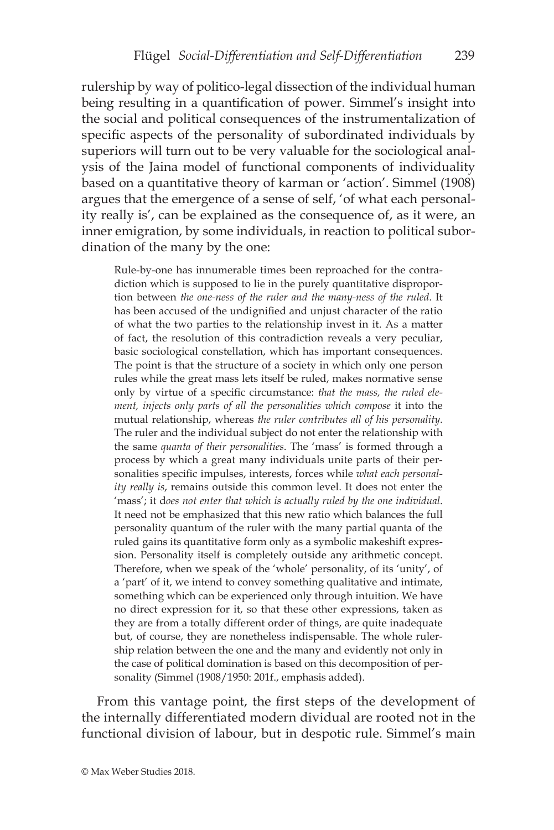rulership by way of politico-legal dissection of the individual human being resulting in a quantification of power. Simmel's insight into the social and political consequences of the instrumentalization of specific aspects of the personality of subordinated individuals by superiors will turn out to be very valuable for the sociological analysis of the Jaina model of functional components of individuality based on a quantitative theory of karman or 'action'. Simmel (1908) argues that the emergence of a sense of self, 'of what each personality really is', can be explained as the consequence of, as it were, an inner emigration, by some individuals, in reaction to political subordination of the many by the one:

Rule-by-one has innumerable times been reproached for the contradiction which is supposed to lie in the purely quantitative disproportion between *the one-ness of the ruler and the many-ness of the ruled*. It has been accused of the undignified and unjust character of the ratio of what the two parties to the relationship invest in it. As a matter of fact, the resolution of this contradiction reveals a very peculiar, basic sociological constellation, which has important consequences. The point is that the structure of a society in which only one person rules while the great mass lets itself be ruled, makes normative sense only by virtue of a specific circumstance: *that the mass, the ruled element, injects only parts of all the personalities which compose it into the* mutual relationship, whereas *the ruler contributes all of his personality*. The ruler and the individual subject do not enter the relationship with the same *quanta of their personalities*. The 'mass' is formed through a process by which a great many individuals unite parts of their personalities specific impulses, interests, forces while *what each personality really is*, remains outside this common level. It does not enter the 'mass'; it d*oes not enter that which is actually ruled by the one individual*. It need not be emphasized that this new ratio which balances the full personality quantum of the ruler with the many partial quanta of the ruled gains its quantitative form only as a symbolic makeshift expression. Personality itself is completely outside any arithmetic concept. Therefore, when we speak of the 'whole' personality, of its 'unity', of a 'part' of it, we intend to convey something qualitative and intimate, something which can be experienced only through intuition. We have no direct expression for it, so that these other expressions, taken as they are from a totally different order of things, are quite inadequate but, of course, they are nonetheless indispensable. The whole rulership relation between the one and the many and evidently not only in the case of political domination is based on this decomposition of personality (Simmel (1908/1950: 201f., emphasis added).

From this vantage point, the first steps of the development of the internally differentiated modern dividual are rooted not in the functional division of labour, but in despotic rule. Simmel's main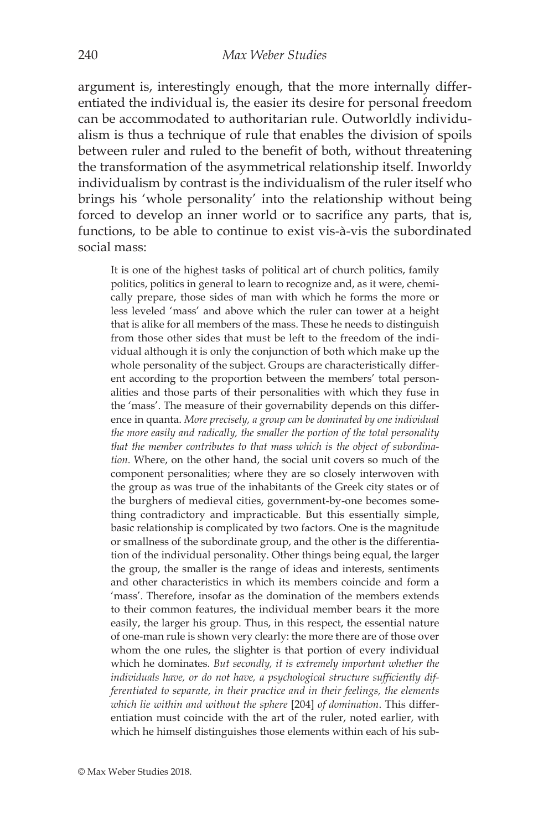argument is, interestingly enough, that the more internally differentiated the individual is, the easier its desire for personal freedom can be accommodated to authoritarian rule. Outworldly individualism is thus a technique of rule that enables the division of spoils between ruler and ruled to the benefit of both, without threatening the transformation of the asymmetrical relationship itself. Inworldy individualism by contrast is the individualism of the ruler itself who brings his 'whole personality' into the relationship without being forced to develop an inner world or to sacrifice any parts, that is, functions, to be able to continue to exist vis-à-vis the subordinated social mass:

It is one of the highest tasks of political art of church politics, family politics, politics in general to learn to recognize and, as it were, chemically prepare, those sides of man with which he forms the more or less leveled 'mass' and above which the ruler can tower at a height that is alike for all members of the mass. These he needs to distinguish from those other sides that must be left to the freedom of the individual although it is only the conjunction of both which make up the whole personality of the subject. Groups are characteristically different according to the proportion between the members' total personalities and those parts of their personalities with which they fuse in the 'mass'. The measure of their governability depends on this difference in quanta. *More precisely, a group can be dominated by one individual the more easily and radically, the smaller the portion of the total personality that the member contributes to that mass which is the object of subordination.* Where, on the other hand, the social unit covers so much of the component personalities; where they are so closely interwoven with the group as was true of the inhabitants of the Greek city states or of the burghers of medieval cities, government-by-one becomes something contradictory and impracticable. But this essentially simple, basic relationship is complicated by two factors. One is the magnitude or smallness of the subordinate group, and the other is the differentiation of the individual personality. Other things being equal, the larger the group, the smaller is the range of ideas and interests, sentiments and other characteristics in which its members coincide and form a 'mass'. Therefore, insofar as the domination of the members extends to their common features, the individual member bears it the more easily, the larger his group. Thus, in this respect, the essential nature of one-man rule is shown very clearly: the more there are of those over whom the one rules, the slighter is that portion of every individual which he dominates. *But secondly, it is extremely important whether the individuals have, or do not have, a psychological structure sufficiently differentiated to separate, in their practice and in their feelings, the elements which lie within and without the sphere* [204] *of domination*. This differentiation must coincide with the art of the ruler, noted earlier, with which he himself distinguishes those elements within each of his sub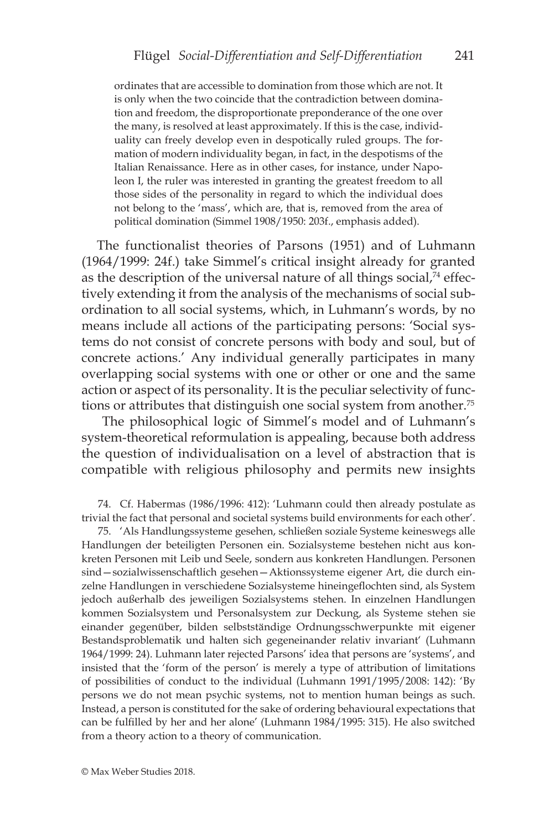ordinates that are accessible to domination from those which are not. It is only when the two coincide that the contradiction between domination and freedom, the disproportionate preponderance of the one over the many, is resolved at least approximately. If this is the case, individuality can freely develop even in despotically ruled groups. The formation of modern individuality began, in fact, in the despotisms of the Italian Renaissance. Here as in other cases, for instance, under Napoleon I, the ruler was interested in granting the greatest freedom to all those sides of the personality in regard to which the individual does not belong to the 'mass', which are, that is, removed from the area of political domination (Simmel 1908/1950: 203f., emphasis added).

The functionalist theories of Parsons (1951) and of Luhmann (1964/1999: 24f.) take Simmel's critical insight already for granted as the description of the universal nature of all things social, $74$  effectively extending it from the analysis of the mechanisms of social subordination to all social systems, which, in Luhmann's words, by no means include all actions of the participating persons: 'Social systems do not consist of concrete persons with body and soul, but of concrete actions.' Any individual generally participates in many overlapping social systems with one or other or one and the same action or aspect of its personality. It is the peculiar selectivity of functions or attributes that distinguish one social system from another.<sup>75</sup>

 The philosophical logic of Simmel's model and of Luhmann's system-theoretical reformulation is appealing, because both address the question of individualisation on a level of abstraction that is compatible with religious philosophy and permits new insights

74. Cf. Habermas (1986/1996: 412): 'Luhmann could then already postulate as trivial the fact that personal and societal systems build environments for each other'.

75. 'Als Handlungssysteme gesehen, schließen soziale Systeme keineswegs alle Handlungen der beteiligten Personen ein. Sozialsysteme bestehen nicht aus konkreten Personen mit Leib und Seele, sondern aus konkreten Handlungen. Personen sind—sozialwissenschaftlich gesehen—Aktionssysteme eigener Art, die durch einzelne Handlungen in verschiedene Sozialsysteme hineingeflochten sind, als System jedoch außerhalb des jeweiligen Sozialsystems stehen. In einzelnen Handlungen kommen Sozialsystem und Personalsystem zur Deckung, als Systeme stehen sie einander gegenüber, bilden selbstständige Ordnungsschwerpunkte mit eigener Bestandsproblematik und halten sich gegeneinander relativ invariant' (Luhmann 1964/1999: 24). Luhmann later rejected Parsons' idea that persons are 'systems', and insisted that the 'form of the person' is merely a type of attribution of limitations of possibilities of conduct to the individual (Luhmann 1991/1995/2008: 142): 'By persons we do not mean psychic systems, not to mention human beings as such. Instead, a person is constituted for the sake of ordering behavioural expectations that can be fulfilled by her and her alone' (Luhmann 1984/1995: 315). He also switched from a theory action to a theory of communication.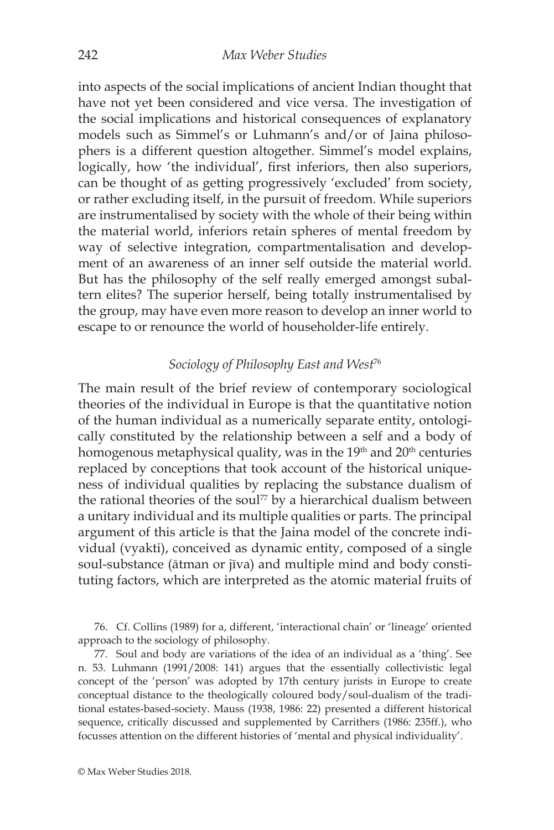into aspects of the social implications of ancient Indian thought that have not yet been considered and vice versa. The investigation of the social implications and historical consequences of explanatory models such as Simmel's or Luhmann's and/or of Jaina philosophers is a different question altogether. Simmel's model explains, logically, how 'the individual', first inferiors, then also superiors, can be thought of as getting progressively 'excluded' from society, or rather excluding itself, in the pursuit of freedom. While superiors are instrumentalised by society with the whole of their being within the material world, inferiors retain spheres of mental freedom by way of selective integration, compartmentalisation and development of an awareness of an inner self outside the material world. But has the philosophy of the self really emerged amongst subaltern elites? The superior herself, being totally instrumentalised by the group, may have even more reason to develop an inner world to escape to or renounce the world of householder-life entirely.

# *Sociology of Philosophy East and West*<sup>76</sup>

The main result of the brief review of contemporary sociological theories of the individual in Europe is that the quantitative notion of the human individual as a numerically separate entity, ontologically constituted by the relationship between a self and a body of homogenous metaphysical quality, was in the 19<sup>th</sup> and 20<sup>th</sup> centuries replaced by conceptions that took account of the historical uniqueness of individual qualities by replacing the substance dualism of the rational theories of the soul<sup>77</sup> by a hierarchical dualism between a unitary individual and its multiple qualities or parts. The principal argument of this article is that the Jaina model of the concrete individual (vyakti), conceived as dynamic entity, composed of a single soul-substance (ātman or jīva) and multiple mind and body constituting factors, which are interpreted as the atomic material fruits of

76. Cf. Collins (1989) for a, different, 'interactional chain' or 'lineage' oriented approach to the sociology of philosophy.

77. Soul and body are variations of the idea of an individual as a 'thing'. See n. 53. Luhmann (1991/2008: 141) argues that the essentially collectivistic legal concept of the 'person' was adopted by 17th century jurists in Europe to create conceptual distance to the theologically coloured body/soul-dualism of the traditional estates-based-society. Mauss (1938, 1986: 22) presented a different historical sequence, critically discussed and supplemented by Carrithers (1986: 235ff.), who focusses attention on the different histories of 'mental and physical individuality'.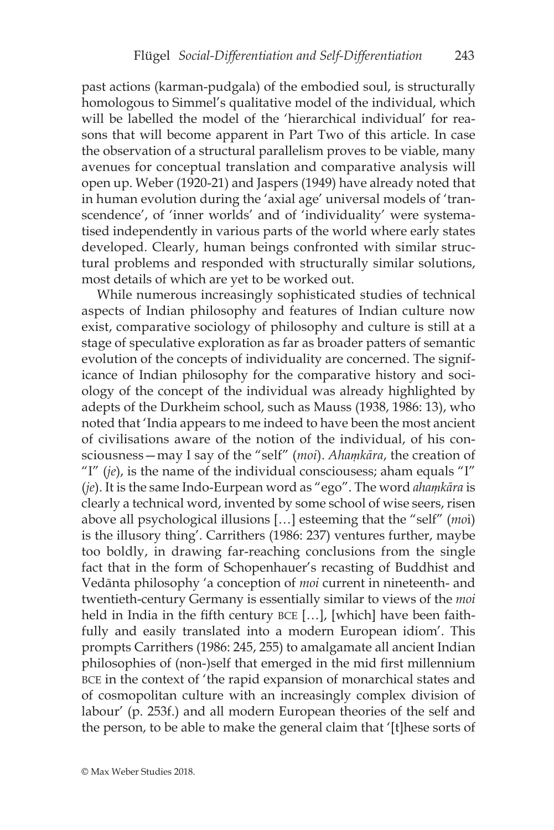past actions (karman-pudgala) of the embodied soul, is structurally homologous to Simmel's qualitative model of the individual, which will be labelled the model of the 'hierarchical individual' for reasons that will become apparent in Part Two of this article. In case the observation of a structural parallelism proves to be viable, many avenues for conceptual translation and comparative analysis will open up. Weber (1920-21) and Jaspers (1949) have already noted that in human evolution during the 'axial age' universal models of 'transcendence', of 'inner worlds' and of 'individuality' were systematised independently in various parts of the world where early states developed. Clearly, human beings confronted with similar structural problems and responded with structurally similar solutions, most details of which are yet to be worked out.

While numerous increasingly sophisticated studies of technical aspects of Indian philosophy and features of Indian culture now exist, comparative sociology of philosophy and culture is still at a stage of speculative exploration as far as broader patters of semantic evolution of the concepts of individuality are concerned. The significance of Indian philosophy for the comparative history and sociology of the concept of the individual was already highlighted by adepts of the Durkheim school, such as Mauss (1938, 1986: 13), who noted that 'India appears to me indeed to have been the most ancient of civilisations aware of the notion of the individual, of his consciousness—may I say of the "self" (*moi*). *Ahaṃkāra*, the creation of "I" (*je*), is the name of the individual consciousess; aham equals "I" (*je*). It is the same Indo-Eurpean word as "ego". The word *ahaṃkāra* is clearly a technical word, invented by some school of wise seers, risen above all psychological illusions […] esteeming that the "self" (*mo*i) is the illusory thing'. Carrithers (1986: 237) ventures further, maybe too boldly, in drawing far-reaching conclusions from the single fact that in the form of Schopenhauer's recasting of Buddhist and Vedānta philosophy 'a conception of *moi* current in nineteenth- and twentieth-century Germany is essentially similar to views of the *moi* held in India in the fifth century BCE [...], [which] have been faithfully and easily translated into a modern European idiom'. This prompts Carrithers (1986: 245, 255) to amalgamate all ancient Indian philosophies of (non-)self that emerged in the mid first millennium bce in the context of 'the rapid expansion of monarchical states and of cosmopolitan culture with an increasingly complex division of labour' (p. 253f.) and all modern European theories of the self and the person, to be able to make the general claim that '[t]hese sorts of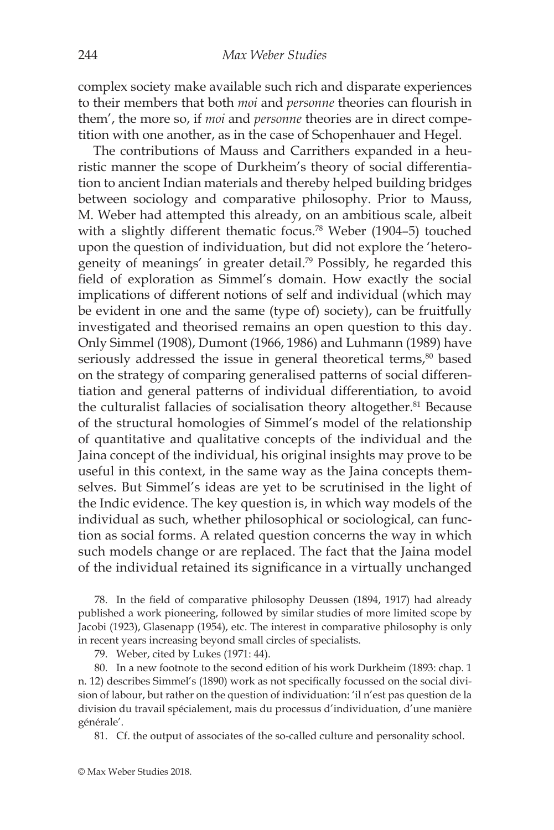complex society make available such rich and disparate experiences to their members that both *moi* and *personne* theories can flourish in them', the more so, if *moi* and *personne* theories are in direct competition with one another, as in the case of Schopenhauer and Hegel.

The contributions of Mauss and Carrithers expanded in a heuristic manner the scope of Durkheim's theory of social differentiation to ancient Indian materials and thereby helped building bridges between sociology and comparative philosophy. Prior to Mauss, M. Weber had attempted this already, on an ambitious scale, albeit with a slightly different thematic focus.78 Weber (1904–5) touched upon the question of individuation, but did not explore the 'heterogeneity of meanings' in greater detail.79 Possibly, he regarded this field of exploration as Simmel's domain. How exactly the social implications of different notions of self and individual (which may be evident in one and the same (type of) society), can be fruitfully investigated and theorised remains an open question to this day. Only Simmel (1908), Dumont (1966, 1986) and Luhmann (1989) have seriously addressed the issue in general theoretical terms,<sup>80</sup> based on the strategy of comparing generalised patterns of social differentiation and general patterns of individual differentiation, to avoid the culturalist fallacies of socialisation theory altogether.<sup>81</sup> Because of the structural homologies of Simmel's model of the relationship of quantitative and qualitative concepts of the individual and the Jaina concept of the individual, his original insights may prove to be useful in this context, in the same way as the Jaina concepts themselves. But Simmel's ideas are yet to be scrutinised in the light of the Indic evidence. The key question is, in which way models of the individual as such, whether philosophical or sociological, can function as social forms. A related question concerns the way in which such models change or are replaced. The fact that the Jaina model of the individual retained its significance in a virtually unchanged

78. In the field of comparative philosophy Deussen (1894, 1917) had already published a work pioneering, followed by similar studies of more limited scope by Jacobi (1923), Glasenapp (1954), etc. The interest in comparative philosophy is only in recent years increasing beyond small circles of specialists.

79. Weber, cited by Lukes (1971: 44).

80. In a new footnote to the second edition of his work Durkheim (1893: chap. 1 n. 12) describes Simmel's (1890) work as not specifically focussed on the social division of labour, but rather on the question of individuation: 'il n'est pas question de la division du travail spécialement, mais du processus d'individuation, d'une manière générale'.

81. Cf. the output of associates of the so-called culture and personality school.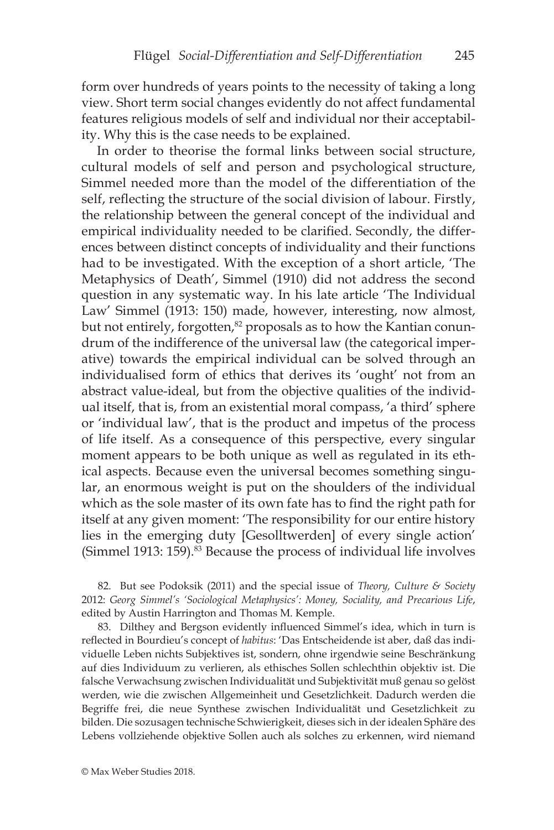form over hundreds of years points to the necessity of taking a long view. Short term social changes evidently do not affect fundamental features religious models of self and individual nor their acceptability. Why this is the case needs to be explained.

In order to theorise the formal links between social structure, cultural models of self and person and psychological structure, Simmel needed more than the model of the differentiation of the self, reflecting the structure of the social division of labour. Firstly, the relationship between the general concept of the individual and empirical individuality needed to be clarified. Secondly, the differences between distinct concepts of individuality and their functions had to be investigated. With the exception of a short article, 'The Metaphysics of Death', Simmel (1910) did not address the second question in any systematic way. In his late article 'The Individual Law' Simmel (1913: 150) made, however, interesting, now almost, but not entirely, forgotten, $82$  proposals as to how the Kantian conundrum of the indifference of the universal law (the categorical imperative) towards the empirical individual can be solved through an individualised form of ethics that derives its 'ought' not from an abstract value-ideal, but from the objective qualities of the individual itself, that is, from an existential moral compass, 'a third' sphere or 'individual law', that is the product and impetus of the process of life itself. As a consequence of this perspective, every singular moment appears to be both unique as well as regulated in its ethical aspects. Because even the universal becomes something singular, an enormous weight is put on the shoulders of the individual which as the sole master of its own fate has to find the right path for itself at any given moment: 'The responsibility for our entire history lies in the emerging duty [Gesolltwerden] of every single action' (Simmel 1913: 159).<sup>83</sup> Because the process of individual life involves

82. But see Podoksik (2011) and the special issue of *Theory, Culture & Society* 2012: *Georg Simmel's 'Sociological Metaphysics': Money, Sociality, and Precarious Life*, edited by Austin Harrington and Thomas M. Kemple.

83. Dilthey and Bergson evidently influenced Simmel's idea, which in turn is reflected in Bourdieu's concept of *habitus*: 'Das Entscheidende ist aber, daß das individuelle Leben nichts Subjektives ist, sondern, ohne irgendwie seine Beschränkung auf dies Individuum zu verlieren, als ethisches Sollen schlechthin objektiv ist. Die falsche Verwachsung zwischen Individualität und Subjektivität muß genau so gelöst werden, wie die zwischen Allgemeinheit und Gesetzlichkeit. Dadurch werden die Begriffe frei, die neue Synthese zwischen Individualität und Gesetzlichkeit zu bilden. Die sozusagen technische Schwierigkeit, dieses sich in der idealen Sphäre des Lebens vollziehende objektive Sollen auch als solches zu erkennen, wird niemand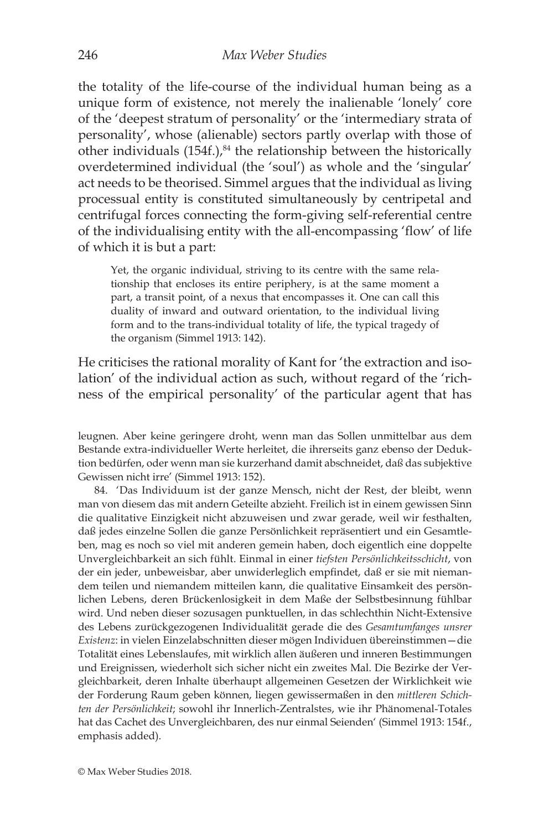the totality of the life-course of the individual human being as a unique form of existence, not merely the inalienable 'lonely' core of the 'deepest stratum of personality' or the 'intermediary strata of personality', whose (alienable) sectors partly overlap with those of other individuals  $(154f_{n})_{n=0}^{84}$  the relationship between the historically overdetermined individual (the 'soul') as whole and the 'singular' act needs to be theorised. Simmel argues that the individual as living processual entity is constituted simultaneously by centripetal and centrifugal forces connecting the form-giving self-referential centre of the individualising entity with the all-encompassing 'flow' of life of which it is but a part:

Yet, the organic individual, striving to its centre with the same relationship that encloses its entire periphery, is at the same moment a part, a transit point, of a nexus that encompasses it. One can call this duality of inward and outward orientation, to the individual living form and to the trans-individual totality of life, the typical tragedy of the organism (Simmel 1913: 142).

He criticises the rational morality of Kant for 'the extraction and isolation' of the individual action as such, without regard of the 'richness of the empirical personality' of the particular agent that has

leugnen. Aber keine geringere droht, wenn man das Sollen unmittelbar aus dem Bestande extra-individueller Werte herleitet, die ihrerseits ganz ebenso der Deduktion bedürfen, oder wenn man sie kurzerhand damit abschneidet, daß das subjektive Gewissen nicht irre' (Simmel 1913: 152).

84. 'Das Individuum ist der ganze Mensch, nicht der Rest, der bleibt, wenn man von diesem das mit andern Geteilte abzieht. Freilich ist in einem gewissen Sinn die qualitative Einzigkeit nicht abzuweisen und zwar gerade, weil wir festhalten, daß jedes einzelne Sollen die ganze Persönlichkeit repräsentiert und ein Gesamtleben, mag es noch so viel mit anderen gemein haben, doch eigentlich eine doppelte Unvergleichbarkeit an sich fühlt. Einmal in einer *tiefsten Persönlichkeitsschicht*, von der ein jeder, unbeweisbar, aber unwiderleglich empfindet, daß er sie mit niemandem teilen und niemandem mitteilen kann, die qualitative Einsamkeit des persönlichen Lebens, deren Brückenlosigkeit in dem Maße der Selbstbesinnung fühlbar wird. Und neben dieser sozusagen punktuellen, in das schlechthin Nicht-Extensive des Lebens zurückgezogenen Individualität gerade die des *Gesamtumfanges unsrer Existenz*: in vielen Einzelabschnitten dieser mögen Individuen übereinstimmen—die Totalität eines Lebenslaufes, mit wirklich allen äußeren und inneren Bestimmungen und Ereignissen, wiederholt sich sicher nicht ein zweites Mal. Die Bezirke der Vergleichbarkeit, deren Inhalte überhaupt allgemeinen Gesetzen der Wirklichkeit wie der Forderung Raum geben können, liegen gewissermaßen in den *mittleren Schichten der Persönlichkeit*; sowohl ihr Innerlich-Zentralstes, wie ihr Phänomenal-Totales hat das Cachet des Unvergleichbaren, des nur einmal Seienden' (Simmel 1913: 154f., emphasis added).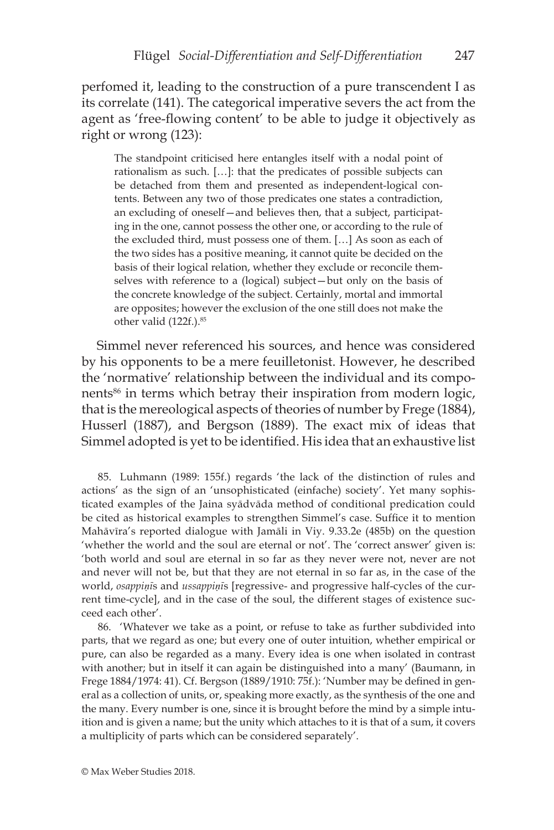perfomed it, leading to the construction of a pure transcendent I as its correlate (141). The categorical imperative severs the act from the agent as 'free-flowing content' to be able to judge it objectively as right or wrong (123):

The standpoint criticised here entangles itself with a nodal point of rationalism as such. […]: that the predicates of possible subjects can be detached from them and presented as independent-logical contents. Between any two of those predicates one states a contradiction, an excluding of oneself—and believes then, that a subject, participating in the one, cannot possess the other one, or according to the rule of the excluded third, must possess one of them. […] As soon as each of the two sides has a positive meaning, it cannot quite be decided on the basis of their logical relation, whether they exclude or reconcile themselves with reference to a (logical) subject—but only on the basis of the concrete knowledge of the subject. Certainly, mortal and immortal are opposites; however the exclusion of the one still does not make the other valid (122f.).<sup>85</sup>

Simmel never referenced his sources, and hence was considered by his opponents to be a mere feuilletonist. However, he described the 'normative' relationship between the individual and its components<sup>86</sup> in terms which betray their inspiration from modern logic, that is the mereological aspects of theories of number by Frege (1884), Husserl (1887), and Bergson (1889). The exact mix of ideas that Simmel adopted is yet to be identified. His idea that an exhaustive list

85. Luhmann (1989: 155f.) regards 'the lack of the distinction of rules and actions' as the sign of an 'unsophisticated (einfache) society'. Yet many sophisticated examples of the Jaina syādvāda method of conditional predication could be cited as historical examples to strengthen Simmel's case. Suffice it to mention Mahāvīra's reported dialogue with Jamāli in Viy. 9.33.2e (485b) on the question 'whether the world and the soul are eternal or not'. The 'correct answer' given is: 'both world and soul are eternal in so far as they never were not, never are not and never will not be, but that they are not eternal in so far as, in the case of the world, *osappiṇī*s and *ussappiṇī*s [regressive- and progressive half-cycles of the current time-cycle], and in the case of the soul, the different stages of existence succeed each other'.

86. 'Whatever we take as a point, or refuse to take as further subdivided into parts, that we regard as one; but every one of outer intuition, whether empirical or pure, can also be regarded as a many. Every idea is one when isolated in contrast with another; but in itself it can again be distinguished into a many' (Baumann, in Frege 1884/1974: 41). Cf. Bergson (1889/1910: 75f.): 'Number may be defined in general as a collection of units, or, speaking more exactly, as the synthesis of the one and the many. Every number is one, since it is brought before the mind by a simple intuition and is given a name; but the unity which attaches to it is that of a sum, it covers a multiplicity of parts which can be considered separately'.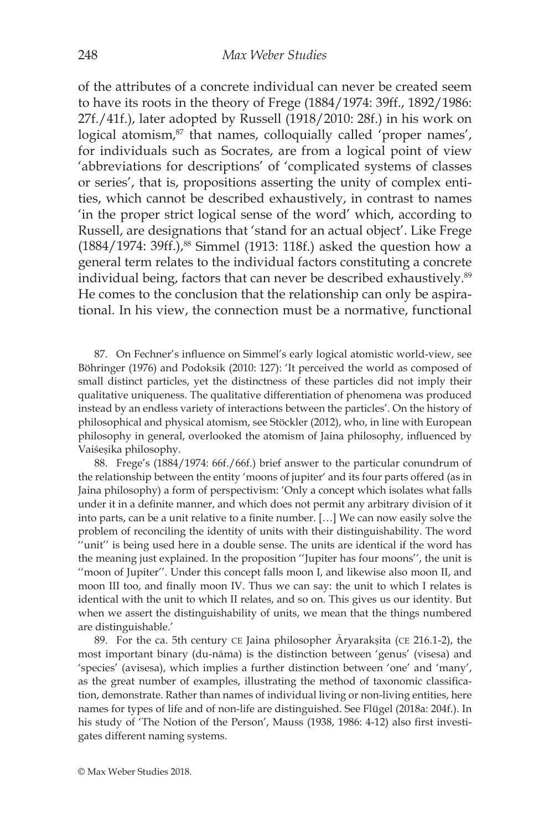of the attributes of a concrete individual can never be created seem to have its roots in the theory of Frege (1884/1974: 39ff., 1892/1986: 27f./41f.), later adopted by Russell (1918/2010: 28f.) in his work on logical atomism,<sup>87</sup> that names, colloquially called 'proper names', for individuals such as Socrates, are from a logical point of view 'abbreviations for descriptions' of 'complicated systems of classes or series', that is, propositions asserting the unity of complex entities, which cannot be described exhaustively, in contrast to names 'in the proper strict logical sense of the word' which, according to Russell, are designations that 'stand for an actual object'. Like Frege (1884/1974: 39ff.),<sup>88</sup> Simmel (1913: 118f.) asked the question how a general term relates to the individual factors constituting a concrete individual being, factors that can never be described exhaustively.<sup>89</sup> He comes to the conclusion that the relationship can only be aspirational. In his view, the connection must be a normative, functional

87. On Fechner's influence on Simmel's early logical atomistic world-view, see Böhringer (1976) and Podoksik (2010: 127): 'It perceived the world as composed of small distinct particles, yet the distinctness of these particles did not imply their qualitative uniqueness. The qualitative differentiation of phenomena was produced instead by an endless variety of interactions between the particles'. On the history of philosophical and physical atomism, see Stöckler (2012), who, in line with European philosophy in general, overlooked the atomism of Jaina philosophy, influenced by Vaiśeṣika philosophy.

88. Frege's (1884/1974: 66f./66f.) brief answer to the particular conundrum of the relationship between the entity 'moons of jupiter' and its four parts offered (as in Jaina philosophy) a form of perspectivism: 'Only a concept which isolates what falls under it in a definite manner, and which does not permit any arbitrary division of it into parts, can be a unit relative to a finite number. […] We can now easily solve the problem of reconciling the identity of units with their distinguishability. The word "unit" is being used here in a double sense. The units are identical if the word has the meaning just explained. In the proposition ''Jupiter has four moons'', the unit is ''moon of Jupiter''. Under this concept falls moon I, and likewise also moon II, and moon III too, and finally moon IV. Thus we can say: the unit to which I relates is identical with the unit to which II relates, and so on. This gives us our identity. But when we assert the distinguishability of units, we mean that the things numbered are distinguishable.'

89. For the ca. 5th century CE Jaina philosopher  $\bar{A}$ ryaraksita (CE 216.1-2), the most important binary (du-nāma) is the distinction between 'genus' (visesa) and 'species' (avisesa), which implies a further distinction between 'one' and 'many', as the great number of examples, illustrating the method of taxonomic classification, demonstrate. Rather than names of individual living or non-living entities, here names for types of life and of non-life are distinguished. See Flügel (2018a: 204f.). In his study of 'The Notion of the Person', Mauss (1938, 1986: 4-12) also first investigates different naming systems.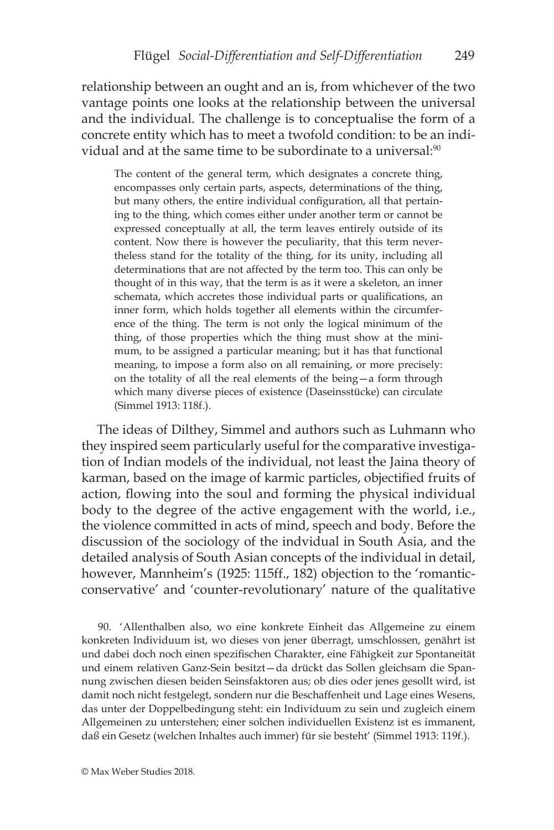relationship between an ought and an is, from whichever of the two vantage points one looks at the relationship between the universal and the individual. The challenge is to conceptualise the form of a concrete entity which has to meet a twofold condition: to be an individual and at the same time to be subordinate to a universal:<sup>90</sup>

The content of the general term, which designates a concrete thing, encompasses only certain parts, aspects, determinations of the thing, but many others, the entire individual configuration, all that pertaining to the thing, which comes either under another term or cannot be expressed conceptually at all, the term leaves entirely outside of its content. Now there is however the peculiarity, that this term nevertheless stand for the totality of the thing, for its unity, including all determinations that are not affected by the term too. This can only be thought of in this way, that the term is as it were a skeleton, an inner schemata, which accretes those individual parts or qualifications, an inner form, which holds together all elements within the circumference of the thing. The term is not only the logical minimum of the thing, of those properties which the thing must show at the minimum, to be assigned a particular meaning; but it has that functional meaning, to impose a form also on all remaining, or more precisely: on the totality of all the real elements of the being—a form through which many diverse pieces of existence (Daseinsstücke) can circulate (Simmel 1913: 118f.).

The ideas of Dilthey, Simmel and authors such as Luhmann who they inspired seem particularly useful for the comparative investigation of Indian models of the individual, not least the Jaina theory of karman, based on the image of karmic particles, objectified fruits of action, flowing into the soul and forming the physical individual body to the degree of the active engagement with the world, i.e., the violence committed in acts of mind, speech and body. Before the discussion of the sociology of the indvidual in South Asia, and the detailed analysis of South Asian concepts of the individual in detail, however, Mannheim's (1925: 115ff., 182) objection to the 'romanticconservative' and 'counter-revolutionary' nature of the qualitative

90. 'Allenthalben also, wo eine konkrete Einheit das Allgemeine zu einem konkreten Individuum ist, wo dieses von jener überragt, umschlossen, genährt ist und dabei doch noch einen spezifischen Charakter, eine Fähigkeit zur Spontaneität und einem relativen Ganz-Sein besitzt—da drückt das Sollen gleichsam die Spannung zwischen diesen beiden Seinsfaktoren aus; ob dies oder jenes gesollt wird, ist damit noch nicht festgelegt, sondern nur die Beschaffenheit und Lage eines Wesens, das unter der Doppelbedingung steht: ein Individuum zu sein und zugleich einem Allgemeinen zu unterstehen; einer solchen individuellen Existenz ist es immanent, daß ein Gesetz (welchen Inhaltes auch immer) für sie besteht' (Simmel 1913: 119f.).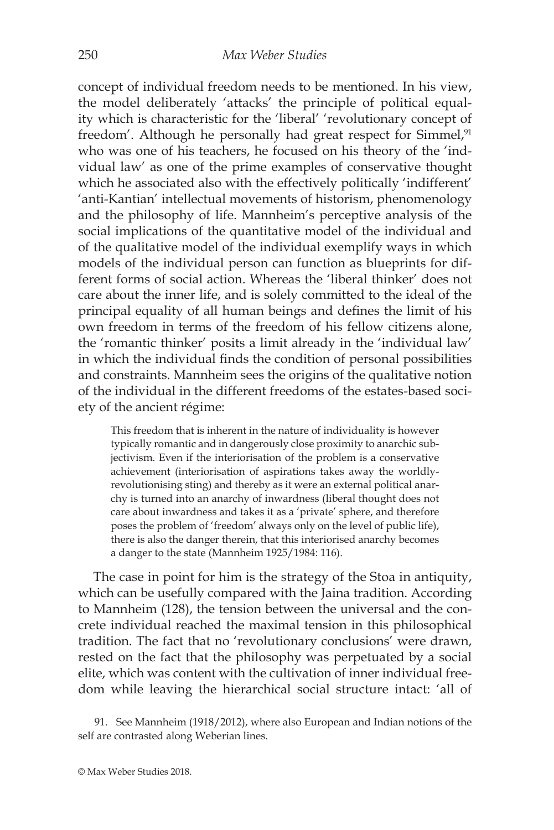concept of individual freedom needs to be mentioned. In his view, the model deliberately 'attacks' the principle of political equality which is characteristic for the 'liberal' 'revolutionary concept of freedom'. Although he personally had great respect for Simmel,<sup>91</sup> who was one of his teachers, he focused on his theory of the 'indvidual law' as one of the prime examples of conservative thought which he associated also with the effectively politically 'indifferent' 'anti-Kantian' intellectual movements of historism, phenomenology and the philosophy of life. Mannheim's perceptive analysis of the social implications of the quantitative model of the individual and of the qualitative model of the individual exemplify ways in which models of the individual person can function as blueprints for different forms of social action. Whereas the 'liberal thinker' does not care about the inner life, and is solely committed to the ideal of the principal equality of all human beings and defines the limit of his own freedom in terms of the freedom of his fellow citizens alone, the 'romantic thinker' posits a limit already in the 'individual law' in which the individual finds the condition of personal possibilities and constraints. Mannheim sees the origins of the qualitative notion of the individual in the different freedoms of the estates-based society of the ancient régime:

This freedom that is inherent in the nature of individuality is however typically romantic and in dangerously close proximity to anarchic subjectivism. Even if the interiorisation of the problem is a conservative achievement (interiorisation of aspirations takes away the worldlyrevolutionising sting) and thereby as it were an external political anarchy is turned into an anarchy of inwardness (liberal thought does not care about inwardness and takes it as a 'private' sphere, and therefore poses the problem of 'freedom' always only on the level of public life), there is also the danger therein, that this interiorised anarchy becomes a danger to the state (Mannheim 1925/1984: 116).

The case in point for him is the strategy of the Stoa in antiquity, which can be usefully compared with the Jaina tradition. According to Mannheim (128), the tension between the universal and the concrete individual reached the maximal tension in this philosophical tradition. The fact that no 'revolutionary conclusions' were drawn, rested on the fact that the philosophy was perpetuated by a social elite, which was content with the cultivation of inner individual freedom while leaving the hierarchical social structure intact: 'all of

91. See Mannheim (1918/2012), where also European and Indian notions of the self are contrasted along Weberian lines.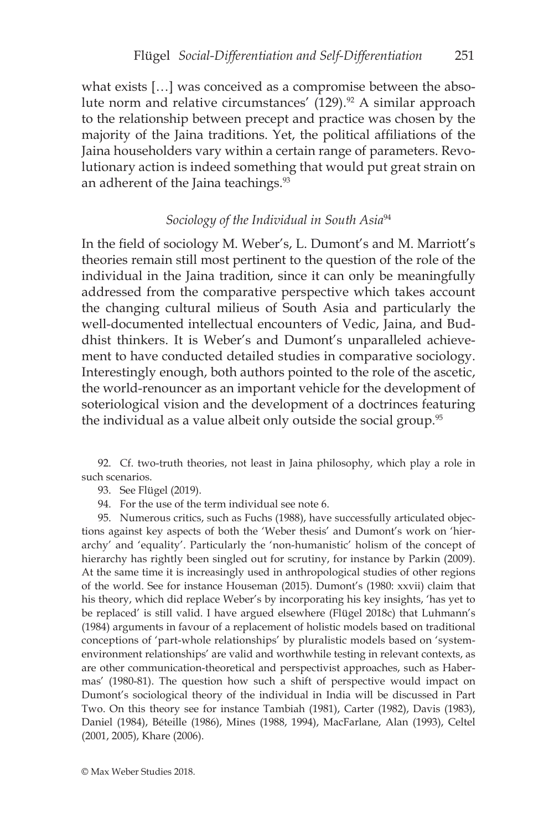what exists […] was conceived as a compromise between the absolute norm and relative circumstances'  $(129)$ .<sup>92</sup> A similar approach to the relationship between precept and practice was chosen by the majority of the Jaina traditions. Yet, the political affiliations of the Jaina householders vary within a certain range of parameters. Revolutionary action is indeed something that would put great strain on an adherent of the Jaina teachings.<sup>93</sup>

# *Sociology of the Individual in South Asia*<sup>94</sup>

In the field of sociology M. Weber's, L. Dumont's and M. Marriott's theories remain still most pertinent to the question of the role of the individual in the Jaina tradition, since it can only be meaningfully addressed from the comparative perspective which takes account the changing cultural milieus of South Asia and particularly the well-documented intellectual encounters of Vedic, Jaina, and Buddhist thinkers. It is Weber's and Dumont's unparalleled achievement to have conducted detailed studies in comparative sociology. Interestingly enough, both authors pointed to the role of the ascetic, the world-renouncer as an important vehicle for the development of soteriological vision and the development of a doctrinces featuring the individual as a value albeit only outside the social group.<sup>95</sup>

92. Cf. two-truth theories, not least in Jaina philosophy, which play a role in such scenarios.

93. See Flügel (2019).

94. For the use of the term individual see note 6.

95. Numerous critics, such as Fuchs (1988), have successfully articulated objections against key aspects of both the 'Weber thesis' and Dumont's work on 'hierarchy' and 'equality'. Particularly the 'non-humanistic' holism of the concept of hierarchy has rightly been singled out for scrutiny, for instance by Parkin (2009). At the same time it is increasingly used in anthropological studies of other regions of the world. See for instance Houseman (2015). Dumont's (1980: xxvii) claim that his theory, which did replace Weber's by incorporating his key insights, 'has yet to be replaced' is still valid. I have argued elsewhere (Flügel 2018c) that Luhmann's (1984) arguments in favour of a replacement of holistic models based on traditional conceptions of 'part-whole relationships' by pluralistic models based on 'systemenvironment relationships' are valid and worthwhile testing in relevant contexts, as are other communication-theoretical and perspectivist approaches, such as Habermas' (1980-81). The question how such a shift of perspective would impact on Dumont's sociological theory of the individual in India will be discussed in Part Two. On this theory see for instance Tambiah (1981), Carter (1982), Davis (1983), Daniel (1984), Béteille (1986), Mines (1988, 1994), MacFarlane, Alan (1993), Celtel (2001, 2005), Khare (2006).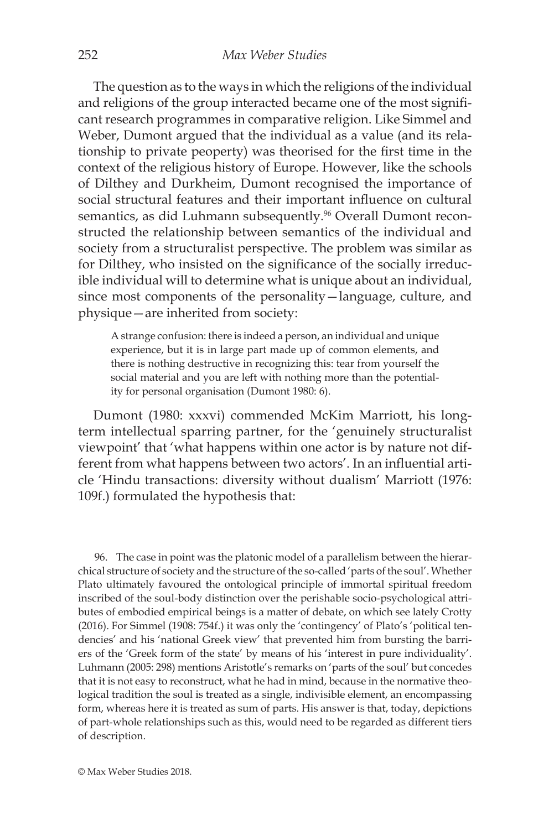The question as to the ways in which the religions of the individual and religions of the group interacted became one of the most significant research programmes in comparative religion. Like Simmel and Weber, Dumont argued that the individual as a value (and its relationship to private peoperty) was theorised for the first time in the context of the religious history of Europe. However, like the schools of Dilthey and Durkheim, Dumont recognised the importance of social structural features and their important influence on cultural semantics, as did Luhmann subsequently.<sup>96</sup> Overall Dumont reconstructed the relationship between semantics of the individual and society from a structuralist perspective. The problem was similar as for Dilthey, who insisted on the significance of the socially irreducible individual will to determine what is unique about an individual, since most components of the personality—language, culture, and physique—are inherited from society:

A strange confusion: there is indeed a person, an individual and unique experience, but it is in large part made up of common elements, and there is nothing destructive in recognizing this: tear from yourself the social material and you are left with nothing more than the potentiality for personal organisation (Dumont 1980: 6).

Dumont (1980: xxxvi) commended McKim Marriott, his longterm intellectual sparring partner, for the 'genuinely structuralist viewpoint' that 'what happens within one actor is by nature not different from what happens between two actors'. In an influential article 'Hindu transactions: diversity without dualism' Marriott (1976: 109f.) formulated the hypothesis that:

96. The case in point was the platonic model of a parallelism between the hierarchical structure of society and the structure of the so-called 'parts of the soul'. Whether Plato ultimately favoured the ontological principle of immortal spiritual freedom inscribed of the soul-body distinction over the perishable socio-psychological attributes of embodied empirical beings is a matter of debate, on which see lately Crotty (2016). For Simmel (1908: 754f.) it was only the 'contingency' of Plato's 'political tendencies' and his 'national Greek view' that prevented him from bursting the barriers of the 'Greek form of the state' by means of his 'interest in pure individuality'. Luhmann (2005: 298) mentions Aristotle's remarks on 'parts of the soul' but concedes that it is not easy to reconstruct, what he had in mind, because in the normative theological tradition the soul is treated as a single, indivisible element, an encompassing form, whereas here it is treated as sum of parts. His answer is that, today, depictions of part-whole relationships such as this, would need to be regarded as different tiers of description.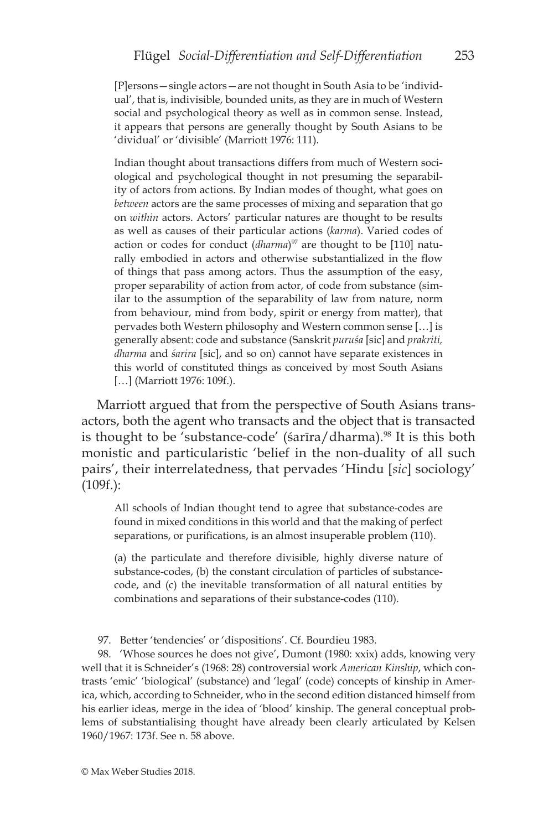[P]ersons—single actors—are not thought in South Asia to be 'individual', that is, indivisible, bounded units, as they are in much of Western social and psychological theory as well as in common sense. Instead, it appears that persons are generally thought by South Asians to be 'dividual' or 'divisible' (Marriott 1976: 111).

Indian thought about transactions differs from much of Western sociological and psychological thought in not presuming the separability of actors from actions. By Indian modes of thought, what goes on *between* actors are the same processes of mixing and separation that go on *within* actors. Actors' particular natures are thought to be results as well as causes of their particular actions (*karma*). Varied codes of action or codes for conduct (*dharma*)<sup>97</sup> are thought to be [110] naturally embodied in actors and otherwise substantialized in the flow of things that pass among actors. Thus the assumption of the easy, proper separability of action from actor, of code from substance (similar to the assumption of the separability of law from nature, norm from behaviour, mind from body, spirit or energy from matter), that pervades both Western philosophy and Western common sense […] is generally absent: code and substance (Sanskrit *puruśa* [sic] and *prakriti, dharma* and *śarira* [sic], and so on) cannot have separate existences in this world of constituted things as conceived by most South Asians [...] (Marriott 1976: 109f.).

Marriott argued that from the perspective of South Asians transactors, both the agent who transacts and the object that is transacted is thought to be 'substance-code' (śarīra/dharma).<sup>98</sup> It is this both monistic and particularistic 'belief in the non-duality of all such pairs', their interrelatedness, that pervades 'Hindu [*sic*] sociology' (109f.):

All schools of Indian thought tend to agree that substance-codes are found in mixed conditions in this world and that the making of perfect separations, or purifications, is an almost insuperable problem (110).

(a) the particulate and therefore divisible, highly diverse nature of substance-codes, (b) the constant circulation of particles of substancecode, and (c) the inevitable transformation of all natural entities by combinations and separations of their substance-codes (110).

97. Better 'tendencies' or 'dispositions'. Cf. Bourdieu 1983.

98. 'Whose sources he does not give', Dumont (1980: xxix) adds, knowing very well that it is Schneider's (1968: 28) controversial work *American Kinship*, which contrasts 'emic' 'biological' (substance) and 'legal' (code) concepts of kinship in America, which, according to Schneider, who in the second edition distanced himself from his earlier ideas, merge in the idea of 'blood' kinship. The general conceptual problems of substantialising thought have already been clearly articulated by Kelsen 1960/1967: 173f. See n. 58 above.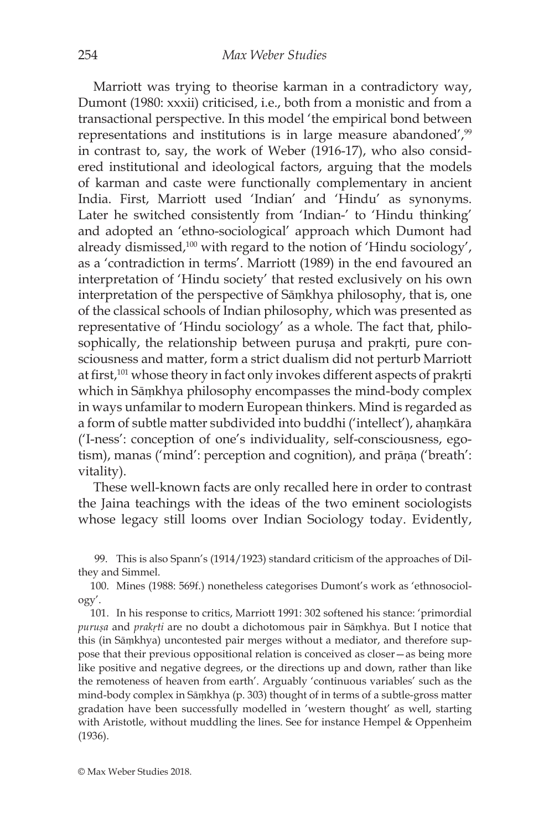Marriott was trying to theorise karman in a contradictory way, Dumont (1980: xxxii) criticised, i.e., both from a monistic and from a transactional perspective. In this model 'the empirical bond between representations and institutions is in large measure abandoned',<sup>99</sup> in contrast to, say, the work of Weber (1916-17), who also considered institutional and ideological factors, arguing that the models of karman and caste were functionally complementary in ancient India. First, Marriott used 'Indian' and 'Hindu' as synonyms. Later he switched consistently from 'Indian-' to 'Hindu thinking' and adopted an 'ethno-sociological' approach which Dumont had already dismissed,100 with regard to the notion of 'Hindu sociology', as a 'contradiction in terms'. Marriott (1989) in the end favoured an interpretation of 'Hindu society' that rested exclusively on his own interpretation of the perspective of Sāṃkhya philosophy, that is, one of the classical schools of Indian philosophy, which was presented as representative of 'Hindu sociology' as a whole. The fact that, philosophically, the relationship between puruṣa and prakṛti, pure consciousness and matter, form a strict dualism did not perturb Marriott at first,<sup>101</sup> whose theory in fact only invokes different aspects of prakrti which in Sāṃkhya philosophy encompasses the mind-body complex in ways unfamilar to modern European thinkers. Mind is regarded as a form of subtle matter subdivided into buddhi ('intellect'), ahaṃkāra ('I-ness': conception of one's individuality, self-consciousness, egotism), manas ('mind': perception and cognition), and prāṇa ('breath': vitality).

These well-known facts are only recalled here in order to contrast the Jaina teachings with the ideas of the two eminent sociologists whose legacy still looms over Indian Sociology today. Evidently,

99. This is also Spann's (1914/1923) standard criticism of the approaches of Dilthey and Simmel.

100. Mines (1988: 569f.) nonetheless categorises Dumont's work as 'ethnosociology'.

101. In his response to critics, Marriott 1991: 302 softened his stance: 'primordial *puruṣa* and *prakṛti* are no doubt a dichotomous pair in Sāṃkhya. But I notice that this (in Sāṃkhya) uncontested pair merges without a mediator, and therefore suppose that their previous oppositional relation is conceived as closer—as being more like positive and negative degrees, or the directions up and down, rather than like the remoteness of heaven from earth'. Arguably 'continuous variables' such as the mind-body complex in Sāṃkhya (p. 303) thought of in terms of a subtle-gross matter gradation have been successfully modelled in 'western thought' as well, starting with Aristotle, without muddling the lines. See for instance Hempel & Oppenheim (1936).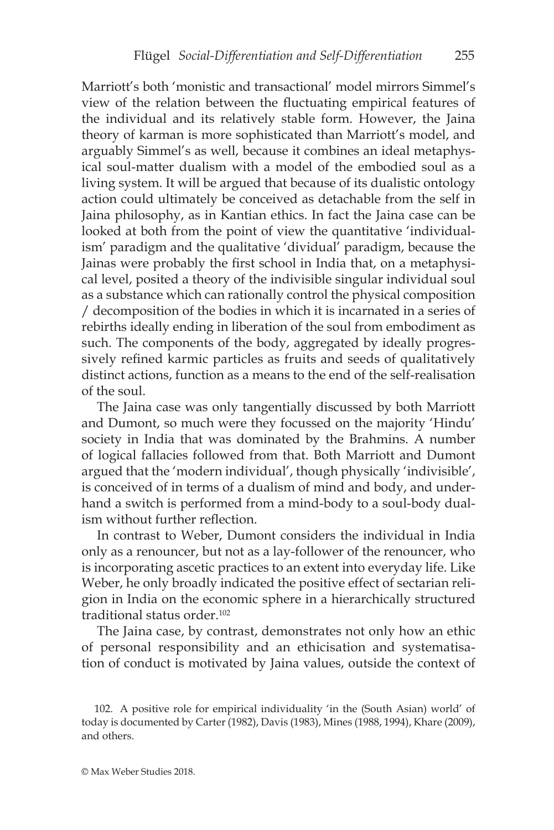Marriott's both 'monistic and transactional' model mirrors Simmel's view of the relation between the fluctuating empirical features of the individual and its relatively stable form. However, the Jaina theory of karman is more sophisticated than Marriott's model, and arguably Simmel's as well, because it combines an ideal metaphysical soul-matter dualism with a model of the embodied soul as a living system. It will be argued that because of its dualistic ontology action could ultimately be conceived as detachable from the self in Jaina philosophy, as in Kantian ethics. In fact the Jaina case can be looked at both from the point of view the quantitative 'individualism' paradigm and the qualitative 'dividual' paradigm, because the Jainas were probably the first school in India that, on a metaphysical level, posited a theory of the indivisible singular individual soul as a substance which can rationally control the physical composition / decomposition of the bodies in which it is incarnated in a series of rebirths ideally ending in liberation of the soul from embodiment as such. The components of the body, aggregated by ideally progressively refined karmic particles as fruits and seeds of qualitatively distinct actions, function as a means to the end of the self-realisation of the soul.

The Jaina case was only tangentially discussed by both Marriott and Dumont, so much were they focussed on the majority 'Hindu' society in India that was dominated by the Brahmins. A number of logical fallacies followed from that. Both Marriott and Dumont argued that the 'modern individual', though physically 'indivisible', is conceived of in terms of a dualism of mind and body, and underhand a switch is performed from a mind-body to a soul-body dualism without further reflection.

In contrast to Weber, Dumont considers the individual in India only as a renouncer, but not as a lay-follower of the renouncer, who is incorporating ascetic practices to an extent into everyday life. Like Weber, he only broadly indicated the positive effect of sectarian religion in India on the economic sphere in a hierarchically structured traditional status order.<sup>102</sup>

The Jaina case, by contrast, demonstrates not only how an ethic of personal responsibility and an ethicisation and systematisation of conduct is motivated by Jaina values, outside the context of

<sup>102.</sup> A positive role for empirical individuality 'in the (South Asian) world' of today is documented by Carter (1982), Davis (1983), Mines (1988, 1994), Khare (2009), and others.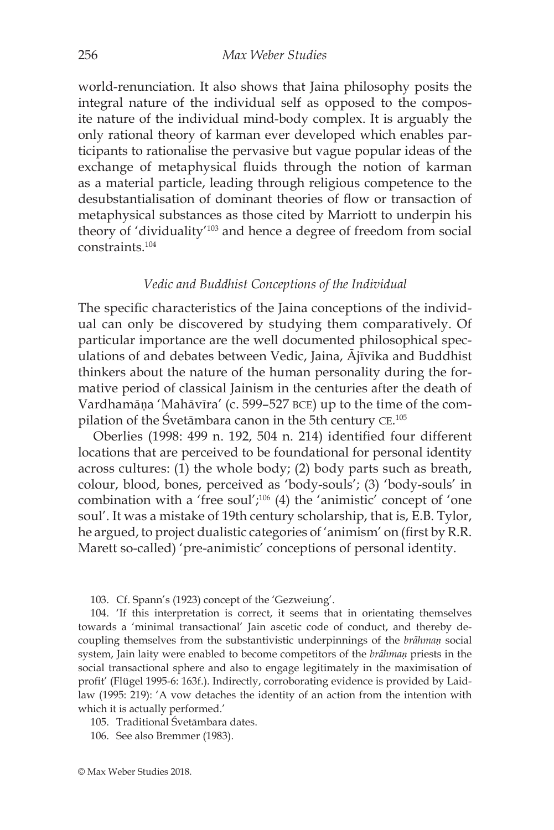world-renunciation. It also shows that Jaina philosophy posits the integral nature of the individual self as opposed to the composite nature of the individual mind-body complex. It is arguably the only rational theory of karman ever developed which enables participants to rationalise the pervasive but vague popular ideas of the exchange of metaphysical fluids through the notion of karman as a material particle, leading through religious competence to the desubstantialisation of dominant theories of flow or transaction of metaphysical substances as those cited by Marriott to underpin his theory of 'dividuality'103 and hence a degree of freedom from social constraints.104

### *Vedic and Buddhist Conceptions of the Individual*

The specific characteristics of the Jaina conceptions of the individual can only be discovered by studying them comparatively. Of particular importance are the well documented philosophical speculations of and debates between Vedic, Jaina, Ājīvika and Buddhist thinkers about the nature of the human personality during the formative period of classical Jainism in the centuries after the death of Vardhamāṇa 'Mahāvīra' (c. 599–527 bce) up to the time of the compilation of the Śvetāmbara canon in the 5th century ce. 105

Oberlies (1998: 499 n. 192, 504 n. 214) identified four different locations that are perceived to be foundational for personal identity across cultures:  $(1)$  the whole body;  $(2)$  body parts such as breath, colour, blood, bones, perceived as 'body-souls'; (3) 'body-souls' in combination with a 'free soul';<sup>106</sup> (4) the 'animistic' concept of 'one soul'. It was a mistake of 19th century scholarship, that is, E.B. Tylor, he argued, to project dualistic categories of 'animism' on (first by R.R. Marett so-called) 'pre-animistic' conceptions of personal identity.

103. Cf. Spann's (1923) concept of the 'Gezweiung'.

104. 'If this interpretation is correct, it seems that in orientating themselves towards a 'minimal transactional' Jain ascetic code of conduct, and thereby decoupling themselves from the substantivistic underpinnings of the *brāhmaṇ* social system, Jain laity were enabled to become competitors of the *brāhmaṇ* priests in the social transactional sphere and also to engage legitimately in the maximisation of profit' (Flügel 1995-6: 163f.). Indirectly, corroborating evidence is provided by Laidlaw (1995: 219): 'A vow detaches the identity of an action from the intention with which it is actually performed.'

- 105. Traditional Śvetāmbara dates.
- 106. See also Bremmer (1983).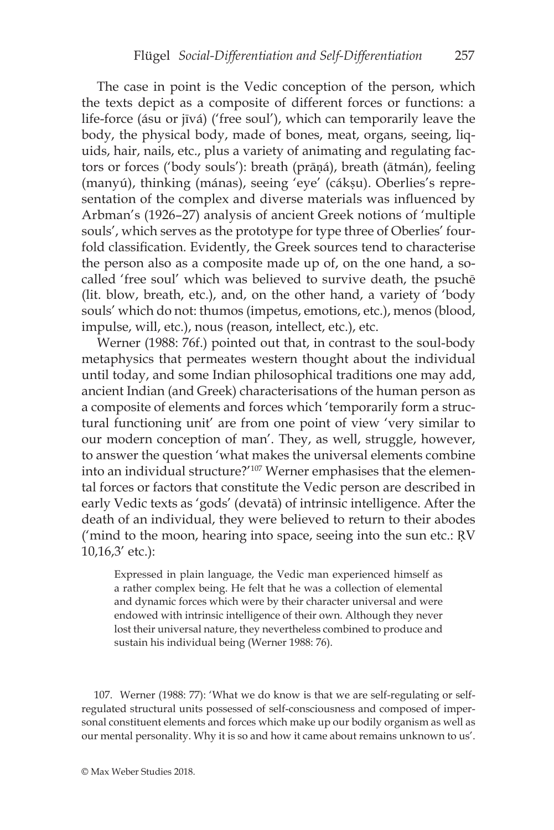The case in point is the Vedic conception of the person, which the texts depict as a composite of different forces or functions: a life-force (ásu or jīvá) ('free soul'), which can temporarily leave the body, the physical body, made of bones, meat, organs, seeing, liquids, hair, nails, etc., plus a variety of animating and regulating factors or forces ('body souls'): breath (prāṇá), breath (ātmán), feeling (manyú), thinking (mánas), seeing 'eye' (cákṣu). Oberlies's representation of the complex and diverse materials was influenced by Arbman's (1926–27) analysis of ancient Greek notions of 'multiple souls', which serves as the prototype for type three of Oberlies' fourfold classification. Evidently, the Greek sources tend to characterise the person also as a composite made up of, on the one hand, a socalled 'free soul' which was believed to survive death, the psuchē (lit. blow, breath, etc.), and, on the other hand, a variety of 'body souls' which do not: thumos (impetus, emotions, etc.), menos (blood, impulse, will, etc.), nous (reason, intellect, etc.), etc.

Werner (1988: 76f.) pointed out that, in contrast to the soul-body metaphysics that permeates western thought about the individual until today, and some Indian philosophical traditions one may add, ancient Indian (and Greek) characterisations of the human person as a composite of elements and forces which 'temporarily form a structural functioning unit' are from one point of view 'very similar to our modern conception of man'. They, as well, struggle, however, to answer the question 'what makes the universal elements combine into an individual structure?'107 Werner emphasises that the elemental forces or factors that constitute the Vedic person are described in early Vedic texts as 'gods' (devatā) of intrinsic intelligence. After the death of an individual, they were believed to return to their abodes ('mind to the moon, hearing into space, seeing into the sun etc.: ṚV 10,16,3' etc.):

Expressed in plain language, the Vedic man experienced himself as a rather complex being. He felt that he was a collection of elemental and dynamic forces which were by their character universal and were endowed with intrinsic intelligence of their own. Although they never lost their universal nature, they nevertheless combined to produce and sustain his individual being (Werner 1988: 76).

107. Werner (1988: 77): 'What we do know is that we are self-regulating or selfregulated structural units possessed of self-consciousness and composed of impersonal constituent elements and forces which make up our bodily organism as well as our mental personality. Why it is so and how it came about remains unknown to us'.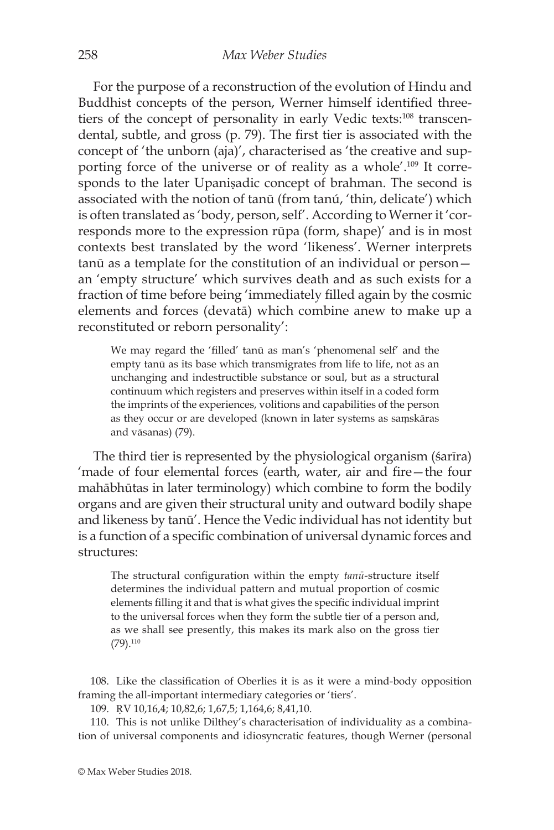For the purpose of a reconstruction of the evolution of Hindu and Buddhist concepts of the person, Werner himself identified threetiers of the concept of personality in early Vedic texts:<sup>108</sup> transcendental, subtle, and gross (p. 79). The first tier is associated with the concept of 'the unborn (aja)', characterised as 'the creative and supporting force of the universe or of reality as a whole'.109 It corresponds to the later Upaniṣadic concept of brahman. The second is associated with the notion of tanū (from tanú, 'thin, delicate') which is often translated as 'body, person, self'. According to Werner it 'corresponds more to the expression rūpa (form, shape)' and is in most contexts best translated by the word 'likeness'. Werner interprets tanū as a template for the constitution of an individual or person an 'empty structure' which survives death and as such exists for a fraction of time before being 'immediately filled again by the cosmic elements and forces (devatā) which combine anew to make up a reconstituted or reborn personality':

We may regard the 'filled' tanū as man's 'phenomenal self' and the empty tanū as its base which transmigrates from life to life, not as an unchanging and indestructible substance or soul, but as a structural continuum which registers and preserves within itself in a coded form the imprints of the experiences, volitions and capabilities of the person as they occur or are developed (known in later systems as saṃskāras and vāsanas) (79).

The third tier is represented by the physiological organism (śarīra) 'made of four elemental forces (earth, water, air and fire—the four mahābhūtas in later terminology) which combine to form the bodily organs and are given their structural unity and outward bodily shape and likeness by tanū'. Hence the Vedic individual has not identity but is a function of a specific combination of universal dynamic forces and structures:

The structural configuration within the empty *tanū*-structure itself determines the individual pattern and mutual proportion of cosmic elements filling it and that is what gives the specific individual imprint to the universal forces when they form the subtle tier of a person and, as we shall see presently, this makes its mark also on the gross tier (79).110

108. Like the classification of Oberlies it is as it were a mind-body opposition framing the all-important intermediary categories or 'tiers'.

109. ṚV 10,16,4; 10,82,6; 1,67,5; 1,164,6; 8,41,10.

110. This is not unlike Dilthey's characterisation of individuality as a combination of universal components and idiosyncratic features, though Werner (personal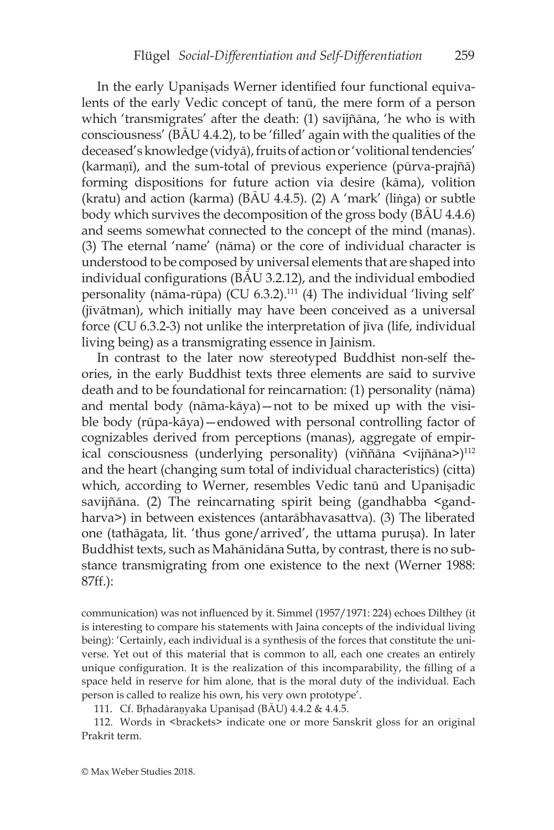In the early Upaniṣads Werner identified four functional equivalents of the early Vedic concept of tanū, the mere form of a person which 'transmigrates' after the death: (1) savijñāna, 'he who is with consciousness' (BĀU 4.4.2), to be 'filled' again with the qualities of the deceased's knowledge (vidyā), fruits of action or 'volitional tendencies' (karmaṇī), and the sum-total of previous experience (pūrva-prajñā) forming dispositions for future action via desire (kāma), volition (kratu) and action (karma) (BĀU 4.4.5). (2) A 'mark' (liṅga) or subtle body which survives the decomposition of the gross body (BĀU 4.4.6) and seems somewhat connected to the concept of the mind (manas). (3) The eternal 'name' (nāma) or the core of individual character is understood to be composed by universal elements that are shaped into individual configurations (BĀU 3.2.12), and the individual embodied personality (nāma-rūpa) (CU 6.3.2).111 (4) The individual 'living self' (jīvātman), which initially may have been conceived as a universal force (CU 6.3.2-3) not unlike the interpretation of jīva (life, individual living being) as a transmigrating essence in Jainism.

In contrast to the later now stereotyped Buddhist non-self theories, in the early Buddhist texts three elements are said to survive death and to be foundational for reincarnation: (1) personality (nāma) and mental body (nāma-kāya)—not to be mixed up with the visible body (rūpa-kāya)—endowed with personal controlling factor of cognizables derived from perceptions (manas), aggregate of empirical consciousness (underlying personality) (viññāna <vijñāna>)<sup>112</sup> and the heart (changing sum total of individual characteristics) (citta) which, according to Werner, resembles Vedic tanū and Upaniṣadic savijñāna. (2) The reincarnating spirit being (gandhabba <gandharva>) in between existences (antarābhavasattva). (3) The liberated one (tathāgata, lit. 'thus gone/arrived', the uttama puruṣa). In later Buddhist texts, such as Mahānidāna Sutta, by contrast, there is no substance transmigrating from one existence to the next (Werner 1988: 87ff.):

communication) was not influenced by it. Simmel (1957/1971: 224) echoes Dilthey (it is interesting to compare his statements with Jaina concepts of the individual living being): 'Certainly, each individual is a synthesis of the forces that constitute the universe. Yet out of this material that is common to all, each one creates an entirely unique configuration. It is the realization of this incomparability, the filling of a space held in reserve for him alone, that is the moral duty of the individual. Each person is called to realize his own, his very own prototype'.

111. Cf. Bṛhadāraṇyaka Upaniṣad (BĀU) 4.4.2 & 4.4.5.

112. Words in <br/>brackets> indicate one or more Sanskrit gloss for an original Prakrit term.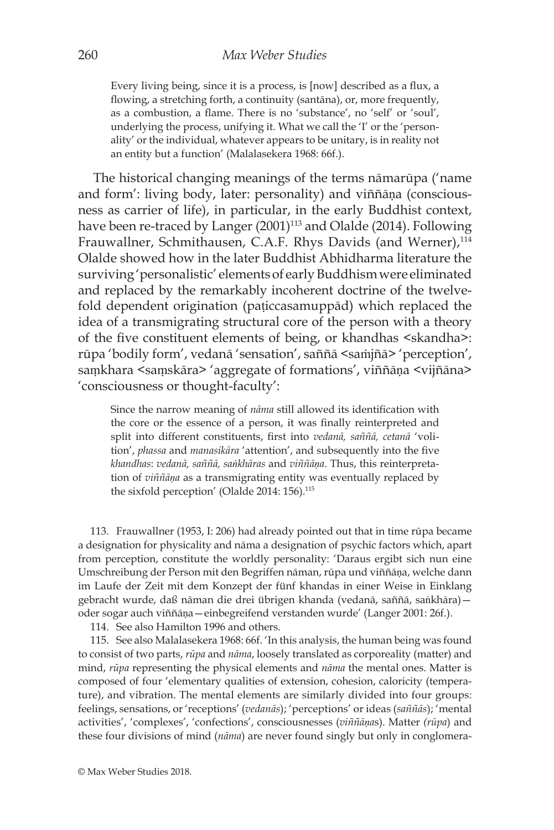Every living being, since it is a process, is [now] described as a flux, a flowing, a stretching forth, a continuity (santāna), or, more frequently, as a combustion, a flame. There is no 'substance', no 'self' or 'soul', underlying the process, unifying it. What we call the 'I' or the 'personality' or the individual, whatever appears to be unitary, is in reality not an entity but a function' (Malalasekera 1968: 66f.).

The historical changing meanings of the terms nāmarūpa ('name and form': living body, later: personality) and viññāna (consciousness as carrier of life), in particular, in the early Buddhist context, have been re-traced by Langer (2001)<sup>113</sup> and Olalde (2014). Following Frauwallner, Schmithausen, C.A.F. Rhys Davids (and Werner),<sup>114</sup> Olalde showed how in the later Buddhist Abhidharma literature the surviving 'personalistic' elements of early Buddhism were eliminated and replaced by the remarkably incoherent doctrine of the twelvefold dependent origination (paṭiccasamuppād) which replaced the idea of a transmigrating structural core of the person with a theory of the five constituent elements of being, or khandhas <skandha>: rūpa 'bodily form', vedanā 'sensation', saññā <saṁjñā> 'perception', saṃkhara <saṃskāra> 'aggregate of formations', viññāṇa *<*vijñāna> 'consciousness or thought-faculty':

Since the narrow meaning of *nāma* still allowed its identification with the core or the essence of a person, it was finally reinterpreted and split into different constituents, first into *vedanā, saññā, cetanā* 'volition', *phassa* and *manasikāra* 'attention', and subsequently into the five *khandhas*: *vedanā, saññā, saṅkhāras* and *viññāṇa*. Thus, this reinterpretation of *viññāṇa* as a transmigrating entity was eventually replaced by the sixfold perception' (Olalde 2014: 156).<sup>115</sup>

113. Frauwallner (1953, I: 206) had already pointed out that in time rūpa became a designation for physicality and nāma a designation of psychic factors which, apart from perception, constitute the worldly personality: 'Daraus ergibt sich nun eine Umschreibung der Person mit den Begriffen nāman, rūpa und viññāṇa, welche dann im Laufe der Zeit mit dem Konzept der fünf khandas in einer Weise in Einklang gebracht wurde, daß nāman die drei übrigen khanda (vedanā, saññā, saṅkhāra) oder sogar auch viññāṇa—einbegreifend verstanden wurde' (Langer 2001: 26f.).

114. See also Hamilton 1996 and others.

115. See also Malalasekera 1968: 66f. 'In this analysis, the human being was found to consist of two parts, *rūpa* and *nāma*, loosely translated as corporeality (matter) and mind, *rūpa* representing the physical elements and *nāma* the mental ones. Matter is composed of four 'elementary qualities of extension, cohesion, caloricity (temperature), and vibration. The mental elements are similarly divided into four groups: feelings, sensations, or 'receptions' (*vedanās*); 'perceptions' or ideas (*saññās*); 'mental activities', 'complexes', 'confections', consciousnesses (*viññāṇa*s). Matter *(rūpa*) and these four divisions of mind (*nāma*) are never found singly but only in conglomera-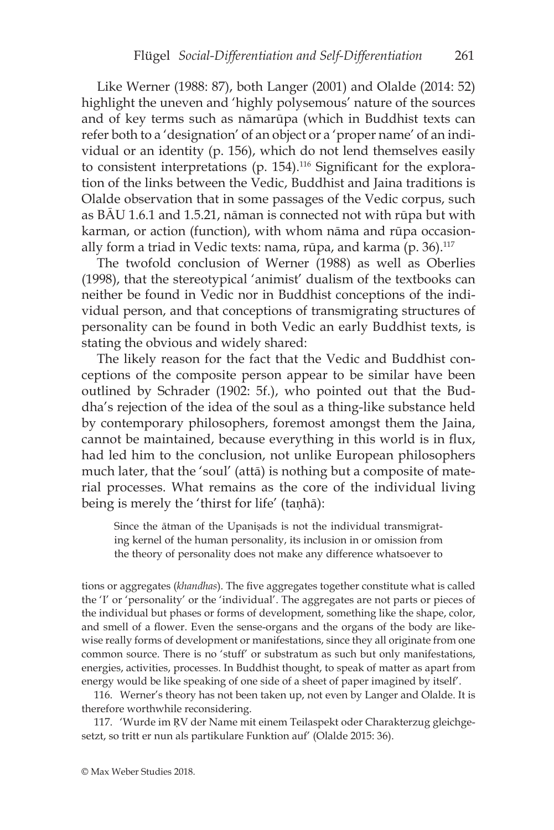Like Werner (1988: 87), both Langer (2001) and Olalde (2014: 52) highlight the uneven and 'highly polysemous' nature of the sources and of key terms such as nāmarūpa (which in Buddhist texts can refer both to a 'designation' of an object or a 'proper name' of an individual or an identity (p. 156), which do not lend themselves easily to consistent interpretations (p. 154).<sup>116</sup> Significant for the exploration of the links between the Vedic, Buddhist and Jaina traditions is Olalde observation that in some passages of the Vedic corpus, such as BĀU 1.6.1 and 1.5.21, nāman is connected not with rūpa but with karman, or action (function), with whom nāma and rūpa occasionally form a triad in Vedic texts: nama, rūpa, and karma (p. 36).<sup>117</sup>

The twofold conclusion of Werner (1988) as well as Oberlies (1998), that the stereotypical 'animist' dualism of the textbooks can neither be found in Vedic nor in Buddhist conceptions of the individual person, and that conceptions of transmigrating structures of personality can be found in both Vedic an early Buddhist texts, is stating the obvious and widely shared:

The likely reason for the fact that the Vedic and Buddhist conceptions of the composite person appear to be similar have been outlined by Schrader (1902: 5f.), who pointed out that the Buddha's rejection of the idea of the soul as a thing-like substance held by contemporary philosophers, foremost amongst them the Jaina, cannot be maintained, because everything in this world is in flux, had led him to the conclusion, not unlike European philosophers much later, that the 'soul' (attā) is nothing but a composite of material processes. What remains as the core of the individual living being is merely the 'thirst for life' (taṇhā):

Since the ātman of the Upaniṣads is not the individual transmigrating kernel of the human personality, its inclusion in or omission from the theory of personality does not make any difference whatsoever to

tions or aggregates (*khandhas*). The five aggregates together constitute what is called the 'I' or 'personality' or the 'individual'. The aggregates are not parts or pieces of the individual but phases or forms of development, something like the shape, color, and smell of a flower. Even the sense-organs and the organs of the body are likewise really forms of development or manifestations, since they all originate from one common source. There is no 'stuff' or substratum as such but only manifestations, energies, activities, processes. In Buddhist thought, to speak of matter as apart from energy would be like speaking of one side of a sheet of paper imagined by itself'.

116. Werner's theory has not been taken up, not even by Langer and Olalde. It is therefore worthwhile reconsidering.

117. 'Wurde im ṚV der Name mit einem Teilaspekt oder Charakterzug gleichgesetzt, so tritt er nun als partikulare Funktion auf' (Olalde 2015: 36).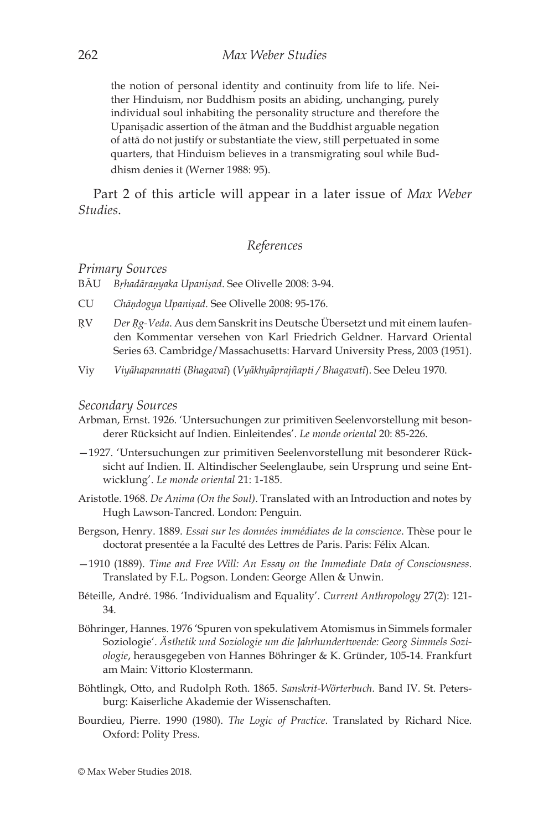the notion of personal identity and continuity from life to life. Neither Hinduism, nor Buddhism posits an abiding, unchanging, purely individual soul inhabiting the personality structure and therefore the Upaniṣadic assertion of the ātman and the Buddhist arguable negation of attā do not justify or substantiate the view, still perpetuated in some quarters, that Hinduism believes in a transmigrating soul while Buddhism denies it (Werner 1988: 95).

Part 2 of this article will appear in a later issue of *Max Weber Studies*.

### *References*

### *Primary Sources*

BĀU *Bṛhadāraṇyaka Upaniṣad*. See Olivelle 2008: 3-94.

- CU *Chāṇdogya Upaniṣad*. See Olivelle 2008: 95-176.
- ṚV *Der Ṛg-Veda*. Aus dem Sanskrit ins Deutsche Übersetzt und mit einem laufenden Kommentar versehen von Karl Friedrich Geldner. Harvard Oriental Series 63. Cambridge/Massachusetts: Harvard University Press, 2003 (1951).
- Viy *Viyāhapannatti* (*Bhagavaī*) (*Vyākhyāprajñapti / Bhagavatī*). See Deleu 1970.

#### *Secondary Sources*

- Arbman, Ernst. 1926. 'Untersuchungen zur primitiven Seelenvorstellung mit besonderer Rücksicht auf Indien. Einleitendes'. *Le monde oriental* 20: 85-226.
- —1927. 'Untersuchungen zur primitiven Seelenvorstellung mit besonderer Rücksicht auf Indien. II. Altindischer Seelenglaube, sein Ursprung und seine Entwicklung'. *Le monde oriental* 21: 1-185.
- Aristotle. 1968. *De Anima (On the Soul)*. Translated with an Introduction and notes by Hugh Lawson-Tancred. London: Penguin.
- Bergson, Henry. 1889. *Essai sur les données immédiates de la conscience*. Thèse pour le doctorat presentée a la Faculté des Lettres de Paris. Paris: Félix Alcan.
- —1910 (1889). *Time and Free Will: An Essay on the Immediate Data of Consciousness*. Translated by F.L. Pogson. Londen: George Allen & Unwin.
- Béteille, André. 1986. 'Individualism and Equality'. *Current Anthropology* 27(2): 121- 34.
- Böhringer, Hannes. 1976 'Spuren von spekulativem Atomismus in Simmels formaler Soziologie'. *Ästhetik und Soziologie um die Jahrhundertwende: Georg Simmels Soziologie*, herausgegeben von Hannes Böhringer & K. Gründer, 105-14. Frankfurt am Main: Vittorio Klostermann.
- Böhtlingk, Otto, and Rudolph Roth. 1865. *Sanskrit-Wörterbuch*. Band IV. St. Petersburg: Kaiserliche Akademie der Wissenschaften.
- Bourdieu, Pierre. 1990 (1980). *The Logic of Practice*. Translated by Richard Nice. Oxford: Polity Press.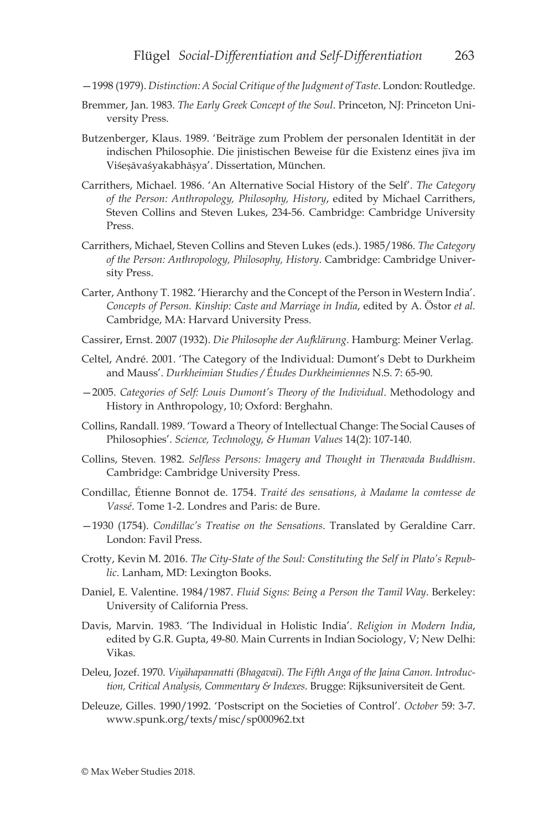- —1998 (1979). *Distinction: A Social Critique of the Judgment of Taste*. London: Routledge.
- Bremmer, Jan. 1983. *The Early Greek Concept of the Soul*. Princeton, NJ: Princeton University Press.
- Butzenberger, Klaus. 1989. 'Beiträge zum Problem der personalen Identität in der indischen Philosophie. Die jinistischen Beweise für die Existenz eines jīva im Viśeṣāvaśyakabhāṣya'. Dissertation, München.
- Carrithers, Michael. 1986. 'An Alternative Social History of the Self'. *The Category of the Person: Anthropology, Philosophy, History*, edited by Michael Carrithers, Steven Collins and Steven Lukes, 234-56. Cambridge: Cambridge University Press.
- Carrithers, Michael, Steven Collins and Steven Lukes (eds.). 1985/1986. *The Category of the Person: Anthropology, Philosophy, History*. Cambridge: Cambridge University Press.
- Carter, Anthony T. 1982. 'Hierarchy and the Concept of the Person in Western India'. *Concepts of Person. Kinship: Caste and Marriage in India*, edited by A. Östor *et al.* Cambridge, MA: Harvard University Press.
- Cassirer, Ernst. 2007 (1932). *Die Philosophe der Aufklärung*. Hamburg: Meiner Verlag.
- Celtel, André. 2001. 'The Category of the Individual: Dumont's Debt to Durkheim and Mauss'. *Durkheimian Studies / Études Durkheimiennes* N.S. 7: 65-90.
- —2005. *Categories of Self: Louis Dumont's Theory of the Individual*. Methodology and History in Anthropology, 10; Oxford: Berghahn.
- Collins, Randall. 1989. 'Toward a Theory of Intellectual Change: The Social Causes of Philosophies'. *Science, Technology, & Human Values* 14(2): 107-140.
- Collins, Steven. 1982. *Selfless Persons: Imagery and Thought in Theravada Buddhism*. Cambridge: Cambridge University Press.
- Condillac, Étienne Bonnot de. 1754. *Traité des sensations, à Madame la comtesse de Vassé*. Tome 1-2. Londres and Paris: de Bure.
- —1930 (1754). *Condillac's Treatise on the Sensations*. Translated by Geraldine Carr. London: Favil Press.
- Crotty, Kevin M. 2016. *The City-State of the Soul: Constituting the Self in Plato's Republic*. Lanham, MD: Lexington Books.
- Daniel, E. Valentine. 1984/1987. *Fluid Signs: Being a Person the Tamil Way*. Berkeley: University of California Press.
- Davis, Marvin. 1983. 'The Individual in Holistic India'. *Religion in Modern India*, edited by G.R. Gupta, 49-80. Main Currents in Indian Sociology, V; New Delhi: Vikas.
- Deleu, Jozef. 1970. *Viyāhapannatti (Bhagavaī). The Fifth Anga of the Jaina Canon. Introduction, Critical Analysis, Commentary & Indexes*. Brugge: Rijksuniversiteit de Gent.
- Deleuze, Gilles. 1990/1992. 'Postscript on the Societies of Control'. *October* 59: 3-7. [www.spunk.org/texts/misc/sp000962.txt](http://www.spunk.org/texts/misc/sp000962.txt)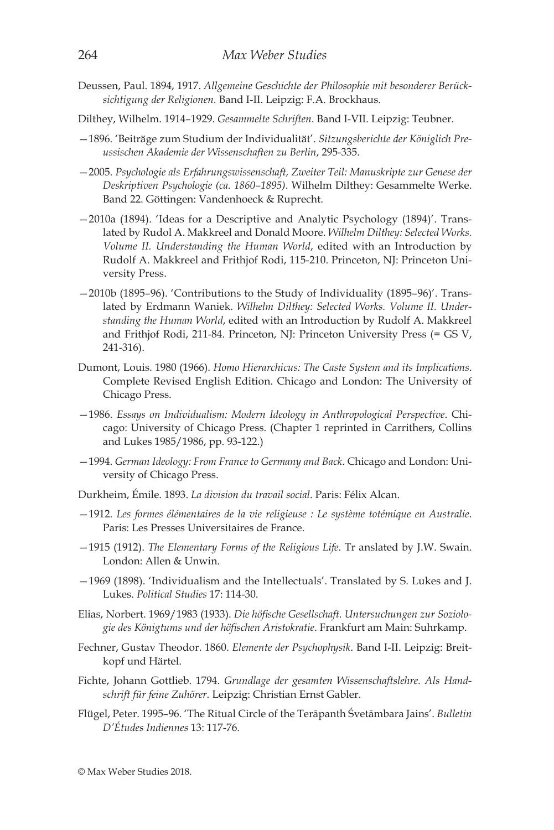- Deussen, Paul. 1894, 1917. *Allgemeine Geschichte der Philosophie mit besonderer Berücksichtigung der Religionen.* Band I-II. Leipzig: F.A. Brockhaus.
- Dilthey, Wilhelm. 1914–1929. *Gesammelte Schriften*. Band I-VII. Leipzig: Teubner.
- —1896. 'Beiträge zum Studium der Individualität'. *Sitzungsberichte der Königlich Preussischen Akademie der Wissenschaften zu Berlin*, 295-335.
- —2005. *Psychologie als Erfahrungswissenschaft, Zweiter Teil: Manuskripte zur Genese der Deskriptiven Psychologie (ca. 1860–1895)*. Wilhelm Dilthey: Gesammelte Werke. Band 22. Göttingen: Vandenhoeck & Ruprecht.
- —2010a (1894). 'Ideas for a Descriptive and Analytic Psychology (1894)'. Translated by Rudol A. Makkreel and Donald Moore. *Wilhelm Dilthey: Selected Works. Volume II. Understanding the Human World*, edited with an Introduction by Rudolf A. Makkreel and Frithjof Rodi, 115-210. Princeton, NJ: Princeton University Press.
- —2010b (1895–96). 'Contributions to the Study of Individuality (1895–96)'. Translated by Erdmann Waniek. *Wilhelm Dilthey: Selected Works. Volume II. Understanding the Human World*, edited with an Introduction by Rudolf A. Makkreel and Frithjof Rodi, 211-84. Princeton, NJ: Princeton University Press (= GS V, 241-316).
- Dumont, Louis. 1980 (1966). *Homo Hierarchicus: The Caste System and its Implications*. Complete Revised English Edition. Chicago and London: The University of Chicago Press.
- —1986. *Essays on Individualism: Modern Ideology in Anthropological Perspective*. Chicago: University of Chicago Press. (Chapter 1 reprinted in Carrithers, Collins and Lukes 1985/1986, pp. 93-122.)
- —1994. *German Ideology: From France to Germany and Back*. Chicago and London: University of Chicago Press.
- Durkheim, Émile. 1893. *La division du travail social*. Paris: Félix Alcan.
- —1912. *Les formes élémentaires de la vie religieuse : Le système totémique en Australie*. Paris: Les Presses Universitaires de France.
- —1915 (1912). *The Elementary Forms of the Religious Life*. Tr anslated by J.W. Swain. London: Allen & Unwin.
- —1969 (1898). 'Individualism and the Intellectuals'. Translated by S. Lukes and J. Lukes. *Political Studies* 17: 114-30.
- Elias, Norbert. 1969/1983 (1933). *Die höfische Gesellschaft. Untersuchungen zur Soziologie des Königtums und der höfischen Aristokratie*. Frankfurt am Main: Suhrkamp.
- Fechner, Gustav Theodor. 1860. *Elemente der Psychophysik*. Band I-II. Leipzig: Breitkopf und Härtel.
- Fichte, Johann Gottlieb. 1794. *Grundlage der gesamten Wissenschaftslehre. Als Handschrift für feine Zuhörer*. Leipzig: Christian Ernst Gabler.
- Flügel, Peter. 1995–96. 'The Ritual Circle of the Terāpanth Śvetāmbara Jains'. *Bulletin D'Études Indiennes* 13: 117-76.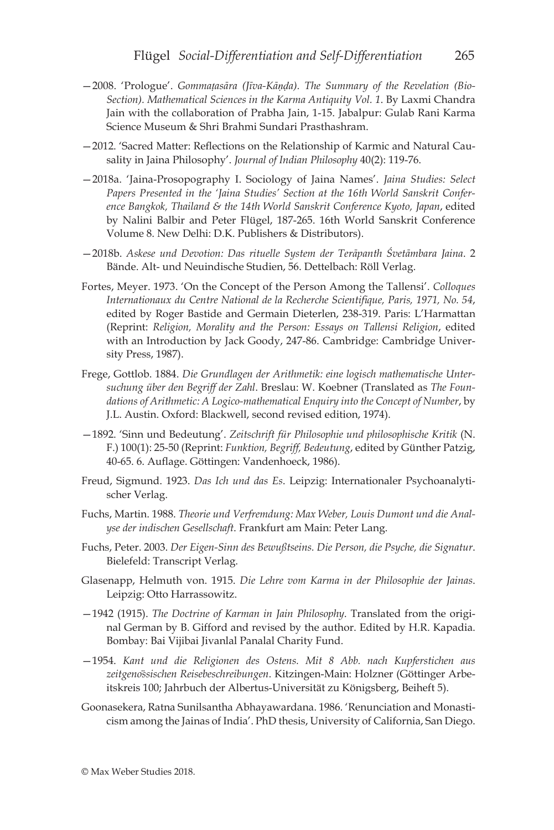- —2008. 'Prologue'. *Gommaṭasāra (Jīva-Kāṇḍa). The Summary of the Revelation (Bio-Section). Mathematical Sciences in the Karma Antiquity Vol. 1*. By Laxmi Chandra Jain with the collaboration of Prabha Jain, 1-15. Jabalpur: Gulab Rani Karma Science Museum & Shri Brahmi Sundari Prasthashram.
- —2012. 'Sacred Matter: Reflections on the Relationship of Karmic and Natural Causality in Jaina Philosophy'. *Journal of Indian Philosophy* 40(2): 119-76.
- —2018a. 'Jaina-Prosopography I. Sociology of Jaina Names'. *Jaina Studies: Select Papers Presented in the 'Jaina Studies' Section at the 16th World Sanskrit Conference Bangkok, Thailand & the 14th World Sanskrit Conference Kyoto, Japan*, edited by Nalini Balbir and Peter Flügel, 187-265. 16th World Sanskrit Conference Volume 8. New Delhi: D.K. Publishers & Distributors).
- —2018b. *Askese und Devotion: Das rituelle System der Terāpanth Śvetāmbara Jaina*. 2 Bände. Alt- und Neuindische Studien, 56. Dettelbach: Röll Verlag.
- Fortes, Meyer. 1973. 'On the Concept of the Person Among the Tallensi'. *Colloques Internationaux du Centre National de la Recherche Scientifique, Paris, 1971, No. 54*, edited by Roger Bastide and Germain Dieterlen, 238-319. Paris: L'Harmattan (Reprint: *Religion, Morality and the Person: Essays on Tallensi Religion*, edited with an Introduction by Jack Goody, 247-86. Cambridge: Cambridge University Press, 1987).
- Frege, Gottlob. 1884. *Die Grundlagen der Arithmetik: eine logisch mathematische Untersuchung über den Begriff der Zahl*. Breslau: W. Koebner (Translated as *The Foundations of Arithmetic: A Logico-mathematical Enquiry into the Concept of Number*, by J.L. Austin. Oxford: Blackwell, second revised edition, 1974).
- —1892. 'Sinn und Bedeutung'. *Zeitschrift für Philosophie und philosophische Kritik* (N. F.) 100(1): 25-50 (Reprint: *Funktion, Begriff, Bedeutung*, edited by Günther Patzig, 40-65. 6. Auflage. Göttingen: Vandenhoeck, 1986).
- Freud, Sigmund. 1923. *Das Ich und das Es*. Leipzig: Internationaler Psychoanalytischer Verlag.
- Fuchs, Martin. 1988. *Theorie und Verfremdung: Max Weber, Louis Dumont und die Analyse der indischen Gesellschaft*. Frankfurt am Main: Peter Lang.
- Fuchs, Peter. 2003. *Der Eigen-Sinn des Bewußtseins. Die Person, die Psyche, die Signatur*. Bielefeld: Transcript Verlag.
- Glasenapp, Helmuth von. 1915. *Die Lehre vom Karma in der Philosophie der Jainas*. Leipzig: Otto Harrassowitz.
- —1942 (1915). *The Doctrine of Karman in Jain Philosophy*. Translated from the original German by B. Gifford and revised by the author. Edited by H.R. Kapadia. Bombay: Bai Vijibai Jivanlal Panalal Charity Fund.
- —1954. *Kant und die Religionen des Ostens. Mit 8 Abb. nach Kupferstichen aus zeitgenössischen Reisebeschreibungen*. Kitzingen-Main: Holzner (Göttinger Arbeitskreis 100; Jahrbuch der Albertus-Universität zu Königsberg, Beiheft 5).
- Goonasekera, Ratna Sunilsantha Abhayawardana. 1986. 'Renunciation and Monasticism among the Jainas of India'. PhD thesis, University of California, San Diego.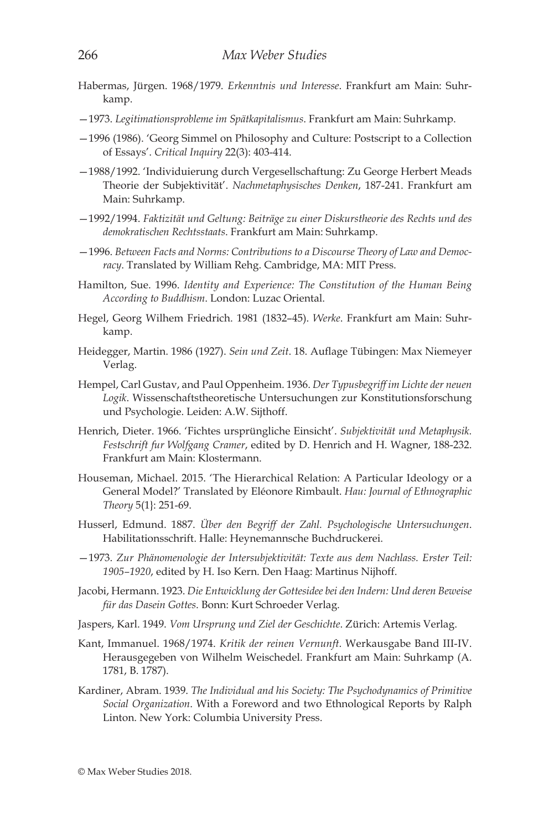- Habermas, Jürgen. 1968/1979. *Erkenntnis und Interesse*. Frankfurt am Main: Suhrkamp.
- —1973. *Legitimationsprobleme im Spätkapitalismus*. Frankfurt am Main: Suhrkamp.
- —1996 (1986). 'Georg Simmel on Philosophy and Culture: Postscript to a Collection of Essays'. *Critical Inquiry* 22(3): 403-414.
- —1988/1992. 'Individuierung durch Vergesellschaftung: Zu George Herbert Meads Theorie der Subjektivität'. *Nachmetaphysisches Denken*, 187-241. Frankfurt am Main: Suhrkamp.
- —1992/1994. *Faktizität und Geltung: Beiträge zu einer Diskurstheorie des Rechts und des demokratischen Rechtsstaats*. Frankfurt am Main: Suhrkamp.
- —1996. *Between Facts and Norms: Contributions to a Discourse Theory of Law and Democracy*. Translated by William Rehg. Cambridge, MA: MIT Press.
- Hamilton, Sue. 1996. *Identity and Experience: The Constitution of the Human Being According to Buddhism*. London: Luzac Oriental.
- Hegel, Georg Wilhem Friedrich. 1981 (1832–45). *Werke*. Frankfurt am Main: Suhrkamp.
- Heidegger, Martin. 1986 (1927). *Sein und Zeit*. 18. Auflage Tübingen: Max Niemeyer Verlag.
- Hempel, Carl Gustav, and Paul Oppenheim. 1936. *Der Typusbegriff im Lichte der neuen Logik*. Wissenschaftstheoretische Untersuchungen zur Konstitutionsforschung und Psychologie. Leiden: A.W. Sijthoff.
- Henrich, Dieter. 1966. 'Fichtes ursprüngliche Einsicht'. *Subjektivität und Metaphysik. Festschrift fur Wolfgang Cramer*, edited by D. Henrich and H. Wagner, 188-232. Frankfurt am Main: Klostermann.
- Houseman, Michael. 2015. 'The Hierarchical Relation: A Particular Ideology or a General Model?' Translated by Eléonore Rimbault. *Hau: Journal of Ethnographic Theory* 5(1}: 251-69.
- Husserl, Edmund. 1887. *Über den Begriff der Zahl. Psychologische Untersuchungen*. Habilitationsschrift. Halle: Heynemannsche Buchdruckerei.
- —1973. *Zur Phänomenologie der Intersubjektivität: Texte aus dem Nachlass. Erster Teil: 1905–1920*, edited by H. Iso Kern. Den Haag: Martinus Nijhoff.
- Jacobi, Hermann. 1923. *Die Entwicklung der Gottesidee bei den Indern: Und deren Beweise für das Dasein Gottes*. Bonn: Kurt Schroeder Verlag.
- Jaspers, Karl. 1949. *Vom Ursprung und Ziel der Geschichte*. Zürich: Artemis Verlag.
- Kant, Immanuel. 1968/1974. *Kritik der reinen Vernunft*. Werkausgabe Band III-IV. Herausgegeben von Wilhelm Weischedel. Frankfurt am Main: Suhrkamp (A. 1781, B. 1787).
- Kardiner, Abram. 1939. *The Individual and his Society: The Psychodynamics of Primitive Social Organization*. With a Foreword and two Ethnological Reports by Ralph Linton. New York: Columbia University Press.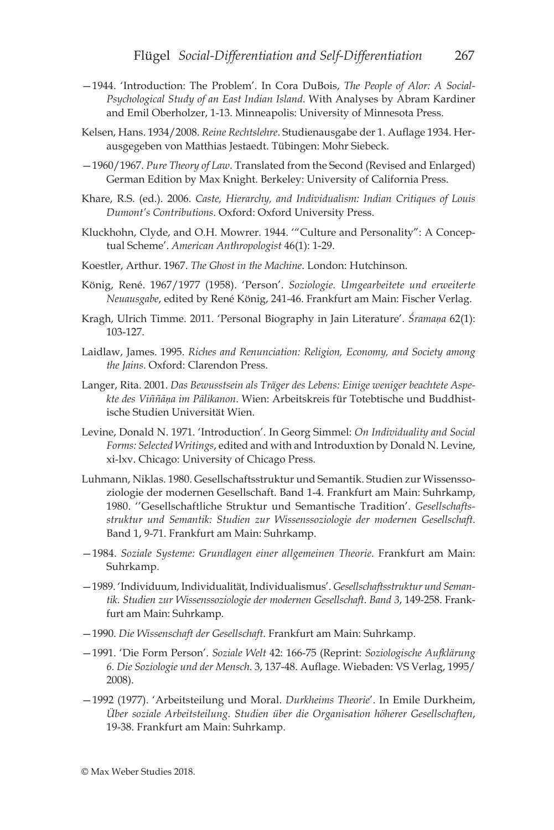- —1944. 'Introduction: The Problem'. In Cora DuBois, *The People of Alor: A Social-Psychological Study of an East Indian Island*. With Analyses by Abram Kardiner and Emil Oberholzer, 1-13. Minneapolis: University of Minnesota Press.
- Kelsen, Hans. 1934/2008. *Reine Rechtslehre*. Studienausgabe der 1. Auflage 1934. Herausgegeben von Matthias Jestaedt. Tübingen: Mohr Siebeck.
- —1960/1967. *Pure Theory of Law*. Translated from the Second (Revised and Enlarged) German Edition by Max Knight. Berkeley: University of California Press.
- Khare, R.S. (ed.). 2006. *Caste, Hierarchy, and Individualism: Indian Critiques of Louis Dumont's Contributions*. Oxford: Oxford University Press.
- Kluckhohn, Clyde, and O.H. Mowrer. 1944. '"Culture and Personality": A Conceptual Scheme'. *American Anthropologist* 46(1): 1-29.
- Koestler, Arthur. 1967. *The Ghost in the Machine*. London: Hutchinson.
- König, René. 1967/1977 (1958). 'Person'. *Soziologie. Umgearbeitete und erweiterte Neuausgabe*, edited by René König, 241-46. Frankfurt am Main: Fischer Verlag.
- Kragh, Ulrich Timme. 2011. 'Personal Biography in Jain Literature'. *Śramaṇa* 62(1): 103-127.
- Laidlaw, James. 1995. *Riches and Renunciation: Religion, Economy, and Society among the Jains*. Oxford: Clarendon Press.
- Langer, Rita. 2001. *Das Bewusstsein als Träger des Lebens: Einige weniger beachtete Aspekte des Viññāṇa im Pālikanon*. Wien: Arbeitskreis für Totebtische und Buddhistische Studien Universität Wien.
- Levine, Donald N. 1971. 'Introduction'. In Georg Simmel: *On Individuality and Social Forms: Selected Writings*, edited and with and Introduxtion by Donald N. Levine, xi-lxv. Chicago: University of Chicago Press.
- Luhmann, Niklas. 1980. Gesellschaftsstruktur und Semantik. Studien zur Wissenssoziologie der modernen Gesellschaft. Band 1-4. Frankfurt am Main: Suhrkamp, 1980. ''Gesellschaftliche Struktur und Semantische Tradition'. *Gesellschaftsstruktur und Semantik: Studien zur Wissenssoziologie der modernen Gesellschaft*. Band 1, 9-71. Frankfurt am Main: Suhrkamp.
- —1984. *Soziale Systeme: Grundlagen einer allgemeinen Theorie*. Frankfurt am Main: Suhrkamp.
- —1989. 'Individuum, Individualität, Individualismus'. *Gesellschaftsstruktur und Semantik. Studien zur Wissenssoziologie der modernen Gesellschaft*. *Band 3*, 149-258. Frankfurt am Main: Suhrkamp.
- —1990. *Die Wissenschaft der Gesellschaft*. Frankfurt am Main: Suhrkamp.
- —1991. 'Die Form Person'. *Soziale Welt* 42: 166-75 (Reprint: *Soziologische Aufklärung 6. Die Soziologie und der Mensch*. 3, 137-48. Auflage. Wiebaden: VS Verlag, 1995/ 2008).
- —1992 (1977). 'Arbeitsteilung und Moral. *Durkheims Theorie*'. In Emile Durkheim, *Über soziale Arbeitsteilung. Studien über die Organisation höherer Gesellschaften*, 19-38. Frankfurt am Main: Suhrkamp.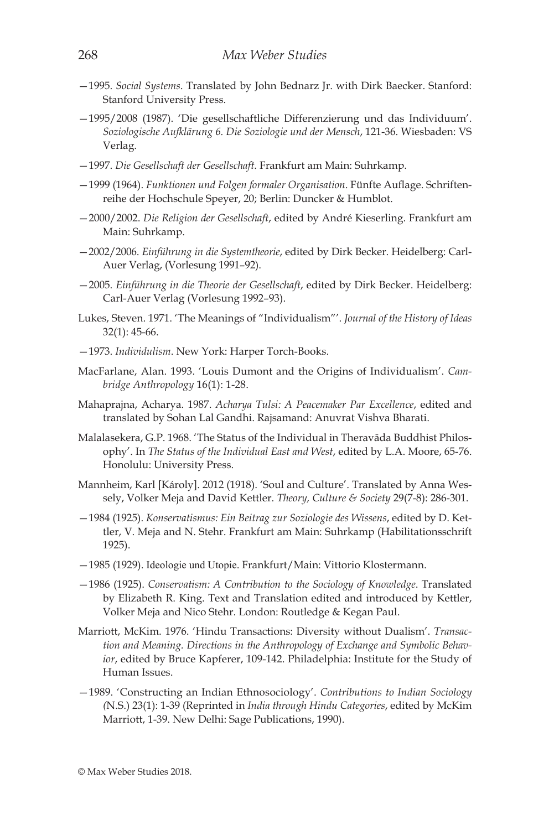- —1995. *Social Systems*. Translated by John Bednarz Jr. with Dirk Baecker. Stanford: Stanford University Press.
- —1995/2008 (1987). 'Die gesellschaftliche Differenzierung und das Individuum'. *Soziologische Aufklärung 6. Die Soziologie und der Mensch*, 121-36. Wiesbaden: VS Verlag.
- —1997. *Die Gesellschaft der Gesellschaft*. Frankfurt am Main: Suhrkamp.
- —1999 (1964). *Funktionen und Folgen formaler Organisation*. Fünfte Auflage. Schriftenreihe der Hochschule Speyer, 20; Berlin: Duncker & Humblot.
- —2000/2002. *Die Religion der Gesellschaft*, edited by André Kieserling. Frankfurt am Main: Suhrkamp.
- —2002/2006. *Einführung in die Systemtheorie*, edited by Dirk Becker. Heidelberg: Carl-Auer Verlag, (Vorlesung 1991–92).
- —2005. *Einführung in die Theorie der Gesellschaft*, edited by Dirk Becker. Heidelberg: Carl-Auer Verlag (Vorlesung 1992–93).
- Lukes, Steven. 1971. 'The Meanings of "Individualism"'. *Journal of the History of Ideas* 32(1): 45-66.
- —1973. *Individulism*. New York: Harper Torch-Books.
- MacFarlane, Alan. 1993. 'Louis Dumont and the Origins of Individualism'. *Cambridge Anthropology* 16(1): 1-28.
- Mahaprajna, Acharya. 1987. *Acharya Tulsi: A Peacemaker Par Excellence*, edited and translated by Sohan Lal Gandhi. Rajsamand: Anuvrat Vishva Bharati.
- Malalasekera, G.P. 1968. 'The Status of the Individual in Theravāda Buddhist Philosophy'. In *The Status of the Individual East and West*, edited by L.A. Moore, 65-76. Honolulu: University Press.
- Mannheim, Karl [Károly]. 2012 (1918). 'Soul and Culture'. Translated by Anna Wessely, Volker Meja and David Kettler. *Theory, Culture & Society* 29(7-8): 286-301.
- —1984 (1925). *Konservatismus: Ein Beitrag zur Soziologie des Wissens*, edited by D. Kettler, V. Meja and N. Stehr. Frankfurt am Main: Suhrkamp (Habilitationsschrift 1925).
- —1985 (1929). Ideologie und Utopie. Frankfurt/Main: Vittorio Klostermann.
- —1986 (1925). *Conservatism: A Contribution to the Sociology of Knowledge*. Translated by Elizabeth R. King. Text and Translation edited and introduced by Kettler, Volker Meja and Nico Stehr. London: Routledge & Kegan Paul.
- Marriott, McKim. 1976. 'Hindu Transactions: Diversity without Dualism'. *Transaction and Meaning. Directions in the Anthropology of Exchange and Symbolic Behavior*, edited by Bruce Kapferer, 109-142. Philadelphia: Institute for the Study of Human Issues.
- —1989. 'Constructing an Indian Ethnosociology'. *Contributions to Indian Sociology (*N.S.) 23(1): 1-39 (Reprinted in *India through Hindu Categories*, edited by McKim Marriott, 1-39. New Delhi: Sage Publications, 1990).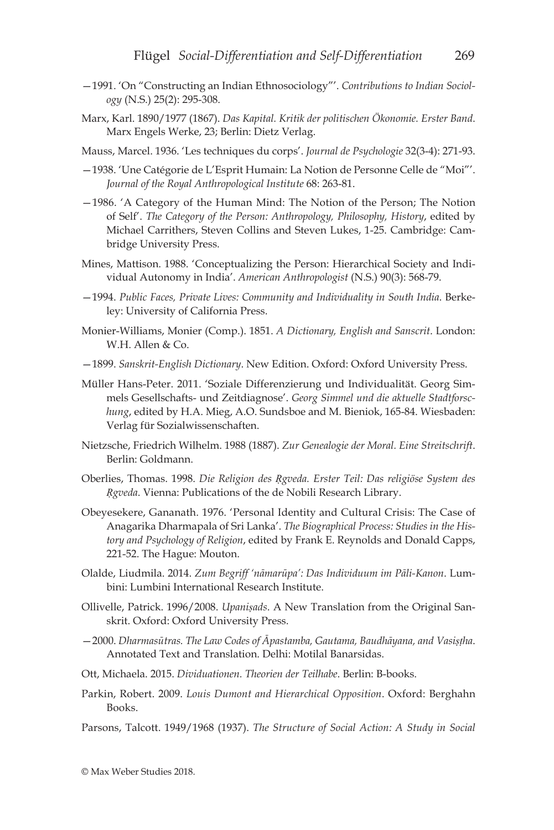- —1991. 'On "Constructing an Indian Ethnosociology"'. *Contributions to Indian Sociology* (N.S.) 25(2): 295-308.
- Marx, Karl. 1890/1977 (1867). *Das Kapital. Kritik der politischen Ökonomie. Erster Band*. Marx Engels Werke, 23; Berlin: Dietz Verlag.
- Mauss, Marcel. 1936. 'Les techniques du corps'. *Journal de Psychologie* 32(3-4): 271-93.
- —1938. 'Une Catégorie de L'Esprit Humain: La Notion de Personne Celle de "Moi"'. *Journal of the Royal Anthropological Institute* 68: 263-81.
- —1986. 'A Category of the Human Mind: The Notion of the Person; The Notion of Self'. *The Category of the Person: Anthropology, Philosophy, History*, edited by Michael Carrithers, Steven Collins and Steven Lukes, 1-25. Cambridge: Cambridge University Press.
- Mines, Mattison. 1988. 'Conceptualizing the Person: Hierarchical Society and Individual Autonomy in India'. *American Anthropologist* (N.S.) 90(3): 568-79.
- —1994. *Public Faces, Private Lives: Community and Individuality in South India*. Berkeley: University of California Press.
- Monier-Williams, Monier (Comp.). 1851. *A Dictionary, English and Sanscrit*. London: W.H. Allen & Co.
- —1899. *Sanskrit-English Dictionary*. New Edition. Oxford: Oxford University Press.
- Müller Hans-Peter. 2011. 'Soziale Differenzierung und Individualität. Georg Simmels Gesellschafts- und Zeitdiagnose'. *Georg Simmel und die aktuelle Stadtforschung*, edited by H.A. Mieg, A.O. Sundsboe and M. Bieniok, 165-84. Wiesbaden: Verlag für Sozialwissenschaften.
- Nietzsche, Friedrich Wilhelm. 1988 (1887). *Zur Genealogie der Moral. Eine Streitschrift*. Berlin: Goldmann.
- Oberlies, Thomas. 1998. *Die Religion des Ṛgveda. Erster Teil: Das religiöse System des Ṛgveda*. Vienna: Publications of the de Nobili Research Library.
- Obeyesekere, Gananath. 1976. 'Personal Identity and Cultural Crisis: The Case of Anagarika Dharmapala of Sri Lanka'. *The Biographical Process: Studies in the History and Psychology of Religion*, edited by Frank E. Reynolds and Donald Capps, 221-52. The Hague: Mouton.
- Olalde, Liudmila. 2014. *Zum Begriff 'nāmarūpa': Das Individuum im Pāli-Kanon*. Lumbini: Lumbini International Research Institute.
- Ollivelle, Patrick. 1996/2008. *Upaniṣads*. A New Translation from the Original Sanskrit. Oxford: Oxford University Press.
- —2000. *Dharmasūtras. The Law Codes of Āpastamba, Gautama, Baudhāyana, and Vasiṣṭha*. Annotated Text and Translation. Delhi: Motilal Banarsidas.
- Ott, Michaela. 2015. *Dividuationen. Theorien der Teilhabe*. Berlin: B-books.
- Parkin, Robert. 2009. *Louis Dumont and Hierarchical Opposition*. Oxford: Berghahn Books.
- Parsons, Talcott. 1949/1968 (1937). *The Structure of Social Action: A Study in Social*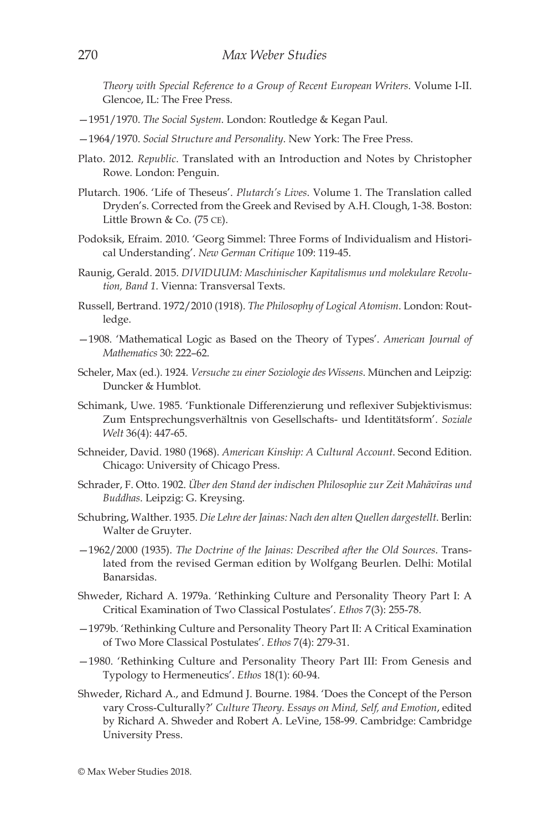*Theory with Special Reference to a Group of Recent European Writers*. Volume I-II. Glencoe, IL: The Free Press.

- —1951/1970. *The Social System*. London: Routledge & Kegan Paul.
- —1964/1970. *Social Structure and Personality*. New York: The Free Press.
- Plato. 2012. *Republic*. Translated with an Introduction and Notes by Christopher Rowe. London: Penguin.
- Plutarch. 1906. 'Life of Theseus'. *Plutarch's Lives*. Volume 1. The Translation called Dryden's. Corrected from the Greek and Revised by A.H. Clough, 1-38. Boston: Little Brown & Co. (75 ce).
- Podoksik, Efraim. 2010. 'Georg Simmel: Three Forms of Individualism and Historical Understanding'. *New German Critique* 109: 119-45.
- Raunig, Gerald. 2015. *DIVIDUUM: Maschinischer Kapitalismus und molekulare Revolution, Band 1*. Vienna: Transversal Texts.
- Russell, Bertrand. 1972/2010 (1918). *The Philosophy of Logical Atomism*. London: Routledge.
- —1908. 'Mathematical Logic as Based on the Theory of Types'. *American Journal of Mathematics* 30: 222–62.
- Scheler, Max (ed.). 1924. *Versuche zu einer Soziologie des Wissens*. München and Leipzig: Duncker & Humblot.
- Schimank, Uwe. 1985. 'Funktionale Differenzierung und reflexiver Subjektivismus: Zum Entsprechungsverhältnis von Gesellschafts- und Identitätsform'. *Soziale Welt* 36(4): 447-65.
- Schneider, David. 1980 (1968). *American Kinship: A Cultural Account*. Second Edition. Chicago: University of Chicago Press.
- Schrader, F. Otto. 1902. *Über den Stand der indischen Philosophie zur Zeit Mahāvīras und Buddhas*. Leipzig: G. Kreysing.
- Schubring, Walther. 1935. *Die Lehre der Jainas: Nach den alten Quellen dargestellt*. Berlin: Walter de Gruyter.
- —1962/2000 (1935). *The Doctrine of the Jainas: Described after the Old Sources*. Translated from the revised German edition by Wolfgang Beurlen. Delhi: Motilal Banarsidas.
- Shweder, Richard A. 1979a. 'Rethinking Culture and Personality Theory Part I: A Critical Examination of Two Classical Postulates'. *Ethos* 7(3): 255-78.
- —1979b. 'Rethinking Culture and Personality Theory Part II: A Critical Examination of Two More Classical Postulates'. *Ethos* 7(4): 279-31.
- —1980. 'Rethinking Culture and Personality Theory Part III: From Genesis and Typology to Hermeneutics'. *Ethos* 18(1): 60-94.
- Shweder, Richard A., and Edmund J. Bourne. 1984. 'Does the Concept of the Person vary Cross-Culturally?' *Culture Theory. Essays on Mind, Self, and Emotion*, edited by Richard A. Shweder and Robert A. LeVine, 158-99. Cambridge: Cambridge University Press.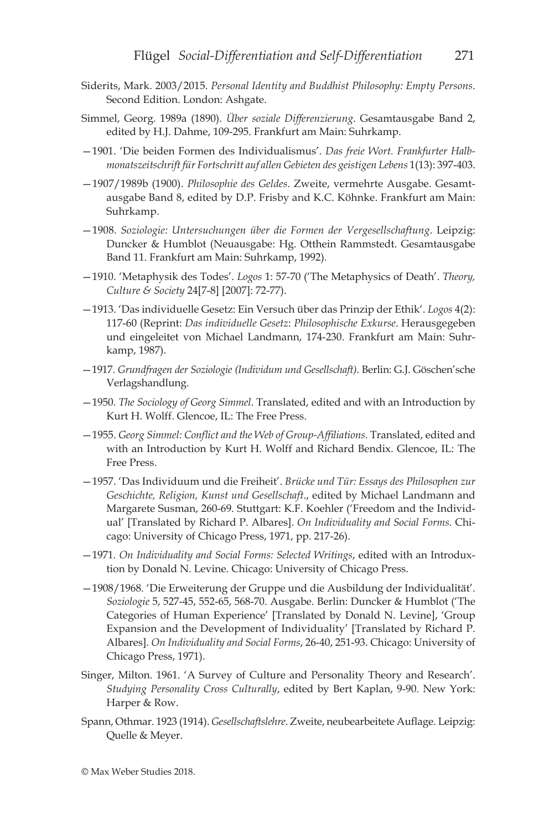- Siderits, Mark. 2003/2015. *Personal Identity and Buddhist Philosophy: Empty Persons*. Second Edition. London: Ashgate.
- Simmel, Georg. 1989a (1890). *Über soziale Differenzierung*. Gesamtausgabe Band 2, edited by H.J. Dahme, 109-295. Frankfurt am Main: Suhrkamp.
- —1901. 'Die beiden Formen des Individualismus'. *Das freie Wort. Frankfurter Halbmonatszeitschrift für Fortschritt auf allen Gebieten des geistigen Lebens* 1(13): 397-403.
- —1907/1989b (1900). *Philosophie des Geldes*. Zweite, vermehrte Ausgabe. Gesamtausgabe Band 8, edited by D.P. Frisby and K.C. Köhnke. Frankfurt am Main: Suhrkamp.
- —1908. *Soziologie: Untersuchungen über die Formen der Vergesellschaftung*. Leipzig: Duncker & Humblot (Neuausgabe: Hg. Otthein Rammstedt. Gesamtausgabe Band 11. Frankfurt am Main: Suhrkamp, 1992).
- —1910. 'Metaphysik des Todes'. *Logos* 1: 57-70 ('The Metaphysics of Death'. *Theory, Culture & Society* 24[7-8] [2007]: 72-77).
- —1913. 'Das individuelle Gesetz: Ein Versuch über das Prinzip der Ethik'. *Logos* 4(2): 117-60 (Reprint: *Das individuelle Gesetz*: *Philosophische Exkurse*. Herausgegeben und eingeleitet von Michael Landmann, 174-230. Frankfurt am Main: Suhrkamp, 1987).
- —1917. *Grundfragen der Soziologie (Individum und Gesellschaft)*. Berlin: G.J. Göschen'sche Verlagshandlung.
- —1950. *The Sociology of Georg Simmel*. Translated, edited and with an Introduction by Kurt H. Wolff. Glencoe, IL: The Free Press.
- —1955. *Georg Simmel: Conflict and the Web of Group-Affiliations*. Translated, edited and with an Introduction by Kurt H. Wolff and Richard Bendix. Glencoe, IL: The Free Press.
- —1957. 'Das Individuum und die Freiheit'. *Brücke und Tür: Essays des Philosophen zur Geschichte, Religion, Kunst und Gesellschaft*., edited by Michael Landmann and Margarete Susman, 260-69. Stuttgart: K.F. Koehler ('Freedom and the Individual' [Translated by Richard P. Albares]. *On Individuality and Social Forms*. Chicago: University of Chicago Press, 1971, pp. 217-26).
- —1971. *On Individuality and Social Forms: Selected Writings*, edited with an Introduxtion by Donald N. Levine. Chicago: University of Chicago Press.
- —1908/1968. 'Die Erweiterung der Gruppe und die Ausbildung der Individualität'. *Soziologie* 5, 527-45, 552-65, 568-70. Ausgabe. Berlin: Duncker & Humblot ('The Categories of Human Experience' [Translated by Donald N. Levine], 'Group Expansion and the Development of Individuality' [Translated by Richard P. Albares]. *On Individuality and Social Forms*, 26-40, 251-93. Chicago: University of Chicago Press, 1971).
- Singer, Milton. 1961. 'A Survey of Culture and Personality Theory and Research'. *Studying Personality Cross Culturally*, edited by Bert Kaplan, 9-90. New York: Harper & Row.
- Spann, Othmar. 1923 (1914). *Gesellschaftslehre*. Zweite, neubearbeitete Auflage. Leipzig: Quelle & Meyer.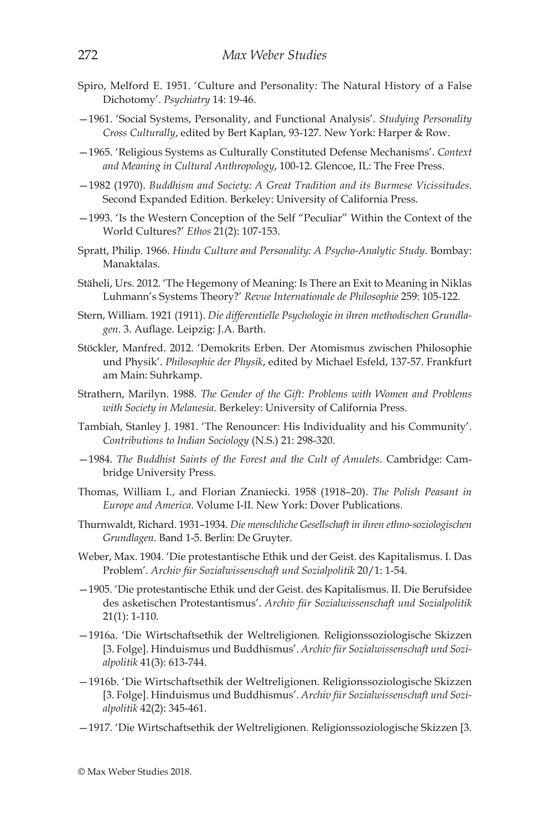- Spiro, Melford E. 1951. 'Culture and Personality: The Natural History of a False Dichotomy'. *Psychiatry* 14: 19-46.
- —1961. 'Social Systems, Personality, and Functional Analysis'. *Studying Personality Cross Culturally*, edited by Bert Kaplan, 93-127. New York: Harper & Row.
- —1965. 'Religious Systems as Culturally Constituted Defense Mechanisms'. *Context and Meaning in Cultural Anthropology*, 100-12. Glencoe, IL: The Free Press.
- —1982 (1970). *Buddhism and Society: A Great Tradition and its Burmese Vicissitudes*. Second Expanded Edition. Berkeley: University of California Press.
- —1993. 'Is the Western Conception of the Self "Peculiar" Within the Context of the World Cultures?' *Ethos* 21(2): 107-153.
- Spratt, Philip. 1966. *Hindu Culture and Personality: A Psycho-Analytic Study*. Bombay: Manaktalas.
- Stäheli, Urs. 2012. 'The Hegemony of Meaning: Is There an Exit to Meaning in Niklas Luhmann's Systems Theory?' *Revue Internationale de Philosophie* 259: 105-122.
- Stern, William. 1921 (1911). *Die differentielle Psychologie in ihren methodischen Grundlagen*. 3. Auflage. Leipzig: J.A. Barth.
- Stöckler, Manfred. 2012. 'Demokrits Erben. Der Atomismus zwischen Philosophie und Physik'. *Philosophie der Physik*, edited by Michael Esfeld, 137-57. Frankfurt am Main: Suhrkamp.
- Strathern, Marilyn. 1988. *The Gender of the Gift: Problems with Women and Problems with Society in Melanesia*. Berkeley: University of California Press.
- Tambiah, Stanley J. 1981. 'The Renouncer: His Individuality and his Community'. *Contributions to Indian Sociology* (N.S.) 21: 298-320.
- —1984. *The Buddhist Saints of the Forest and the Cult of Amulets*. Cambridge: Cambridge University Press.
- Thomas, William I., and Florian Znaniecki. 1958 (1918–20). *The Polish Peasant in Europe and America*. Volume I-II. New York: Dover Publications.
- Thurnwaldt, Richard. 1931–1934. *Die menschliche Gesellschaft in ihren ethno-soziologischen Grundlagen*. Band 1-5. Berlin: De Gruyter.
- Weber, Max. 1904. 'Die protestantische Ethik und der Geist. des Kapitalismus. I. Das Problem'. *Archiv für Sozialwissenschaft und Sozialpolitik* 20/1: 1-54.
- —1905. 'Die protestantische Ethik und der Geist. des Kapitalismus. II. Die Berufsidee des asketischen Protestantismus'. *Archiv für Sozialwissenschaft und Sozialpolitik* 21(1): 1-110.
- —1916a. 'Die Wirtschaftsethik der Weltreligionen. Religionssoziologische Skizzen [3. Folge]. Hinduismus und Buddhismus'. *Archiv für Sozialwissenschaft und Sozialpolitik* 41(3): 613-744.
- —1916b. 'Die Wirtschaftsethik der Weltreligionen. Religionssoziologische Skizzen [3. Folge]. Hinduismus und Buddhismus'. *Archiv für Sozialwissenschaft und Sozialpolitik* 42(2): 345-461.
- —1917. 'Die Wirtschaftsethik der Weltreligionen. Religionssoziologische Skizzen [3.